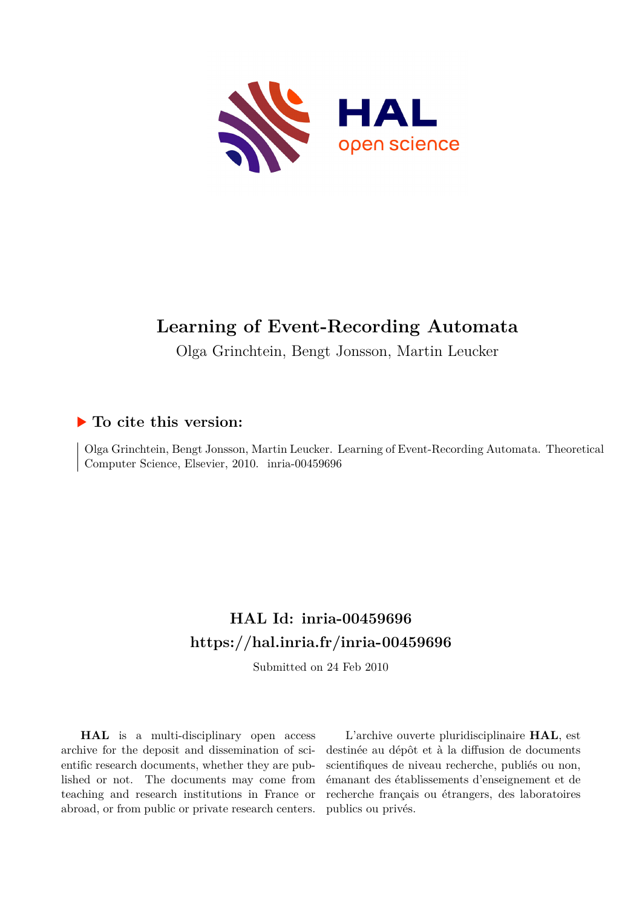

# **Learning of Event-Recording Automata**

Olga Grinchtein, Bengt Jonsson, Martin Leucker

# **To cite this version:**

Olga Grinchtein, Bengt Jonsson, Martin Leucker. Learning of Event-Recording Automata. Theoretical Computer Science, Elsevier, 2010. inria-00459696

# **HAL Id: inria-00459696 <https://hal.inria.fr/inria-00459696>**

Submitted on 24 Feb 2010

**HAL** is a multi-disciplinary open access archive for the deposit and dissemination of scientific research documents, whether they are published or not. The documents may come from teaching and research institutions in France or abroad, or from public or private research centers.

L'archive ouverte pluridisciplinaire **HAL**, est destinée au dépôt et à la diffusion de documents scientifiques de niveau recherche, publiés ou non, émanant des établissements d'enseignement et de recherche français ou étrangers, des laboratoires publics ou privés.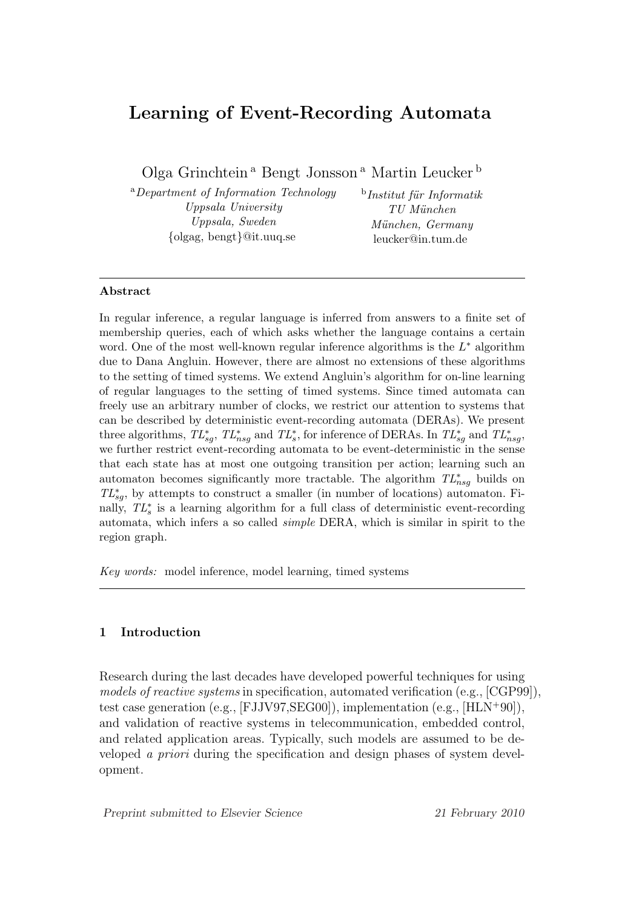# Learning of Event-Recording Automata

Olga Grinchtein <sup>a</sup> Bengt Jonsson <sup>a</sup> Martin Leucker <sup>b</sup>

<sup>a</sup>Department of Information Technology Uppsala University Uppsala, Sweden {olgag, bengt}@it.uuq.se

 $b$ Institut für Informatik TU München München, Germany leucker@in.tum.de

### Abstract

In regular inference, a regular language is inferred from answers to a finite set of membership queries, each of which asks whether the language contains a certain word. One of the most well-known regular inference algorithms is the  $L^*$  algorithm due to Dana Angluin. However, there are almost no extensions of these algorithms to the setting of timed systems. We extend Angluin's algorithm for on-line learning of regular languages to the setting of timed systems. Since timed automata can freely use an arbitrary number of clocks, we restrict our attention to systems that can be described by deterministic event-recording automata (DERAs). We present three algorithms,  $TL_{sg}^*$ ,  $TL_{nsg}^*$  and  $TL_s^*$ , for inference of DERAs. In  $TL_{sg}^*$  and  $TL_{nsg}^*$ , we further restrict event-recording automata to be event-deterministic in the sense that each state has at most one outgoing transition per action; learning such an automaton becomes significantly more tractable. The algorithm  $TL_{nsg}^*$  builds on  $TL_{sg}^*$ , by attempts to construct a smaller (in number of locations) automaton. Finally,  $TL_s^*$  is a learning algorithm for a full class of deterministic event-recording automata, which infers a so called simple DERA, which is similar in spirit to the region graph.

Key words: model inference, model learning, timed systems

### 1 Introduction

Research during the last decades have developed powerful techniques for using models of reactive systems in specification, automated verification (e.g., [CGP99]), test case generation (e.g., [FJJV97,SEG00]), implementation (e.g., [HLN<sup>+</sup>90]), and validation of reactive systems in telecommunication, embedded control, and related application areas. Typically, such models are assumed to be developed a priori during the specification and design phases of system development.

Preprint submitted to Elsevier Science 21 February 2010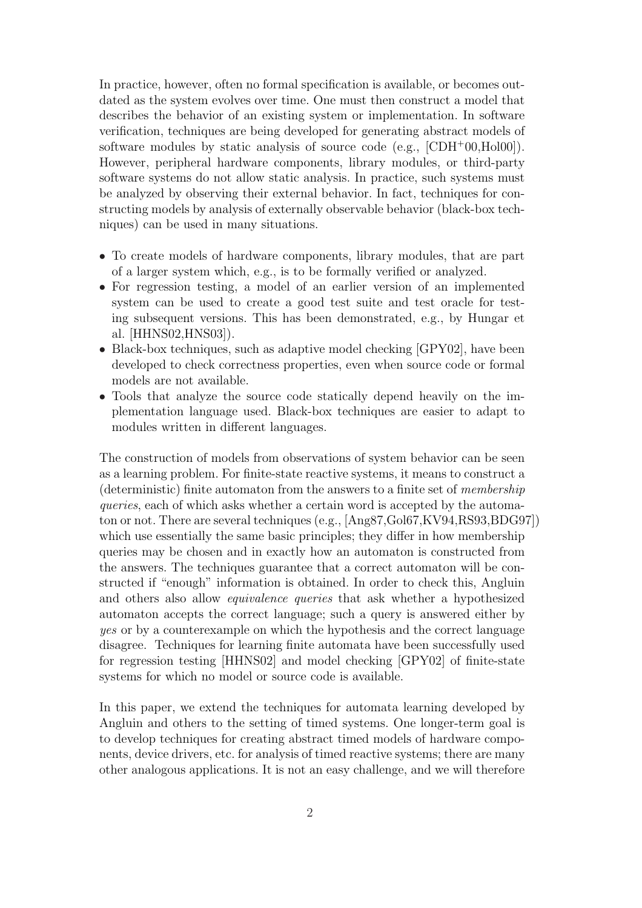In practice, however, often no formal specification is available, or becomes outdated as the system evolves over time. One must then construct a model that describes the behavior of an existing system or implementation. In software verification, techniques are being developed for generating abstract models of software modules by static analysis of source code (e.g., [CDH<sup>+</sup>00,Hol00]). However, peripheral hardware components, library modules, or third-party software systems do not allow static analysis. In practice, such systems must be analyzed by observing their external behavior. In fact, techniques for constructing models by analysis of externally observable behavior (black-box techniques) can be used in many situations.

- To create models of hardware components, library modules, that are part of a larger system which, e.g., is to be formally verified or analyzed.
- For regression testing, a model of an earlier version of an implemented system can be used to create a good test suite and test oracle for testing subsequent versions. This has been demonstrated, e.g., by Hungar et al. [HHNS02,HNS03]).
- Black-box techniques, such as adaptive model checking [GPY02], have been developed to check correctness properties, even when source code or formal models are not available.
- Tools that analyze the source code statically depend heavily on the implementation language used. Black-box techniques are easier to adapt to modules written in different languages.

The construction of models from observations of system behavior can be seen as a learning problem. For finite-state reactive systems, it means to construct a (deterministic) finite automaton from the answers to a finite set of membership queries, each of which asks whether a certain word is accepted by the automaton or not. There are several techniques (e.g., [Ang87,Gol67,KV94,RS93,BDG97]) which use essentially the same basic principles; they differ in how membership queries may be chosen and in exactly how an automaton is constructed from the answers. The techniques guarantee that a correct automaton will be constructed if "enough" information is obtained. In order to check this, Angluin and others also allow equivalence queries that ask whether a hypothesized automaton accepts the correct language; such a query is answered either by yes or by a counterexample on which the hypothesis and the correct language disagree. Techniques for learning finite automata have been successfully used for regression testing [HHNS02] and model checking [GPY02] of finite-state systems for which no model or source code is available.

In this paper, we extend the techniques for automata learning developed by Angluin and others to the setting of timed systems. One longer-term goal is to develop techniques for creating abstract timed models of hardware components, device drivers, etc. for analysis of timed reactive systems; there are many other analogous applications. It is not an easy challenge, and we will therefore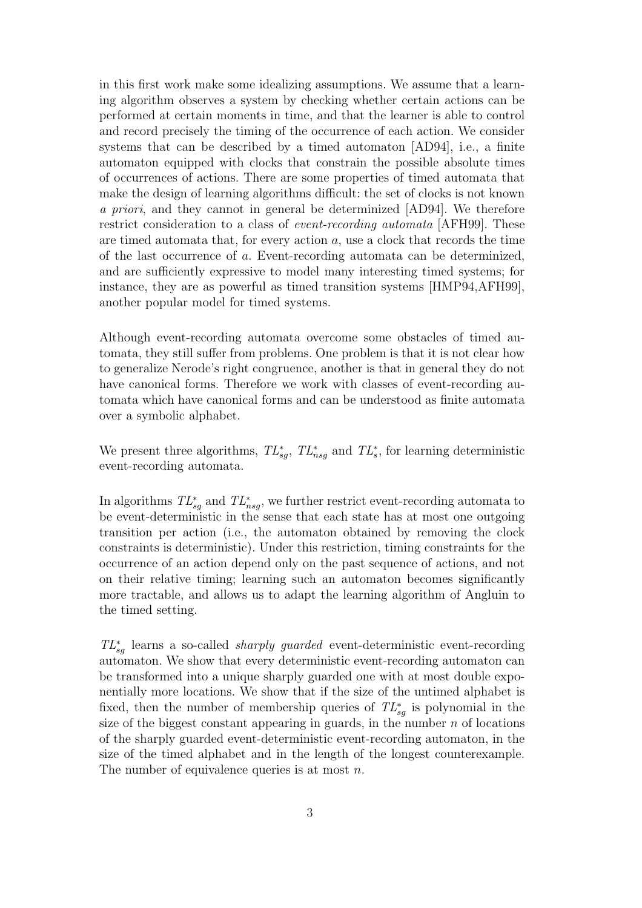in this first work make some idealizing assumptions. We assume that a learning algorithm observes a system by checking whether certain actions can be performed at certain moments in time, and that the learner is able to control and record precisely the timing of the occurrence of each action. We consider systems that can be described by a timed automaton [AD94], i.e., a finite automaton equipped with clocks that constrain the possible absolute times of occurrences of actions. There are some properties of timed automata that make the design of learning algorithms difficult: the set of clocks is not known a priori, and they cannot in general be determinized [AD94]. We therefore restrict consideration to a class of event-recording automata [AFH99]. These are timed automata that, for every action  $a$ , use a clock that records the time of the last occurrence of a. Event-recording automata can be determinized, and are sufficiently expressive to model many interesting timed systems; for instance, they are as powerful as timed transition systems [HMP94,AFH99], another popular model for timed systems.

Although event-recording automata overcome some obstacles of timed automata, they still suffer from problems. One problem is that it is not clear how to generalize Nerode's right congruence, another is that in general they do not have canonical forms. Therefore we work with classes of event-recording automata which have canonical forms and can be understood as finite automata over a symbolic alphabet.

We present three algorithms,  $TL_{sg}^*$ ,  $TL_{nsg}^*$  and  $TL_s^*$ , for learning deterministic event-recording automata.

In algorithms  $TL_{sg}^*$  and  $TL_{nsg}^*$ , we further restrict event-recording automata to be event-deterministic in the sense that each state has at most one outgoing transition per action (i.e., the automaton obtained by removing the clock constraints is deterministic). Under this restriction, timing constraints for the occurrence of an action depend only on the past sequence of actions, and not on their relative timing; learning such an automaton becomes significantly more tractable, and allows us to adapt the learning algorithm of Angluin to the timed setting.

 $TL_{sg}^*$  learns a so-called *sharply guarded* event-deterministic event-recording automaton. We show that every deterministic event-recording automaton can be transformed into a unique sharply guarded one with at most double exponentially more locations. We show that if the size of the untimed alphabet is fixed, then the number of membership queries of  $TL_{sg}^*$  is polynomial in the size of the biggest constant appearing in guards, in the number  $n$  of locations of the sharply guarded event-deterministic event-recording automaton, in the size of the timed alphabet and in the length of the longest counterexample. The number of equivalence queries is at most *n*.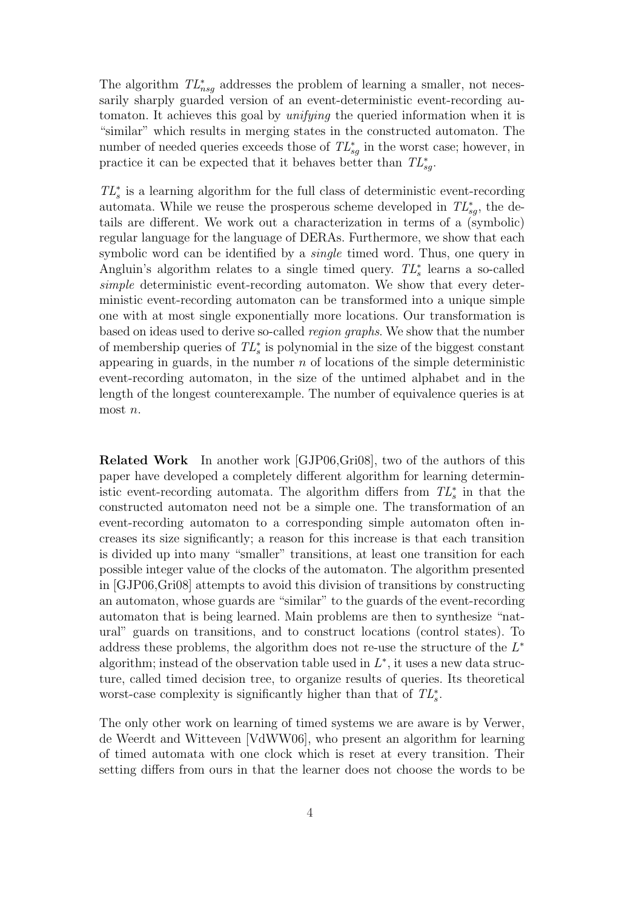The algorithm  $TL_{nsg}^*$  addresses the problem of learning a smaller, not necessarily sharply guarded version of an event-deterministic event-recording automaton. It achieves this goal by unifying the queried information when it is "similar" which results in merging states in the constructed automaton. The number of needed queries exceeds those of  $TL_{sg}^*$  in the worst case; however, in practice it can be expected that it behaves better than  $TL_{sg}^*$ .

 $TL^*_s$  is a learning algorithm for the full class of deterministic event-recording automata. While we reuse the prosperous scheme developed in  $TL_{sg}^*$ , the details are different. We work out a characterization in terms of a (symbolic) regular language for the language of DERAs. Furthermore, we show that each symbolic word can be identified by a single timed word. Thus, one query in Angluin's algorithm relates to a single timed query.  $TL_s^*$  learns a so-called simple deterministic event-recording automaton. We show that every deterministic event-recording automaton can be transformed into a unique simple one with at most single exponentially more locations. Our transformation is based on ideas used to derive so-called region graphs. We show that the number of membership queries of  $TL^*_s$  is polynomial in the size of the biggest constant appearing in guards, in the number  $n$  of locations of the simple deterministic event-recording automaton, in the size of the untimed alphabet and in the length of the longest counterexample. The number of equivalence queries is at most *n*.

Related Work In another work [GJP06,Gri08], two of the authors of this paper have developed a completely different algorithm for learning deterministic event-recording automata. The algorithm differs from  $TL^*_s$  in that the constructed automaton need not be a simple one. The transformation of an event-recording automaton to a corresponding simple automaton often increases its size significantly; a reason for this increase is that each transition is divided up into many "smaller" transitions, at least one transition for each possible integer value of the clocks of the automaton. The algorithm presented in [GJP06,Gri08] attempts to avoid this division of transitions by constructing an automaton, whose guards are "similar" to the guards of the event-recording automaton that is being learned. Main problems are then to synthesize "natural" guards on transitions, and to construct locations (control states). To address these problems, the algorithm does not re-use the structure of the  $L^*$ algorithm; instead of the observation table used in  $L^*$ , it uses a new data structure, called timed decision tree, to organize results of queries. Its theoretical worst-case complexity is significantly higher than that of  $TL_s^*$ .

The only other work on learning of timed systems we are aware is by Verwer, de Weerdt and Witteveen [VdWW06], who present an algorithm for learning of timed automata with one clock which is reset at every transition. Their setting differs from ours in that the learner does not choose the words to be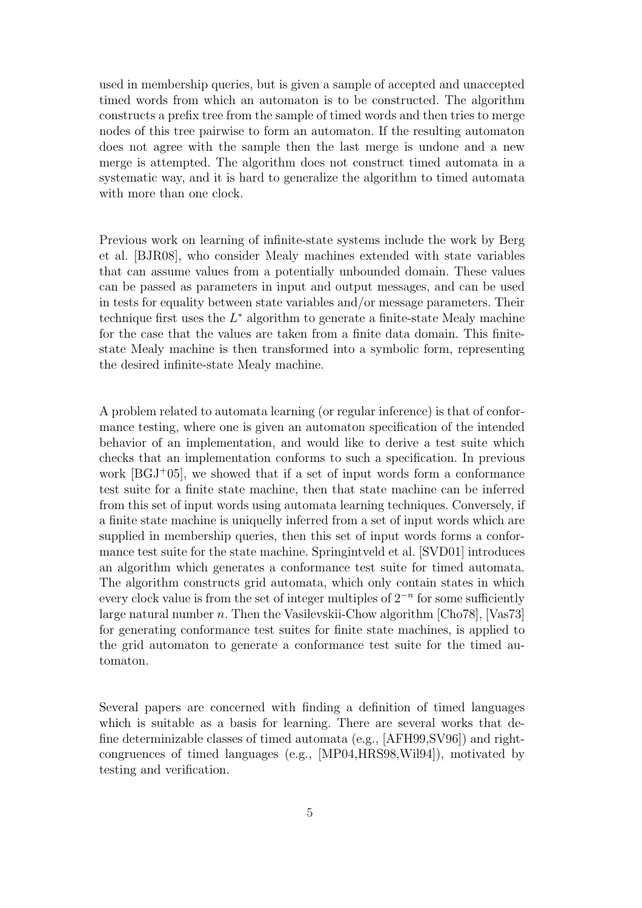used in membership queries, but is given a sample of accepted and unaccepted timed words from which an automaton is to be constructed. The algorithm constructs a prefix tree from the sample of timed words and then tries to merge nodes of this tree pairwise to form an automaton. If the resulting automaton does not agree with the sample then the last merge is undone and a new merge is attempted. The algorithm does not construct timed automata in a systematic way, and it is hard to generalize the algorithm to timed automata with more than one clock.

Previous work on learning of infinite-state systems include the work by Berg et al. [BJR08], who consider Mealy machines extended with state variables that can assume values from a potentially unbounded domain. These values can be passed as parameters in input and output messages, and can be used in tests for equality between state variables and/or message parameters. Their technique first uses the  $L^*$  algorithm to generate a finite-state Mealy machine for the case that the values are taken from a finite data domain. This finitestate Mealy machine is then transformed into a symbolic form, representing the desired infinite-state Mealy machine.

A problem related to automata learning (or regular inference) is that of conformance testing, where one is given an automaton specification of the intended behavior of an implementation, and would like to derive a test suite which checks that an implementation conforms to such a specification. In previous work  $[\text{BGJ}^+05]$ , we showed that if a set of input words form a conformance test suite for a finite state machine, then that state machine can be inferred from this set of input words using automata learning techniques. Conversely, if a finite state machine is uniquelly inferred from a set of input words which are supplied in membership queries, then this set of input words forms a conformance test suite for the state machine. Springintveld et al. [SVD01] introduces an algorithm which generates a conformance test suite for timed automata. The algorithm constructs grid automata, which only contain states in which every clock value is from the set of integer multiples of  $2^{-n}$  for some sufficiently large natural number n. Then the Vasilevskii-Chow algorithm [Cho78], [Vas73] for generating conformance test suites for finite state machines, is applied to the grid automaton to generate a conformance test suite for the timed automaton.

Several papers are concerned with finding a definition of timed languages which is suitable as a basis for learning. There are several works that define determinizable classes of timed automata (e.g., [AFH99,SV96]) and rightcongruences of timed languages (e.g., [MP04,HRS98,Wil94]), motivated by testing and verification.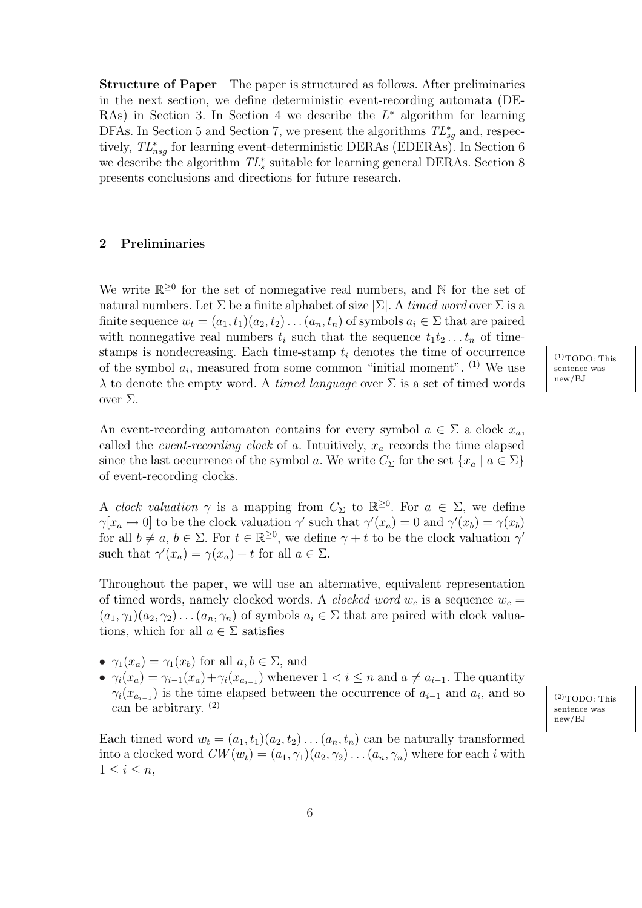Structure of Paper The paper is structured as follows. After preliminaries in the next section, we define deterministic event-recording automata (DE-RAs) in Section 3. In Section 4 we describe the  $L^*$  algorithm for learning DFAs. In Section 5 and Section 7, we present the algorithms  $TL_{sg}^*$  and, respectively,  $TL_{nsg}^*$  for learning event-deterministic DERAs (EDERAs). In Section 6 we describe the algorithm  $TL^*_s$  suitable for learning general DERAs. Section 8 presents conclusions and directions for future research.

## 2 Preliminaries

We write  $\mathbb{R}^{\geq 0}$  for the set of nonnegative real numbers, and N for the set of natural numbers. Let  $\Sigma$  be a finite alphabet of size  $\Sigma$ . A timed word over  $\Sigma$  is a finite sequence  $w_t = (a_1, t_1)(a_2, t_2) \dots (a_n, t_n)$  of symbols  $a_i \in \Sigma$  that are paired with nonnegative real numbers  $t_i$  such that the sequence  $t_1t_2 \ldots t_n$  of timestamps is nondecreasing. Each time-stamp  $t_i$  denotes the time of occurrence of the symbol  $a_i$ , measured from some common "initial moment". <sup>(1)</sup> We use  $\lambda$  to denote the empty word. A *timed language* over  $\Sigma$  is a set of timed words  $\left| \begin{array}{c} \text{new/BI} \\ \text{new/BI} \end{array} \right|$ over Σ.

An event-recording automaton contains for every symbol  $a \in \Sigma$  a clock  $x_a$ , called the *event-recording clock* of a. Intuitively,  $x_a$  records the time elapsed since the last occurrence of the symbol a. We write  $C_{\Sigma}$  for the set  $\{x_a \mid a \in \Sigma\}$ of event-recording clocks.

A clock valuation  $\gamma$  is a mapping from  $C_{\Sigma}$  to  $\mathbb{R}^{\geq 0}$ . For  $a \in \Sigma$ , we define  $\gamma[x_a \mapsto 0]$  to be the clock valuation  $\gamma'$  such that  $\gamma'(x_a) = 0$  and  $\gamma'(x_b) = \gamma(x_b)$ for all  $b \neq a, b \in \Sigma$ . For  $t \in \mathbb{R}^{\geq 0}$ , we define  $\gamma + t$  to be the clock valuation  $\gamma'$ such that  $\gamma'(x_a) = \gamma(x_a) + t$  for all  $a \in \Sigma$ .

Throughout the paper, we will use an alternative, equivalent representation of timed words, namely clocked words. A *clocked word*  $w_c$  is a sequence  $w_c =$  $(a_1, \gamma_1)(a_2, \gamma_2)\dots(a_n, \gamma_n)$  of symbols  $a_i \in \Sigma$  that are paired with clock valuations, which for all  $a \in \Sigma$  satisfies

- $\gamma_1(x_a) = \gamma_1(x_b)$  for all  $a, b \in \Sigma$ , and
- $\gamma_i(x_a) = \gamma_{i-1}(x_a) + \gamma_i(x_{a_{i-1}})$  whenever  $1 < i \leq n$  and  $a \neq a_{i-1}$ . The quantity  $\gamma_i(x_{a_{i-1}})$  is the time elapsed between the occurrence of  $a_{i-1}$  and  $a_i$ , and so can be arbitrary. (2)

Each timed word  $w_t = (a_1, t_1)(a_2, t_2) \dots (a_n, t_n)$  can be naturally transformed into a clocked word  $CW(w_t) = (a_1, \gamma_1)(a_2, \gamma_2) \dots (a_n, \gamma_n)$  where for each i with  $1 \leq i \leq n$ ,

 $(1)$ TODO: This sentence was

(2)TODO: This sentence was new/BJ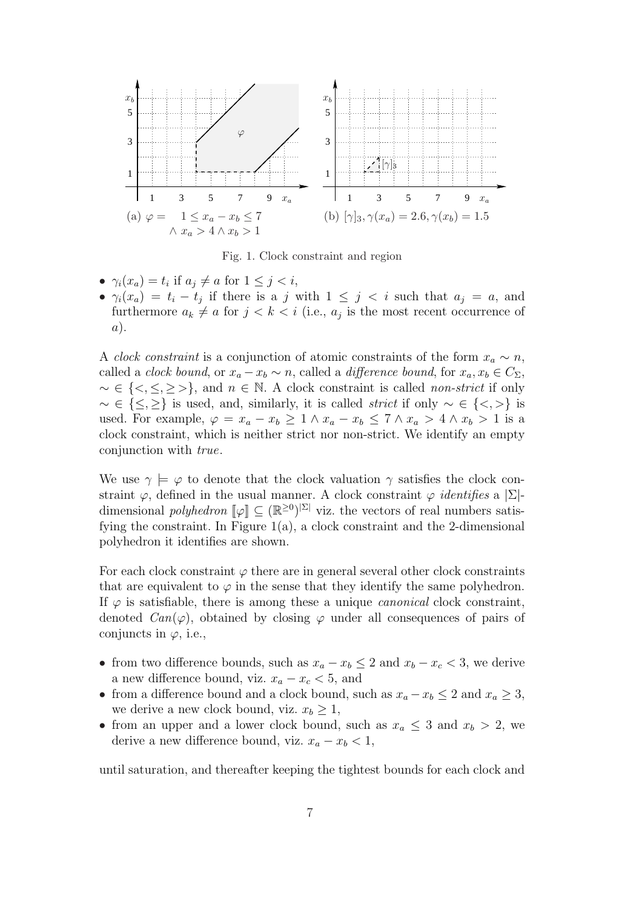

Fig. 1. Clock constraint and region

- $\gamma_i(x_a) = t_i$  if  $a_j \neq a$  for  $1 \leq j < i$ ,
- $\gamma_i(x_a) = t_i t_j$  if there is a j with  $1 \leq j \leq i$  such that  $a_j = a$ , and furthermore  $a_k \neq a$  for  $j < k < i$  (i.e.,  $a_j$  is the most recent occurrence of a).

A *clock constraint* is a conjunction of atomic constraints of the form  $x_a \sim n$ , called a *clock bound*, or  $x_a - x_b \sim n$ , called a *difference bound*, for  $x_a, x_b \in C_{\Sigma}$ ,  $\sim \in \{ \leq, \leq, \geq \geq \},$  and  $n \in \mathbb{N}$ . A clock constraint is called *non-strict* if only  $\sim \in \{\leq, \geq\}$  is used, and, similarly, it is called *strict* if only  $\sim \in \{\leq, >\}$  is used. For example,  $\varphi = x_a - x_b \geq 1 \wedge x_a - x_b \leq 7 \wedge x_a > 4 \wedge x_b > 1$  is a clock constraint, which is neither strict nor non-strict. We identify an empty conjunction with true.

We use  $\gamma \models \varphi$  to denote that the clock valuation  $\gamma$  satisfies the clock constraint  $\varphi$ , defined in the usual manner. A clock constraint  $\varphi$  *identifies* a  $\Sigma$ . dimensional polyhedron  $[\varphi] \subseteq (\mathbb{R}^{\geq 0})^{|\Sigma|}$  viz. the vectors of real numbers satisfying the constraint. In Figure 1(a), a clock constraint and the 2-dimensional polyhedron it identifies are shown.

For each clock constraint  $\varphi$  there are in general several other clock constraints that are equivalent to  $\varphi$  in the sense that they identify the same polyhedron. If  $\varphi$  is satisfiable, there is among these a unique *canonical* clock constraint, denoted  $Can(\varphi)$ , obtained by closing  $\varphi$  under all consequences of pairs of conjuncts in  $\varphi$ , i.e.,

- from two difference bounds, such as  $x_a x_b \leq 2$  and  $x_b x_c < 3$ , we derive a new difference bound, viz.  $x_a - x_c < 5$ , and
- from a difference bound and a clock bound, such as  $x_a x_b \leq 2$  and  $x_a \geq 3$ , we derive a new clock bound, viz.  $x_b \geq 1$ ,
- from an upper and a lower clock bound, such as  $x_a \leq 3$  and  $x_b > 2$ , we derive a new difference bound, viz.  $x_a - x_b < 1$ ,

until saturation, and thereafter keeping the tightest bounds for each clock and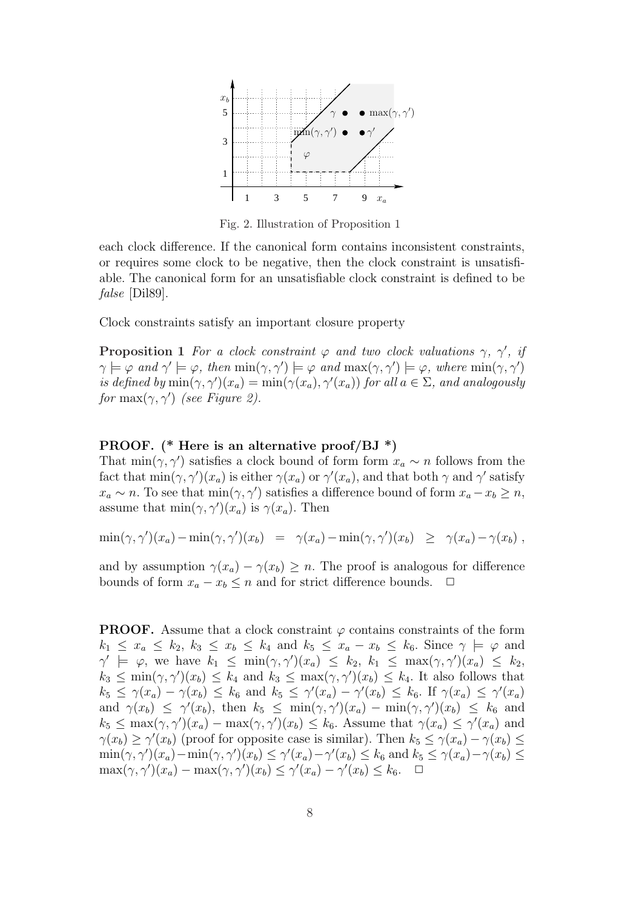

Fig. 2. Illustration of Proposition 1

each clock difference. If the canonical form contains inconsistent constraints, or requires some clock to be negative, then the clock constraint is unsatisfiable. The canonical form for an unsatisfiable clock constraint is defined to be false [Dil89].

Clock constraints satisfy an important closure property

**Proposition 1** For a clock constraint  $\varphi$  and two clock valuations  $\gamma$ ,  $\gamma'$ , if  $\gamma \models \varphi \text{ and } \gamma' \models \varphi, \text{ then } \min(\gamma, \gamma') \models \varphi \text{ and } \max(\gamma, \gamma') \models \varphi, \text{ where } \min(\gamma, \gamma')$ is defined by  $\min(\gamma, \gamma')(x_a) = \min(\gamma(x_a), \gamma'(x_a))$  for all  $a \in \Sigma$ , and analogously for max $(\gamma, \gamma')$  (see Figure 2).

### PROOF. (\* Here is an alternative proof/BJ \*)

That  $\min(\gamma, \gamma')$  satisfies a clock bound of form form  $x_a \sim n$  follows from the fact that  $\min(\gamma, \gamma')$ ( $x_a$ ) is either  $\gamma(x_a)$  or  $\gamma'(x_a)$ , and that both  $\gamma$  and  $\gamma'$  satisfy  $x_a \sim n$ . To see that min $(\gamma, \gamma')$  satisfies a difference bound of form  $x_a - x_b \ge n$ , assume that  $\min(\gamma, \gamma')(x_a)$  is  $\gamma(x_a)$ . Then

$$
\min(\gamma, \gamma')(x_a) - \min(\gamma, \gamma')(x_b) = \gamma(x_a) - \min(\gamma, \gamma')(x_b) \geq \gamma(x_a) - \gamma(x_b) ,
$$

and by assumption  $\gamma(x_a) - \gamma(x_b) \geq n$ . The proof is analogous for difference bounds of form  $x_a - x_b \leq n$  and for strict difference bounds.  $\Box$ 

**PROOF.** Assume that a clock constraint  $\varphi$  contains constraints of the form  $k_1 \leq x_a \leq k_2, k_3 \leq x_b \leq k_4$  and  $k_5 \leq x_a - x_b \leq k_6$ . Since  $\gamma \models \varphi$  and  $\gamma' \models \varphi$ , we have  $k_1 \leq \min(\gamma, \gamma')(x_a) \leq k_2, k_1 \leq \max(\gamma, \gamma')(x_a) \leq k_2$  $k_3 \leq \min(\gamma, \gamma')(x_b) \leq k_4$  and  $k_3 \leq \max(\gamma, \gamma')(x_b) \leq k_4$ . It also follows that  $k_5 \leq \gamma(x_a) - \gamma(x_b) \leq k_6$  and  $k_5 \leq \gamma'(x_a) - \gamma'(x_b) \leq k_6$ . If  $\gamma(x_a) \leq \gamma'(x_a)$ and  $\gamma(x_b) \leq \gamma'(x_b)$ , then  $k_5 \leq \min(\gamma, \gamma')(x_a) - \min(\gamma, \gamma')(x_b) \leq k_6$  and  $k_5 \leq \max(\gamma, \gamma')(x_a) - \max(\gamma, \gamma')(x_b) \leq k_6$ . Assume that  $\gamma(x_a) \leq \gamma'(x_a)$  and  $\gamma(x_b) \geq \gamma'(x_b)$  (proof for opposite case is similar). Then  $k_5 \leq \gamma(x_a) - \gamma(x_b) \leq$  $\min(\gamma, \gamma')(x_a) - \min(\gamma, \gamma')(x_b) \leq \gamma'(x_a) - \gamma'(x_b) \leq k_6$  and  $k_5 \leq \gamma(x_a) - \gamma(x_b) \leq$  $\max(\gamma, \gamma')(x_a) - \max(\gamma, \gamma')(x_b) \leq \gamma'(x_a) - \gamma'(x_b) \leq k_6. \quad \Box$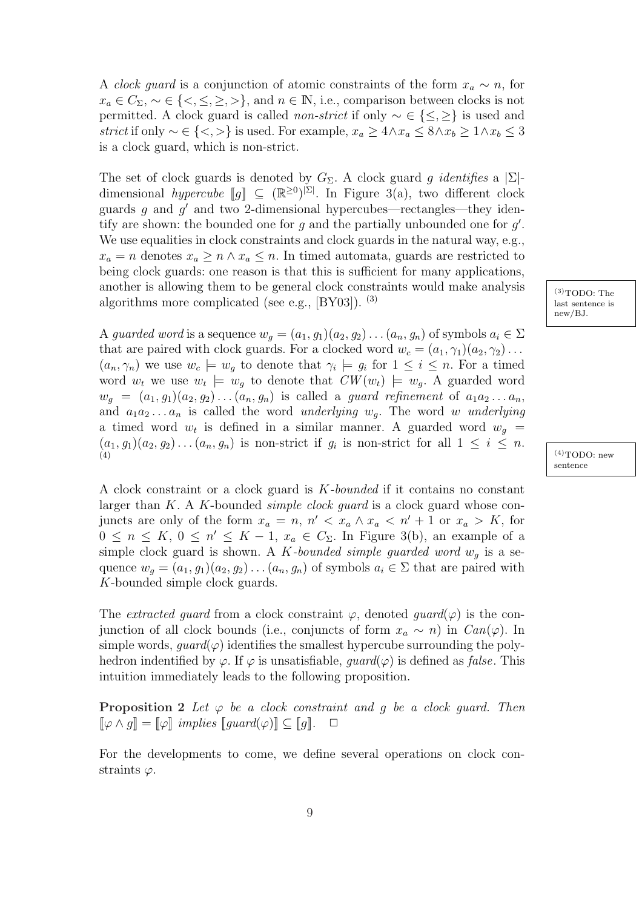A *clock guard* is a conjunction of atomic constraints of the form  $x_a \sim n$ , for  $x_a \in C_{\Sigma}$ ,  $\sim \in \{ \leq, \leq, \geq, \geq \},$  and  $n \in \mathbb{N}$ , i.e., comparison between clocks is not permitted. A clock guard is called *non-strict* if only  $\sim \in \{\leq,\geq\}$  is used and strict if only  $\sim \in \{<,>\}$  is used. For example,  $x_a \geq 4 \land x_a \leq 8 \land x_b \geq 1 \land x_b \leq 3$ is a clock guard, which is non-strict.

The set of clock guards is denoted by  $G_{\Sigma}$ . A clock guard g identifies a  $|\Sigma|$ dimensional *hypercube*  $\llbracket g \rrbracket \subseteq (\mathbb{R}^{\geq 0})^{|\Sigma|}$ . In Figure 3(a), two different clock guards  $g$  and  $g'$  and two 2-dimensional hypercubes—rectangles—they identify are shown: the bounded one for  $g$  and the partially unbounded one for  $g'$ . We use equalities in clock constraints and clock guards in the natural way, e.g.,  $x_a = n$  denotes  $x_a \geq n \wedge x_a \leq n$ . In timed automata, guards are restricted to being clock guards: one reason is that this is sufficient for many applications, another is allowing them to be general clock constraints would make analysis algorithms more complicated (see e.g.,  $[BY03]$ ). <sup>(3)</sup>

A guarded word is a sequence  $w_g = (a_1, g_1)(a_2, g_2) \dots (a_n, g_n)$  of symbols  $a_i \in \Sigma$ that are paired with clock guards. For a clocked word  $w_c = (a_1, \gamma_1)(a_2, \gamma_2) \dots$  $(a_n, \gamma_n)$  we use  $w_c \models w_g$  to denote that  $\gamma_i \models g_i$  for  $1 \leq i \leq n$ . For a timed word  $w_t$  we use  $w_t \models w_g$  to denote that  $CW(w_t) \models w_g$ . A guarded word  $w_q = (a_1, g_1)(a_2, g_2) \dots (a_n, g_n)$  is called a *guard refinement* of  $a_1 a_2 \dots a_n$ , and  $a_1a_2...a_n$  is called the word underlying  $w_g$ . The word w underlying a timed word  $w_t$  is defined in a similar manner. A guarded word  $w_g$  =  $(a_1, g_1)(a_2, g_2) \dots (a_n, g_n)$  is non-strict if  $g_i$  is non-strict for all  $1 \leq i \leq n$ . (4)  $(4)$  (4) TODO: new

A clock constraint or a clock guard is  $K$ -bounded if it contains no constant larger than  $K$ . A K-bounded *simple clock guard* is a clock guard whose conjuncts are only of the form  $x_a = n$ ,  $n' < x_a \wedge x_a < n' + 1$  or  $x_a > K$ , for  $0 \leq n \leq K, 0 \leq n' \leq K-1, x_a \in C_{\Sigma}$ . In Figure 3(b), an example of a simple clock guard is shown. A K-bounded simple guarded word  $w_q$  is a sequence  $w_g = (a_1, g_1)(a_2, g_2) \dots (a_n, g_n)$  of symbols  $a_i \in \Sigma$  that are paired with K-bounded simple clock guards.

The *extracted guard* from a clock constraint  $\varphi$ , denoted guard( $\varphi$ ) is the conjunction of all clock bounds (i.e., conjuncts of form  $x_a \sim n$ ) in  $Can(\varphi)$ . In simple words, *guard* $(\varphi)$  identifies the smallest hypercube surrounding the polyhedron indentified by  $\varphi$ . If  $\varphi$  is unsatisfiable, guard( $\varphi$ ) is defined as false. This intuition immediately leads to the following proposition.

**Proposition 2** Let  $\varphi$  be a clock constraint and q be a clock quard. Then  $[\![\varphi \wedge g]\!] = [\![\varphi]\!]$  implies  $[\![guard(\varphi)]\!] \subseteq [\![g]\!]$ .  $\Box$ 

For the developments to come, we define several operations on clock constraints  $\varphi$ .

(3)TODO: The last sentence is new/BJ.

sentence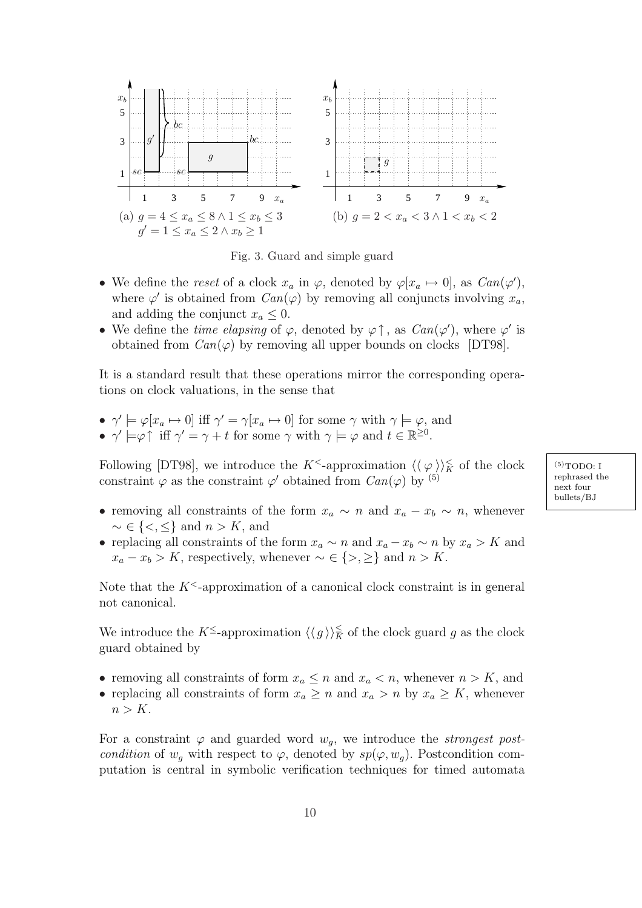

Fig. 3. Guard and simple guard

- We define the reset of a clock  $x_a$  in  $\varphi$ , denoted by  $\varphi[x_a \mapsto 0]$ , as  $Can(\varphi')$ , where  $\varphi'$  is obtained from  $Can(\varphi)$  by removing all conjuncts involving  $x_a$ , and adding the conjunct  $x_a \leq 0$ .
- We define the *time elapsing* of  $\varphi$ , denoted by  $\varphi \uparrow$ , as  $Can(\varphi')$ , where  $\varphi'$  is obtained from  $Can(\varphi)$  by removing all upper bounds on clocks [DT98].

It is a standard result that these operations mirror the corresponding operations on clock valuations, in the sense that

- $\gamma' \models \varphi[x_a \mapsto 0]$  iff  $\gamma' = \gamma[x_a \mapsto 0]$  for some  $\gamma$  with  $\gamma \models \varphi$ , and
- $\gamma' \models \varphi \uparrow \text{ iff } \gamma' = \gamma + t \text{ for some } \gamma \text{ with } \gamma \models \varphi \text{ and } t \in \mathbb{R}^{\geq 0}.$

Following [DT98], we introduce the K<sup><</sup>-approximation  $\langle \langle \varphi \rangle \rangle_K^{\lt}$  of the clock constraint  $\varphi$  as the constraint  $\varphi'$  obtained from  $Can(\varphi)$  by <sup>(5)</sup>

 $(5)$ TODO: I rephrased the next four bullets/BJ

- removing all constraints of the form  $x_a \sim n$  and  $x_a x_b \sim n$ , whenever  $\sim \in \{ \lt, \leq \}$  and  $n > K$ , and
- replacing all constraints of the form  $x_a \sim n$  and  $x_a x_b \sim n$  by  $x_a > K$  and  $x_a - x_b > K$ , respectively, whenever ~ ∈ {>, ≥} and  $n > K$ .

Note that the  $K<sup>2</sup>$ -approximation of a canonical clock constraint is in general not canonical.

We introduce the K<sup>≤</sup>-approximation  $\langle \langle g \rangle \rangle_K^{\le}$  of the clock guard g as the clock guard obtained by

- removing all constraints of form  $x_a \leq n$  and  $x_a < n$ , whenever  $n > K$ , and
- replacing all constraints of form  $x_a \geq n$  and  $x_a > n$  by  $x_a \geq K$ , whenever  $n > K$ .

For a constraint  $\varphi$  and guarded word  $w_q$ , we introduce the *strongest post*condition of  $w_q$  with respect to  $\varphi$ , denoted by  $sp(\varphi, w_q)$ . Postcondition computation is central in symbolic verification techniques for timed automata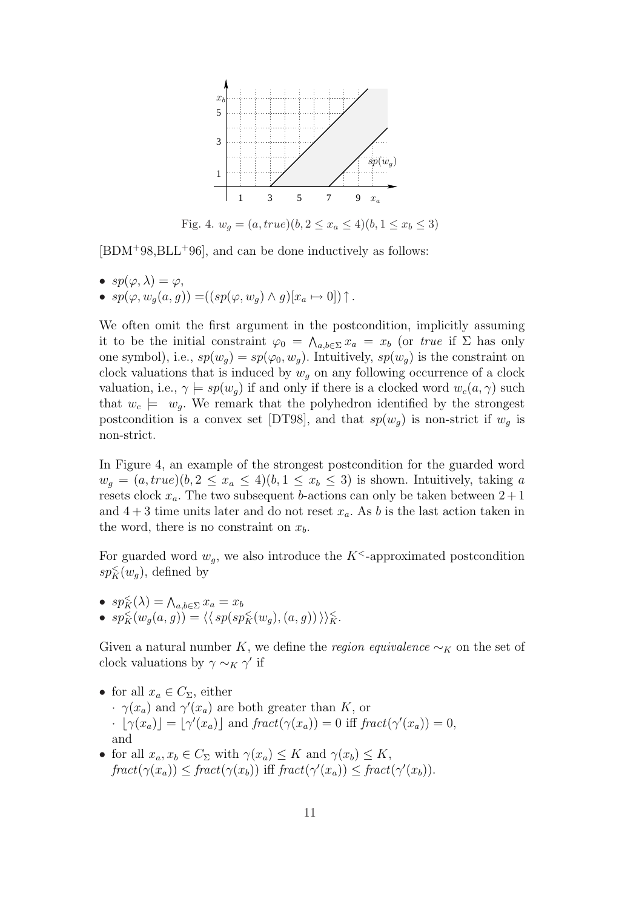

 $[BDM+98,BLL+96]$ , and can be done inductively as follows:

- $sp(\varphi, \lambda) = \varphi$ ,
- $sp(\varphi, w_q(a, q)) = ((sp(\varphi, w_q) \wedge q)[x_q \mapsto 0])$   $\uparrow$ .

We often omit the first argument in the postcondition, implicitly assuming it to be the initial constraint  $\varphi_0 = \bigwedge_{a,b \in \Sigma} x_a = x_b$  (or *true* if  $\Sigma$  has only one symbol), i.e.,  $sp(w_g) = sp(\varphi_0, w_g)$ . Intuitively,  $sp(w_g)$  is the constraint on clock valuations that is induced by  $w_q$  on any following occurrence of a clock valuation, i.e.,  $\gamma \models sp(w_q)$  if and only if there is a clocked word  $w_c(a, \gamma)$  such that  $w_c$  =  $w_q$ . We remark that the polyhedron identified by the strongest postcondition is a convex set [DT98], and that  $sp(w_q)$  is non-strict if  $w_q$  is non-strict.

In Figure 4, an example of the strongest postcondition for the guarded word  $w_g = (a, true)(b, 2 \le x_a \le 4)(b, 1 \le x_b \le 3)$  is shown. Intuitively, taking a resets clock  $x_a$ . The two subsequent b-actions can only be taken between  $2+1$ and  $4+3$  time units later and do not reset  $x_a$ . As b is the last action taken in the word, there is no constraint on  $x_b$ .

For guarded word  $w_g$ , we also introduce the  $K^{\lt}$ -approximated postcondition  $sp_K^{\lt}(w_g)$ , defined by

•  $sp_K^{\lt}(\lambda) = \bigwedge_{a,b \in \Sigma} x_a = x_b$ •  $sp_K^{\lt}(w_g(a,g)) = \langle \langle sp(sp_K^{\lt}(w_g), (a,g)) \rangle \rangle_K^{\lt}$ .

Given a natural number K, we define the region equivalence  $\sim_K$  on the set of clock valuations by  $\gamma \sim_K \gamma'$  if

- for all  $x_a \in C_{\Sigma}$ , either  $\cdot \gamma(x_a)$  and  $\gamma'(x_a)$  are both greater than K, or  $\cdot \lfloor \gamma(x_a) \rfloor = \lfloor \gamma'(x_a) \rfloor$  and  $fract(\gamma(x_a)) = 0$  iff  $fract(\gamma'(x_a)) = 0$ , and
- for all  $x_a, x_b \in C_{\Sigma}$  with  $\gamma(x_a) \leq K$  and  $\gamma(x_b) \leq K$ ,  $fract(\gamma(x_a)) \leq fract(\gamma(x_b))$  iff  $fract(\gamma'(x_a)) \leq fract(\gamma'(x_b)).$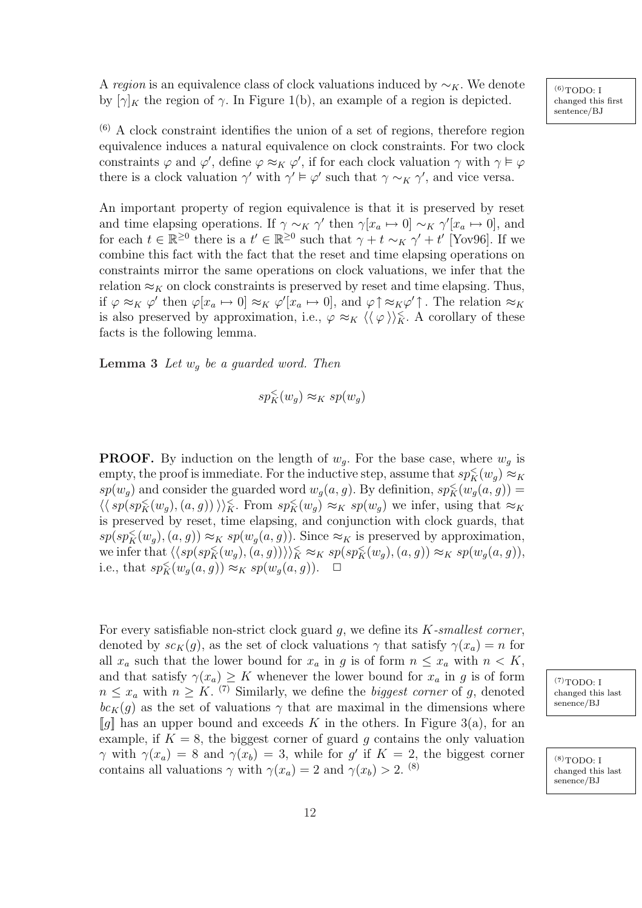A region is an equivalence class of clock valuations induced by  $\sim_K$ . We denote by  $[\gamma]_K$  the region of  $\gamma$ . In Figure 1(b), an example of a region is depicted.

 $(6)$ TODO: I changed this first sentence/BJ

 $(6)$  A clock constraint identifies the union of a set of regions, therefore region equivalence induces a natural equivalence on clock constraints. For two clock constraints  $\varphi$  and  $\varphi'$ , define  $\varphi \approx_K \varphi'$ , if for each clock valuation  $\gamma$  with  $\gamma \models \varphi$ there is a clock valuation  $\gamma'$  with  $\gamma' \models \varphi'$  such that  $\gamma \sim_K \gamma'$ , and vice versa.

An important property of region equivalence is that it is preserved by reset and time elapsing operations. If  $\gamma \sim_K \gamma'$  then  $\gamma[x_a \mapsto 0] \sim_K \gamma'[x_a \mapsto 0]$ , and for each  $t \in \mathbb{R}^{\geq 0}$  there is a  $t' \in \mathbb{R}^{\geq 0}$  such that  $\gamma + t \sim_K \gamma' + t'$  [Yov96]. If we combine this fact with the fact that the reset and time elapsing operations on constraints mirror the same operations on clock valuations, we infer that the relation  $\approx_K$  on clock constraints is preserved by reset and time elapsing. Thus, if  $\varphi \approx_K \varphi'$  then  $\varphi[x_a \mapsto 0] \approx_K \varphi'[x_a \mapsto 0]$ , and  $\varphi \uparrow \approx_K \varphi' \uparrow$ . The relation  $\approx_K \varphi$ is also preserved by approximation, i.e.,  $\varphi \approx_K \langle \langle \varphi \rangle \rangle_K^{\leq}$ . A corollary of these facts is the following lemma.

**Lemma 3** Let  $w_q$  be a guarded word. Then

$$
sp_K^<(w_g) \approx_K sp(w_g)
$$

**PROOF.** By induction on the length of  $w_g$ . For the base case, where  $w_g$  is empty, the proof is immediate. For the inductive step, assume that  $sp_K^{\leq}(w_g) \approx_K$  $sp(w_g)$  and consider the guarded word  $w_g(a, g)$ . By definition,  $sp_K^{\lt}(w_g(a, g))$  =  $\langle \langle sp(sp<sub>K</sub><sup>lt</sup>(w<sub>g</sub>), (a, g)) \rangle \rangle<sub>K</sub><sup>lt</sup>$ . From  $sp<sub>K</sub><sup>lt</sup>(w<sub>g</sub>) \approx_{K} sp(w<sub>g</sub>)$  we infer, using that  $\approx_{K}$ is preserved by reset, time elapsing, and conjunction with clock guards, that  $sp(sp<sub>K</sub><sup><</sup>(w<sub>g</sub>),(a, g)) \approx_{K} sp(w<sub>g</sub>(a, g))$ . Since  $\approx_{K}$  is preserved by approximation, we infer that  $\langle \langle sp(sp<sub>K</sub><sup>lt</sup>(w<sub>g</sub>), (a, g)) \rangle \rangle_K \approx_K sp(sp<sub>K</sub><sup>lt</sup>(w<sub>g</sub>), (a, g)) \approx_K sp(w<sub>g</sub>(a, g)),$ i.e., that  $sp_K^{\lt}(w_g(a,g)) \approx_K sp(w_g(a,g))$ .  $\Box$ 

For every satisfiable non-strict clock guard  $g$ , we define its  $K$ -smallest corner, denoted by  $sc_K(g)$ , as the set of clock valuations  $\gamma$  that satisfy  $\gamma(x_a) = n$  for all  $x_a$  such that the lower bound for  $x_a$  in g is of form  $n \leq x_a$  with  $n \leq K$ , and that satisfy  $\gamma(x_a) \geq K$  whenever the lower bound for  $x_a$  in g is of form  $n \leq x_a$  with  $n \geq K$ . <sup>(7)</sup> Similarly, we define the *biggest corner* of g, denoted  $\overline{bc_K(g)}$  as the set of valuations  $\gamma$  that are maximal in the dimensions where senerge senerge [g] has an upper bound and exceeds K in the others. In Figure 3(a), for an example, if  $K = 8$ , the biggest corner of guard q contains the only valuation  $\gamma$  with  $\gamma(x_a) = 8$  and  $\gamma(x_b) = 3$ , while for g' if  $K = 2$ , the biggest corner contains all valuations  $\gamma$  with  $\gamma(x_a) = 2$  and  $\gamma(x_b) > 2$ . <sup>(8)</sup>

 $(7)$ TODO: I changed this last

 $(8)$ TODO: I changed this last senence/BJ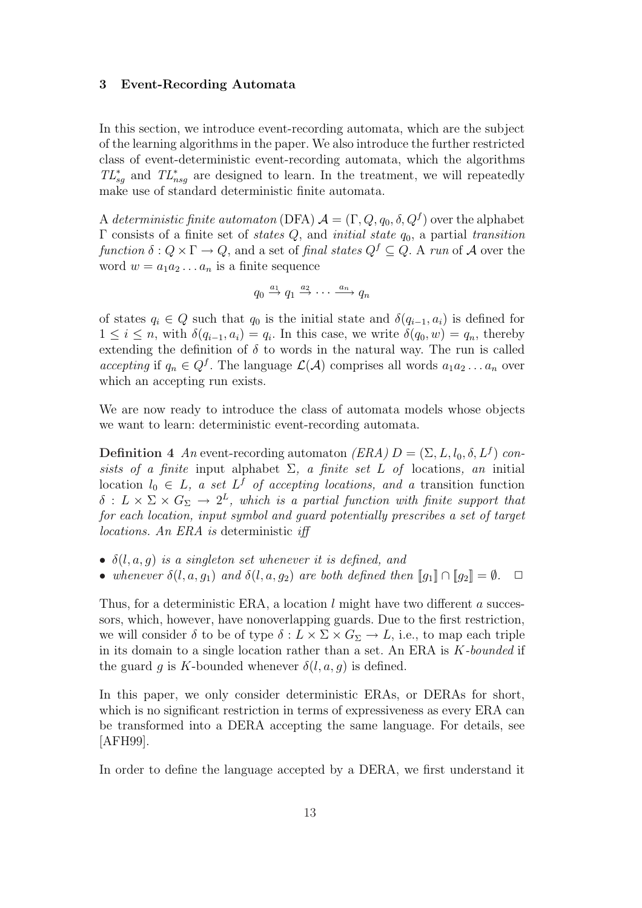#### 3 Event-Recording Automata

In this section, we introduce event-recording automata, which are the subject of the learning algorithms in the paper. We also introduce the further restricted class of event-deterministic event-recording automata, which the algorithms  $TL_{sg}^*$  and  $TL_{nsg}^*$  are designed to learn. In the treatment, we will repeatedly make use of standard deterministic finite automata.

A deterministic finite automaton (DFA)  $\mathcal{A} = (\Gamma, Q, q_0, \delta, Q^f)$  over the alphabet Γ consists of a finite set of *states Q*, and *initial state q*<sub>0</sub>, a partial transition function  $\delta: Q \times \Gamma \to Q$ , and a set of final states  $Q^f \subseteq Q$ . A run of A over the word  $w = a_1 a_2 \dots a_n$  is a finite sequence

$$
q_0 \xrightarrow{a_1} q_1 \xrightarrow{a_2} \cdots \xrightarrow{a_n} q_n
$$

of states  $q_i \in Q$  such that  $q_0$  is the initial state and  $\delta(q_{i-1}, a_i)$  is defined for  $1 \leq i \leq n$ , with  $\delta(q_{i-1}, a_i) = q_i$ . In this case, we write  $\delta(q_0, w) = q_n$ , thereby extending the definition of  $\delta$  to words in the natural way. The run is called accepting if  $q_n \in Q^f$ . The language  $\mathcal{L}(\mathcal{A})$  comprises all words  $a_1 a_2 \ldots a_n$  over which an accepting run exists.

We are now ready to introduce the class of automata models whose objects we want to learn: deterministic event-recording automata.

**Definition** 4 An event-recording automaton  $(ERA) D = (\Sigma, L, l_0, \delta, L^f)$  consists of a finite input alphabet  $\Sigma$ , a finite set L of locations, an initial location  $l_0 \in L$ , a set  $L^f$  of accepting locations, and a transition function  $\delta: L \times \Sigma \times G_{\Sigma} \to 2^L$ , which is a partial function with finite support that for each location, input symbol and guard potentially prescribes a set of target locations. An ERA is deterministic iff

- $\delta(l, a, g)$  is a singleton set whenever it is defined, and
- whenever  $\delta(l, a, g_1)$  and  $\delta(l, a, g_2)$  are both defined then  $\llbracket g_1 \rrbracket \cap \llbracket g_2 \rrbracket = \emptyset$ .

Thus, for a deterministic ERA, a location  $l$  might have two different a successors, which, however, have nonoverlapping guards. Due to the first restriction, we will consider  $\delta$  to be of type  $\delta: L \times \Sigma \times G_{\Sigma} \to L$ , i.e., to map each triple in its domain to a single location rather than a set. An ERA is  $K$ -bounded if the guard q is K-bounded whenever  $\delta(l, a, q)$  is defined.

In this paper, we only consider deterministic ERAs, or DERAs for short, which is no significant restriction in terms of expressiveness as every ERA can be transformed into a DERA accepting the same language. For details, see [AFH99].

In order to define the language accepted by a DERA, we first understand it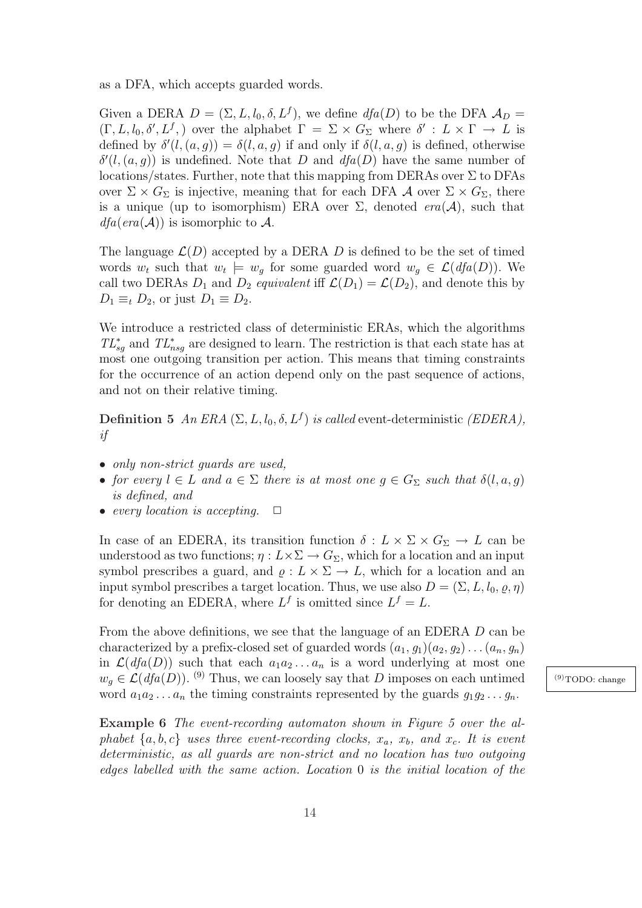as a DFA, which accepts guarded words.

Given a DERA  $D = (\Sigma, L, l_0, \delta, L^f)$ , we define  $df_a(D)$  to be the DFA  $\mathcal{A}_D =$  $(\Gamma, L, l_0, \delta', L^f)$  over the alphabet  $\Gamma = \Sigma \times G_{\Sigma}$  where  $\delta' : L \times \Gamma \to L$  is defined by  $\delta'(l,(a,g)) = \delta(l,a,g)$  if and only if  $\delta(l,a,g)$  is defined, otherwise  $\delta'(l,(a,g))$  is undefined. Note that D and  $dfa(D)$  have the same number of locations/states. Further, note that this mapping from DERAs over  $\Sigma$  to DFAs over  $\Sigma \times G_{\Sigma}$  is injective, meaning that for each DFA A over  $\Sigma \times G_{\Sigma}$ , there is a unique (up to isomorphism) ERA over  $\Sigma$ , denoted  $era(\mathcal{A})$ , such that  $df_a(era(\mathcal{A}))$  is isomorphic to  $\mathcal{A}$ .

The language  $\mathcal{L}(D)$  accepted by a DERA D is defined to be the set of timed words  $w_t$  such that  $w_t \models w_g$  for some guarded word  $w_g \in \mathcal{L}(dfa(D))$ . We call two DERAs  $D_1$  and  $D_2$  equivalent iff  $\mathcal{L}(D_1) = \mathcal{L}(D_2)$ , and denote this by  $D_1 \equiv_t D_2$ , or just  $D_1 \equiv D_2$ .

We introduce a restricted class of deterministic ERAs, which the algorithms  $TL_{sg}^*$  and  $TL_{nsg}^*$  are designed to learn. The restriction is that each state has at most one outgoing transition per action. This means that timing constraints for the occurrence of an action depend only on the past sequence of actions, and not on their relative timing.

**Definition 5** An ERA  $(\Sigma, L, l_0, \delta, L^f)$  is called event-deterministic (EDERA), if

- only non-strict quards are used,
- for every  $l \in L$  and  $a \in \Sigma$  there is at most one  $g \in G_{\Sigma}$  such that  $\delta(l, a, g)$ is defined, and
- every location is accepting.  $\Box$

In case of an EDERA, its transition function  $\delta: L \times \Sigma \times G_{\Sigma} \to L$  can be understood as two functions;  $\eta: L \times \Sigma \to G_{\Sigma}$ , which for a location and an input symbol prescribes a guard, and  $\rho: L \times \Sigma \to L$ , which for a location and an input symbol prescribes a target location. Thus, we use also  $D = (\Sigma, L, l_0, \rho, \eta)$ for denoting an EDERA, where  $L^f$  is omitted since  $L^f = L$ .

From the above definitions, we see that the language of an EDERA D can be characterized by a prefix-closed set of guarded words  $(a_1, g_1)(a_2, g_2)...(a_n, g_n)$ in  $\mathcal{L}(dfa(D))$  such that each  $a_1a_2...a_n$  is a word underlying at most one  $w_q \in \mathcal{L}(dfa(D))$ . <sup>(9)</sup> Thus, we can loosely say that D imposes on each untimed (9)TODO: change word  $a_1 a_2 \ldots a_n$  the timing constraints represented by the guards  $g_1 g_2 \ldots g_n$ .

Example 6 The event-recording automaton shown in Figure 5 over the alphabet  $\{a, b, c\}$  uses three event-recording clocks,  $x_a$ ,  $x_b$ , and  $x_c$ . It is event deterministic, as all guards are non-strict and no location has two outgoing edges labelled with the same action. Location 0 is the initial location of the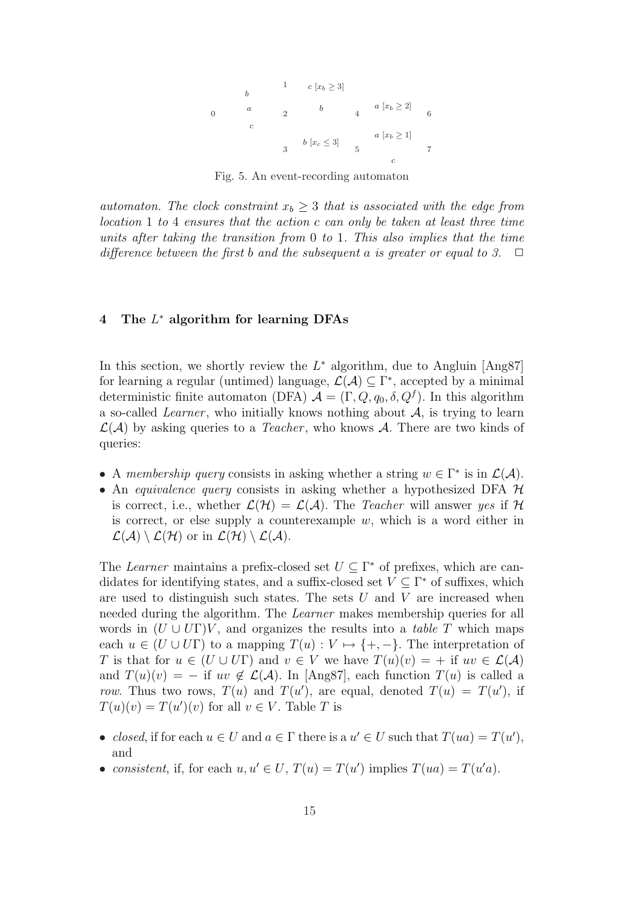

Fig. 5. An event-recording automaton

automaton. The clock constraint  $x_b \geq 3$  that is associated with the edge from location 1 to 4 ensures that the action c can only be taken at least three time units after taking the transition from 0 to 1. This also implies that the time difference between the first b and the subsequent a is greater or equal to 3.  $\Box$ 

## 4 The  $L^*$  algorithm for learning DFAs

In this section, we shortly review the  $L^*$  algorithm, due to Angluin [Ang87] for learning a regular (untimed) language,  $\mathcal{L}(\mathcal{A}) \subseteq \Gamma^*$ , accepted by a minimal deterministic finite automaton (DFA)  $\mathcal{A} = (\Gamma, Q, q_0, \delta, Q^f)$ . In this algorithm a so-called *Learner*, who initially knows nothing about  $A$ , is trying to learn  $\mathcal{L}(\mathcal{A})$  by asking queries to a *Teacher*, who knows  $\mathcal{A}$ . There are two kinds of queries:

- A membership query consists in asking whether a string  $w \in \Gamma^*$  is in  $\mathcal{L}(\mathcal{A})$ .
- An equivalence query consists in asking whether a hypothesized DFA  $\mathcal H$ is correct, i.e., whether  $\mathcal{L}(\mathcal{H}) = \mathcal{L}(\mathcal{A})$ . The Teacher will answer yes if H is correct, or else supply a counterexample  $w$ , which is a word either in  $\mathcal{L}(\mathcal{A}) \setminus \mathcal{L}(\mathcal{H})$  or in  $\mathcal{L}(\mathcal{H}) \setminus \mathcal{L}(\mathcal{A})$ .

The Learner maintains a prefix-closed set  $U \subseteq \Gamma^*$  of prefixes, which are candidates for identifying states, and a suffix-closed set  $V \subseteq \Gamma^*$  of suffixes, which are used to distinguish such states. The sets  $U$  and  $V$  are increased when needed during the algorithm. The Learner makes membership queries for all words in  $(U \cup U\Gamma)V$ , and organizes the results into a *table T* which maps each  $u \in (U \cup U\Gamma)$  to a mapping  $T(u): V \mapsto \{+, -\}.$  The interpretation of T is that for  $u \in (U \cup U\Gamma)$  and  $v \in V$  we have  $T(u)(v) = +$  if  $uv \in \mathcal{L}(\mathcal{A})$ and  $T(u)(v) = -$  if  $uv \notin \mathcal{L}(\mathcal{A})$ . In [Ang87], each function  $T(u)$  is called a row. Thus two rows,  $T(u)$  and  $T(u')$ , are equal, denoted  $T(u) = T(u')$ , if  $T(u)(v) = T(u')(v)$  for all  $v \in V$ . Table T is

- closed, if for each  $u \in U$  and  $a \in \Gamma$  there is a  $u' \in U$  such that  $T(ua) = T(u')$ , and
- consistent, if, for each  $u, u' \in U$ ,  $T(u) = T(u')$  implies  $T(ua) = T(u'a)$ .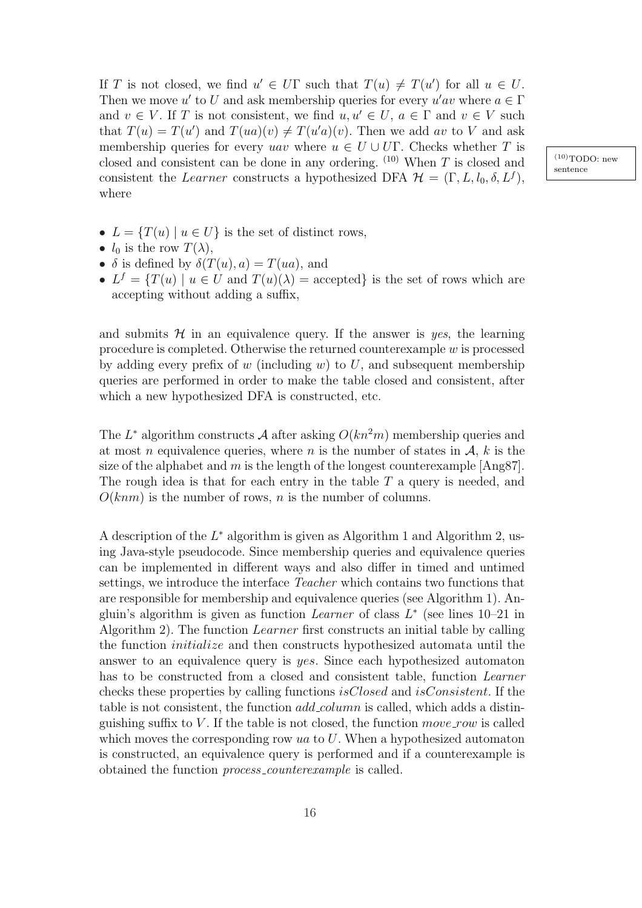If T is not closed, we find  $u' \in U\Gamma$  such that  $T(u) \neq T(u')$  for all  $u \in U$ . Then we move u' to U and ask membership queries for every  $u'av$  where  $a \in \Gamma$ and  $v \in V$ . If T is not consistent, we find  $u, u' \in U$ ,  $a \in \Gamma$  and  $v \in V$  such that  $T(u) = T(u')$  and  $T(ua)(v) \neq T(u'a)(v)$ . Then we add av to V and ask membership queries for every uav where  $u \in U \cup U\Gamma$ . Checks whether T is closed and consistent can be done in any ordering. <sup>(10)</sup> When T is closed and  $\left| \right|^{(10)TODO: new}$ consistent the Learner constructs a hypothesized DFA  $\mathcal{H} = (\Gamma, L, l_0, \delta, L^f),$ where

sentence

- $L = \{T(u) \mid u \in U\}$  is the set of distinct rows,
- $l_0$  is the row  $T(\lambda)$ ,
- $\delta$  is defined by  $\delta(T(u), a) = T(ua)$ , and
- $L^f = \{T(u) \mid u \in U \text{ and } T(u)(\lambda) = \text{accepted}\}\$ is the set of rows which are accepting without adding a suffix,

and submits  $\mathcal H$  in an equivalence query. If the answer is yes, the learning procedure is completed. Otherwise the returned counterexample  $w$  is processed by adding every prefix of w (including w) to U, and subsequent membership queries are performed in order to make the table closed and consistent, after which a new hypothesized DFA is constructed, etc.

The  $L^*$  algorithm constructs A after asking  $O(kn^2m)$  membership queries and at most n equivalence queries, where n is the number of states in  $A$ , k is the size of the alphabet and m is the length of the longest counterexample  $[Ang87]$ . The rough idea is that for each entry in the table  $T$  a query is needed, and  $O(knm)$  is the number of rows, n is the number of columns.

A description of the  $L^*$  algorithm is given as Algorithm 1 and Algorithm 2, using Java-style pseudocode. Since membership queries and equivalence queries can be implemented in different ways and also differ in timed and untimed settings, we introduce the interface Teacher which contains two functions that are responsible for membership and equivalence queries (see Algorithm 1). Angluin's algorithm is given as function *Learner* of class  $L^*$  (see lines 10–21 in Algorithm 2). The function Learner first constructs an initial table by calling the function initialize and then constructs hypothesized automata until the answer to an equivalence query is yes. Since each hypothesized automaton has to be constructed from a closed and consistent table, function Learner checks these properties by calling functions  $isClosed$  and  $isConsider$ . If the table is not consistent, the function add column is called, which adds a distinguishing suffix to  $V$ . If the table is not closed, the function move row is called which moves the corresponding row  $ua$  to  $U$ . When a hypothesized automaton is constructed, an equivalence query is performed and if a counterexample is obtained the function process counterexample is called.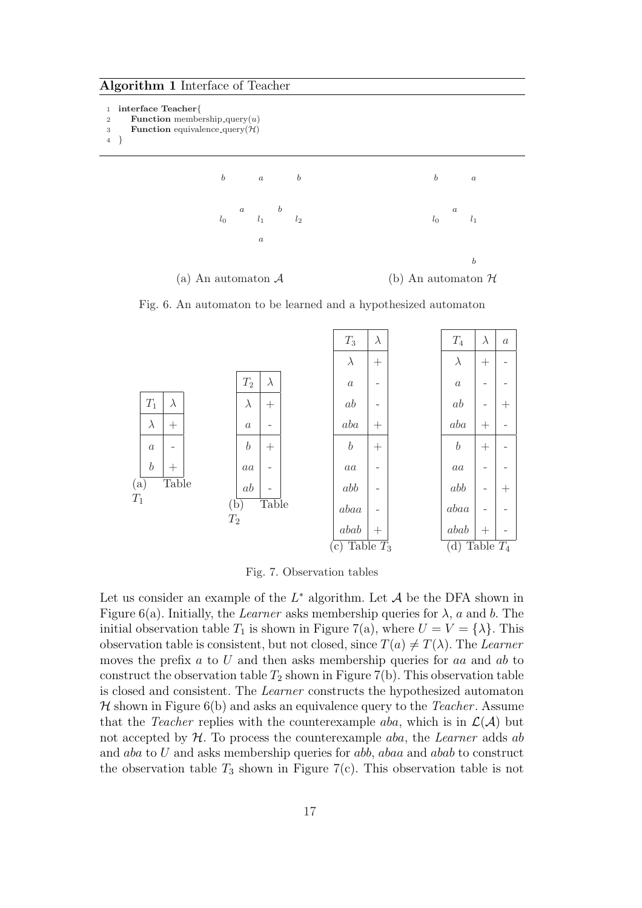| $\overline{\mathbf{2}}$<br>3<br>4 } | 1 interface Teacher{<br><b>Function</b> membership_query $(u)$<br>Function equivalence_query( $\mathcal H$ ) |                               |                                                            |                  |                               |                  |
|-------------------------------------|--------------------------------------------------------------------------------------------------------------|-------------------------------|------------------------------------------------------------|------------------|-------------------------------|------------------|
|                                     |                                                                                                              | $\boldsymbol{b}$              | $\overline{a}$                                             | $\boldsymbol{b}$ | b                             | $\boldsymbol{a}$ |
|                                     |                                                                                                              |                               | $\begin{matrix} & a & & b \\ & & l_1 & & l_2 \end{matrix}$ |                  | $l_0$                         | $l_1$            |
|                                     |                                                                                                              | (a) An automaton $\mathcal A$ | $\boldsymbol{a}$                                           |                  | (b) An automaton $\mathcal H$ | $\boldsymbol{b}$ |

Fig. 6. An automaton to be learned and a hypothesized automaton



Fig. 7. Observation tables

Let us consider an example of the  $L^*$  algorithm. Let  $A$  be the DFA shown in Figure 6(a). Initially, the *Learner* asks membership queries for  $\lambda$ , a and b. The initial observation table  $T_1$  is shown in Figure 7(a), where  $U = V = {\lambda}$ . This observation table is consistent, but not closed, since  $T(a) \neq T(\lambda)$ . The Learner moves the prefix  $a$  to  $U$  and then asks membership queries for  $aa$  and  $ab$  to construct the observation table  $T_2$  shown in Figure 7(b). This observation table is closed and consistent. The Learner constructs the hypothesized automaton  $H$  shown in Figure 6(b) and asks an equivalence query to the *Teacher*. Assume that the Teacher replies with the counterexample aba, which is in  $\mathcal{L}(\mathcal{A})$  but not accepted by  $H$ . To process the counterexample aba, the Learner adds ab and aba to U and asks membership queries for abb, abaa and abab to construct the observation table  $T_3$  shown in Figure 7(c). This observation table is not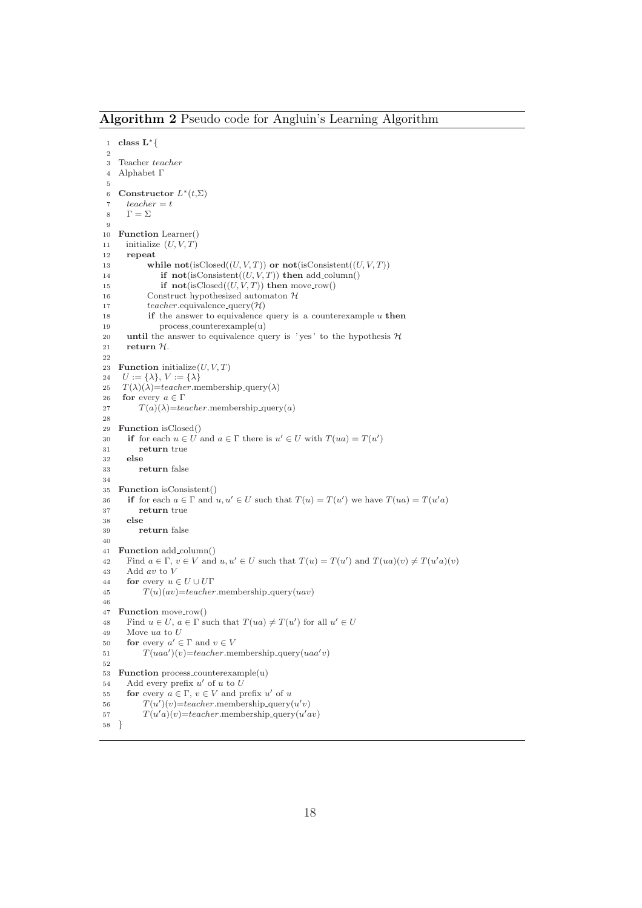Algorithm 2 Pseudo code for Angluin's Learning Algorithm

```
1 class L∗{
\overline{2}3 Teacher teacher
4 Alphabet Γ
5
6 Constructor L^*(t,\Sigma)\tau = teacher = t8 \Gamma = \Sigma9
10 Function Learner()
11 initialize (U, V, T)12 repeat
13 while \text{not}(\text{isClosed}((U, V, T)) \text{ or } \text{not}(\text{isConsistent}((U, V, T))14 if not(isConsistent((U, V, T)) then add column()
15 if not(isClosed((U, V, T)) then move row()
16 Construct hypothesized automaton \mathcal H17 teacher.equivalence query(H)
18 if the answer to equivalence query is a counterexample u then
19 process counterexample(u)
20 until the answer to equivalence query is 'yes' to the hypothesis H21 return H.
22
23 Function initialize (U, V, T)24 U := {\lambda}, V := {\lambda}25 T(\lambda)(\lambda)=teacher.\text{membership\_query}(\lambda)26 for every a \in \Gamma27 T(a)(\lambda)=teacher.membership_query(a)
28
29 Function isClosed()
30 if for each u \in U and a \in \Gamma there is u' \in U with T(ua) = T(u')31 return true
32 else
33 return false
34
35 Function isConsistent()
36 if for each a \in \Gamma and u, u' \in U such that T(u) = T(u') we have T(ua) = T(u'a)37 return true
38 else
39 return false
40
41 Function add column()
42 Find a \in \Gamma, v \in V and u, u' \in U such that T(u) = T(u') and T(ua)(v) \neq T(u'a)(v)43 Add av to V
44 for every u \in U \cup U\Gamma45 T(u)(av) = teacher.membership_query(uav)
46
47 Function move_row()
48 Find u \in U, a \in \Gamma such that T(ua) \neq T(u') for all u' \in U49 Move ua to U
50 for every a' \in \Gamma and v \in V51 T(uaa')(v)=teacher.membership_query(uaa'v)
52
53 Function process counterexample(u)
54 Add every prefix u' of u to U
55 for every a \in \Gamma, v \in V and prefix u' of u
56 T(u')(v)=teacher.membership_query(u'v)57 T(u'a)(v) = teacher.membership_query(u'av)58 }
```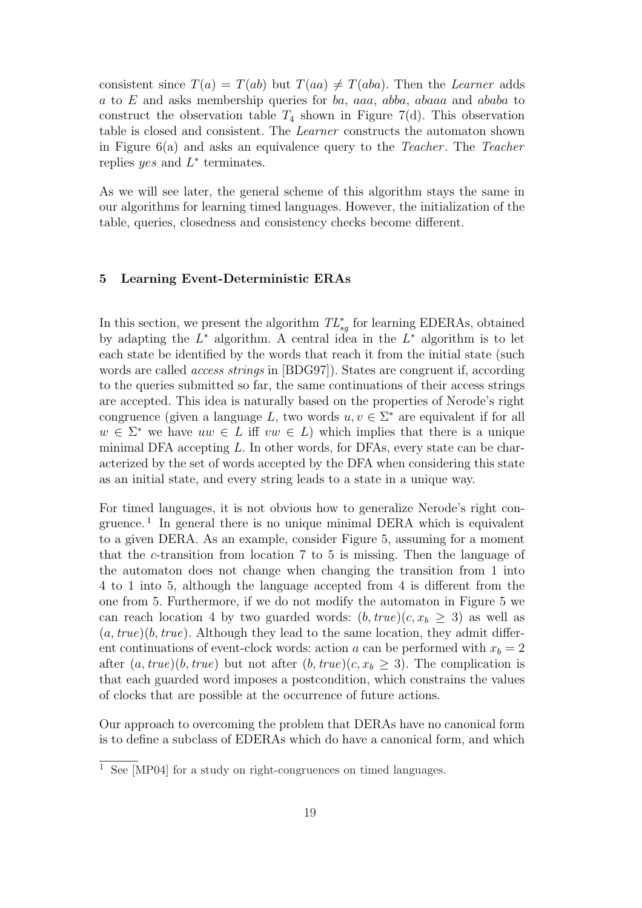consistent since  $T(a) = T(ab)$  but  $T(aa) \neq T(aba)$ . Then the Learner adds a to E and asks membership queries for ba, aaa, abba, abaaa and ababa to construct the observation table  $T_4$  shown in Figure 7(d). This observation table is closed and consistent. The Learner constructs the automaton shown in Figure  $6(a)$  and asks an equivalence query to the *Teacher*. The *Teacher* replies *yes* and  $L^*$  terminates.

As we will see later, the general scheme of this algorithm stays the same in our algorithms for learning timed languages. However, the initialization of the table, queries, closedness and consistency checks become different.

### 5 Learning Event-Deterministic ERAs

In this section, we present the algorithm  $TL_{sg}^*$  for learning EDERAs, obtained by adapting the  $L^*$  algorithm. A central idea in the  $L^*$  algorithm is to let each state be identified by the words that reach it from the initial state (such words are called *access strings* in [BDG97]). States are congruent if, according to the queries submitted so far, the same continuations of their access strings are accepted. This idea is naturally based on the properties of Nerode's right congruence (given a language L, two words  $u, v \in \Sigma^*$  are equivalent if for all  $w \in \Sigma^*$  we have  $uw \in L$  iff  $vw \in L$ ) which implies that there is a unique minimal DFA accepting  $L$ . In other words, for DFAs, every state can be characterized by the set of words accepted by the DFA when considering this state as an initial state, and every string leads to a state in a unique way.

For timed languages, it is not obvious how to generalize Nerode's right congruence.<sup>1</sup> In general there is no unique minimal DERA which is equivalent to a given DERA. As an example, consider Figure 5, assuming for a moment that the c-transition from location 7 to 5 is missing. Then the language of the automaton does not change when changing the transition from 1 into 4 to 1 into 5, although the language accepted from 4 is different from the one from 5. Furthermore, if we do not modify the automaton in Figure 5 we can reach location 4 by two guarded words:  $(b, true)(c, x_b \geq 3)$  as well as  $(a, true)(b, true)$ . Although they lead to the same location, they admit different continuations of event-clock words: action a can be performed with  $x_b = 2$ after  $(a, true)(b, true)$  but not after  $(b, true)(c, x_b \geq 3)$ . The complication is that each guarded word imposes a postcondition, which constrains the values of clocks that are possible at the occurrence of future actions.

Our approach to overcoming the problem that DERAs have no canonical form is to define a subclass of EDERAs which do have a canonical form, and which

<sup>1</sup> See [MP04] for a study on right-congruences on timed languages.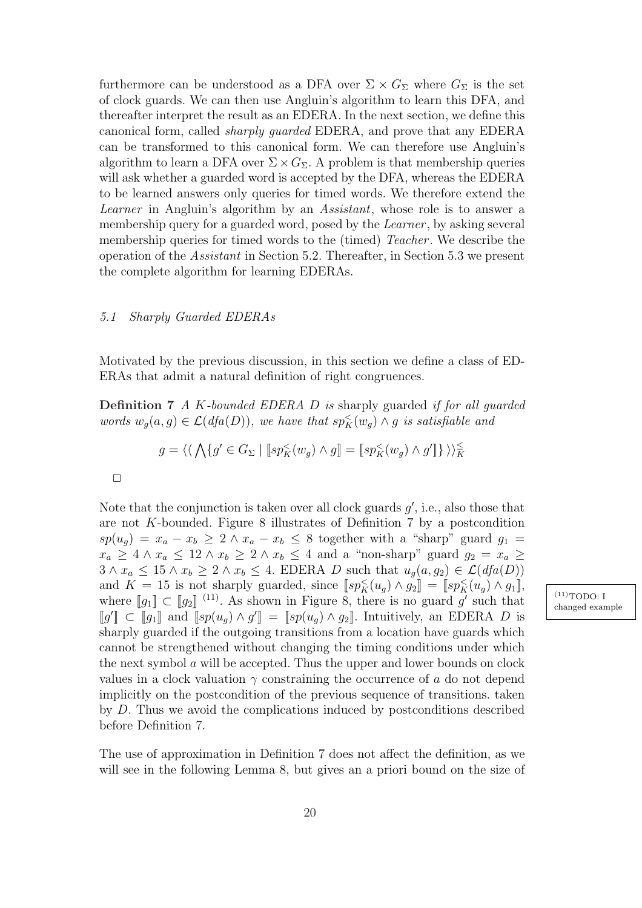furthermore can be understood as a DFA over  $\Sigma \times G_{\Sigma}$  where  $G_{\Sigma}$  is the set of clock guards. We can then use Angluin's algorithm to learn this DFA, and thereafter interpret the result as an EDERA. In the next section, we define this canonical form, called sharply guarded EDERA, and prove that any EDERA can be transformed to this canonical form. We can therefore use Angluin's algorithm to learn a DFA over  $\Sigma \times G_{\Sigma}$ . A problem is that membership queries will ask whether a guarded word is accepted by the DFA, whereas the EDERA to be learned answers only queries for timed words. We therefore extend the Learner in Angluin's algorithm by an Assistant, whose role is to answer a membership query for a guarded word, posed by the *Learner*, by asking several membership queries for timed words to the (timed) *Teacher*. We describe the operation of the Assistant in Section 5.2. Thereafter, in Section 5.3 we present the complete algorithm for learning EDERAs.

#### 5.1 Sharply Guarded EDERAs

Motivated by the previous discussion, in this section we define a class of ED-ERAs that admit a natural definition of right congruences.

Definition 7 A K-bounded EDERA D is sharply guarded if for all guarded words  $w_g(a, g) \in \mathcal{L}(dfa(D))$ , we have that  $sp_K^{\lt}(w_g) \wedge g$  is satisfiable and

$$
g = \langle \langle \bigwedge \{ g' \in G_{\Sigma} \mid [sp_K^{\leq}(w_g) \wedge g] = [sp_K^{\leq}(w_g) \wedge g'] \} \rangle \rangle_K^{\leq}
$$

| ___ |  |
|-----|--|

Note that the conjunction is taken over all clock guards  $g'$ , i.e., also those that are not K-bounded. Figure 8 illustrates of Definition 7 by a postcondition  $sp(u_q) = x_a - x_b \geq 2 \wedge x_a - x_b \leq 8$  together with a "sharp" guard  $g_1 =$  $x_a \geq 4 \wedge x_a \leq 12 \wedge x_b \geq 2 \wedge x_b \leq 4$  and a "non-sharp" guard  $g_2 = x_a \geq$  $3 \wedge x_a \leq 15 \wedge x_b \geq 2 \wedge x_b \leq 4$ . EDERA D such that  $u_g(a, g_2) \in \mathcal{L}(dfa(D))$ and  $K = 15$  is not sharply guarded, since  $\llbracket sp_K^<(u_g) \wedge g_2 \rrbracket = \llbracket sp_K^<(u_g) \wedge g_1 \rrbracket$ , where  $[\![g_1]\!] \subset [\![g_2]\!]$  (11). As shown in Figure 8, there is no guard g' such that  $\left[\right]_{\substack{(11) \text{ TODO: I}\\ \text{changed exa}}}$ [g']  $\subset$  [g<sub>1</sub>] and [sp(u<sub>g</sub>)  $\wedge$  g'] = [sp(u<sub>g</sub>)  $\wedge$  g<sub>2</sub>]. Intuitively, an EDERA D is sharply guarded if the outgoing transitions from a location have guards which cannot be strengthened without changing the timing conditions under which the next symbol  $\alpha$  will be accepted. Thus the upper and lower bounds on clock values in a clock valuation  $\gamma$  constraining the occurrence of a do not depend implicitly on the postcondition of the previous sequence of transitions. taken by D. Thus we avoid the complications induced by postconditions described before Definition 7.

The use of approximation in Definition 7 does not affect the definition, as we will see in the following Lemma 8, but gives an a priori bound on the size of changed example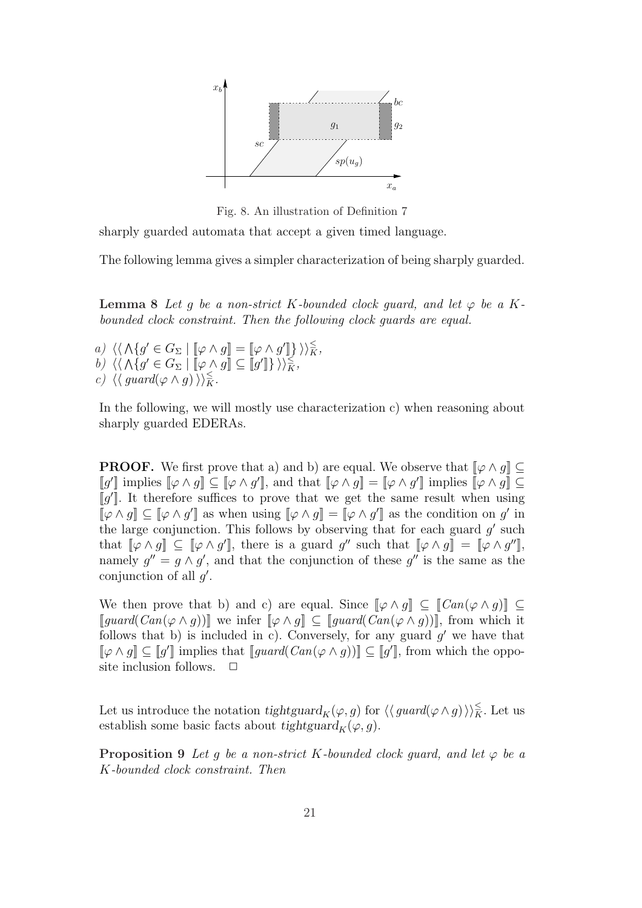

Fig. 8. An illustration of Definition 7

sharply guarded automata that accept a given timed language.

The following lemma gives a simpler characterization of being sharply guarded.

**Lemma 8** Let q be a non-strict K-bounded clock quard, and let  $\varphi$  be a Kbounded clock constraint. Then the following clock guards are equal.

a)  $\langle \langle \Lambda \{ g' \in G_{\Sigma} \mid [\![ \varphi \wedge g ]\!] = [\![ \varphi \wedge g' ]\!] \} \rangle \rangle_K^{\leq}$ , b)  $\langle \langle \Lambda \{ g' \in G_{\Sigma} \mid [\varphi \wedge g] \subseteq [g'] \} \rangle \rangle_{\widehat{K}}^{\widehat{K}}$ , c)  $\langle \langle \text{ guard}(\varphi \wedge g) \rangle \rangle_K^{\leq}$ .

In the following, we will mostly use characterization c) when reasoning about sharply guarded EDERAs.

**PROOF.** We first prove that a) and b) are equal. We observe that  $[\varphi \wedge g] \subseteq$ [g'] implies  $[\![\varphi \wedge g]\!] \subseteq [\![\varphi \wedge g']\!]$ , and that  $[\![\varphi \wedge g]\!] = [\![\varphi \wedge g']\!]$  implies  $[\![\varphi \wedge g]\!] \subseteq$  $\llbracket g' \rrbracket$ . It therefore suffices to prove that we get the same result when using  $[\![\varphi \wedge g]\!] \subseteq [\![\varphi \wedge g']\!]$  as when using  $[\![\varphi \wedge g]\!] = [\![\varphi \wedge g']\!]$  as the condition on g' in the large conjunction. This follows by observing that for each guard  $g'$  such that  $[\![\varphi \wedge g]\!] \subseteq [\![\varphi \wedge g']\!]$ , there is a guard g'' such that  $[\![\varphi \wedge g]\!] = [\![\varphi \wedge g'']\!]$ , namely  $g'' = g \wedge g'$ , and that the conjunction of these  $g''$  is the same as the conjunction of all  $g'$ .

We then prove that b) and c) are equal. Since  $[\varphi \wedge g] \subseteq [Can(\varphi \wedge g)] \subseteq$  $\llbracket \text{quad}(Can(\varphi \wedge q)) \rrbracket$  we infer  $\llbracket \varphi \wedge q \rrbracket \subset \llbracket \text{quad}(Can(\varphi \wedge q)) \rrbracket$ , from which it follows that b) is included in c). Conversely, for any guard  $g'$  we have that  $\llbracket \varphi \wedge g \rrbracket \subseteq \llbracket g' \rrbracket$  implies that  $\llbracket g u \rangle (Can(\varphi \wedge g))] \subseteq \llbracket g' \rrbracket$ , from which the opposite inclusion follows.  $\Box$ 

Let us introduce the notation tightguard<sub>K</sub> $(\varphi, g)$  for  $\langle \langle \textit{guard}(\varphi \land g) \rangle \rangle$ <sub>K</sub>. Let us establish some basic facts about tightguard<sub>K</sub> $(\varphi, g)$ .

**Proposition 9** Let q be a non-strict K-bounded clock quard, and let  $\varphi$  be a K-bounded clock constraint. Then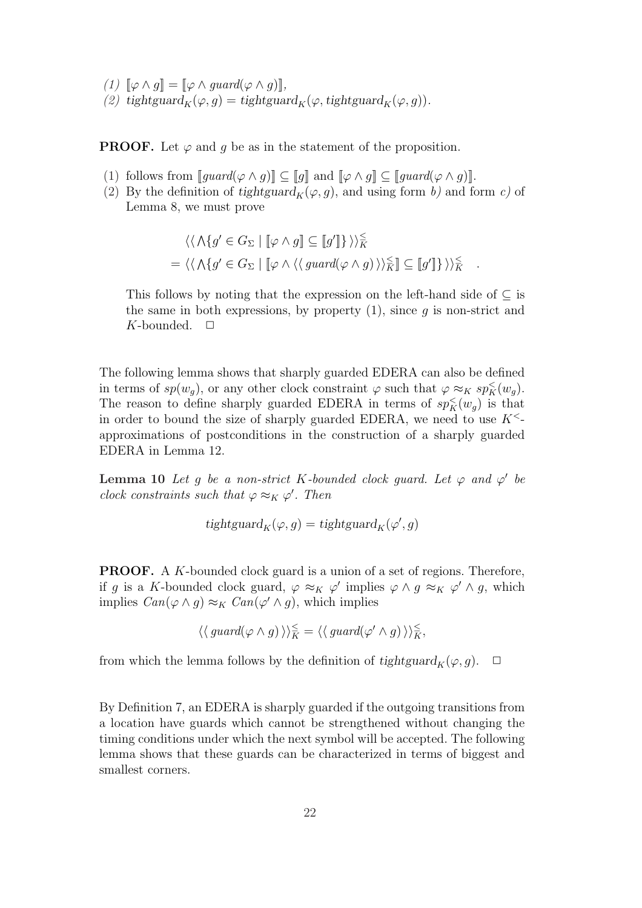- $(1)$   $[\varphi \wedge g] = [\varphi \wedge guard(\varphi \wedge g)],$
- (2) tightguard<sub>K</sub>( $\varphi$ , g) = tightguard<sub>K</sub>( $\varphi$ , tightguard<sub>K</sub>( $\varphi$ , g)).

**PROOF.** Let  $\varphi$  and q be as in the statement of the proposition.

- (1) follows from  $[\text{guard}(\varphi \wedge g)] \subseteq [g]$  and  $[\varphi \wedge g] \subseteq [\text{guard}(\varphi \wedge g)]$ .
- (2) By the definition of tightguard $K(\varphi, g)$ , and using form b) and form c) of Lemma 8, we must prove

$$
\langle \langle \Lambda \{ g' \in G_{\Sigma} \mid [\![ \varphi \wedge g ]\!] \subseteq [ \![ g' ]\!] \} \rangle \rangle_K^{\leq}
$$
  
= 
$$
\langle \langle \Lambda \{ g' \in G_{\Sigma} \mid [\![ \varphi \wedge \langle \langle \text{ guard}(\varphi \wedge g) \rangle \rangle_K^{\leq} ]\!] \subseteq [ \![ g' ]\!] \} \rangle \rangle_K^{\leq} .
$$

This follows by noting that the expression on the left-hand side of  $\subseteq$  is the same in both expressions, by property  $(1)$ , since g is non-strict and K-bounded.  $\square$ 

The following lemma shows that sharply guarded EDERA can also be defined in terms of  $sp(w_g)$ , or any other clock constraint  $\varphi$  such that  $\varphi \approx_K sp_K^{\leq}(w_g)$ . The reason to define sharply guarded EDERA in terms of  $sp_K^{\lt}(w_g)$  is that in order to bound the size of sharply guarded EDERA, we need to use  $K^{\leq}$ approximations of postconditions in the construction of a sharply guarded EDERA in Lemma 12.

**Lemma 10** Let g be a non-strict K-bounded clock guard. Let  $\varphi$  and  $\varphi'$  be clock constraints such that  $\varphi \approx_K \varphi'$ . Then

$$
\textit{tightguard}_K(\varphi,g) = \textit{tightguard}_K(\varphi',g)
$$

PROOF. A K-bounded clock guard is a union of a set of regions. Therefore, if g is a K-bounded clock guard,  $\varphi \approx_K \varphi'$  implies  $\varphi \wedge g \approx_K \varphi' \wedge g$ , which implies  $Can(\varphi \wedge g) \approx_K Can(\varphi' \wedge g)$ , which implies

$$
\langle \langle \mathit{guard}(\varphi \wedge g) \rangle \rangle_K^{\leq} = \langle \langle \mathit{guard}(\varphi' \wedge g) \rangle \rangle_K^{\leq},
$$

from which the lemma follows by the definition of tightguard<sub>K</sub>( $\varphi, g$ ).  $\Box$ 

By Definition 7, an EDERA is sharply guarded if the outgoing transitions from a location have guards which cannot be strengthened without changing the timing conditions under which the next symbol will be accepted. The following lemma shows that these guards can be characterized in terms of biggest and smallest corners.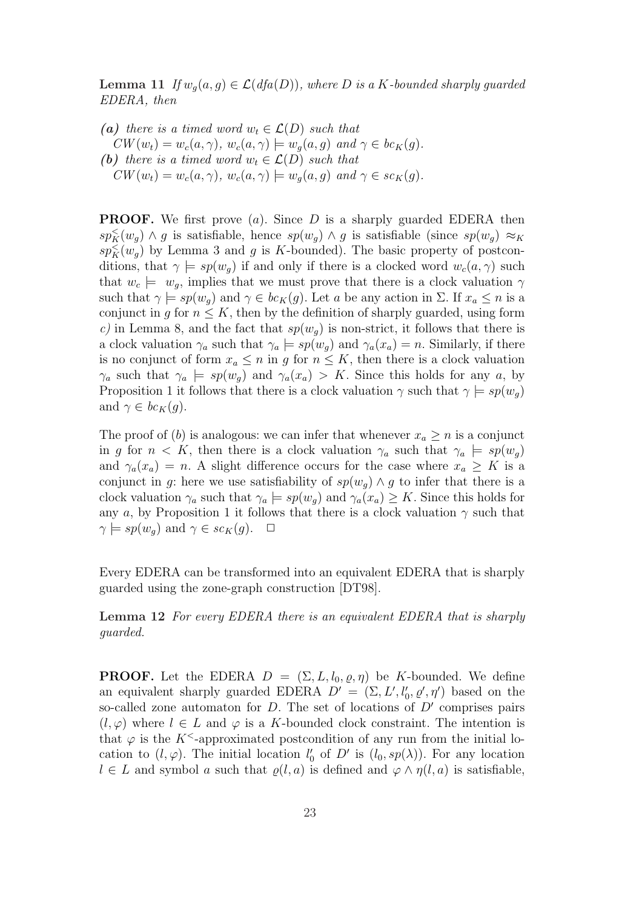**Lemma 11** If  $w_q(a, g) \in \mathcal{L}(df_a(D))$ , where D is a K-bounded sharply guarded EDERA, then

(a) there is a timed word  $w_t \in \mathcal{L}(D)$  such that  $CW(w_t) = w_c(a, \gamma), w_c(a, \gamma) \models w_q(a, g)$  and  $\gamma \in bc_K(g)$ . (b) there is a timed word  $w_t \in \mathcal{L}(D)$  such that  $CW(w_t) = w_c(a, \gamma), w_c(a, \gamma) \models w_q(a, g) \text{ and } \gamma \in sc_K(g).$ 

**PROOF.** We first prove (a). Since D is a sharply guarded EDERA then  $sp_K^{\leq}(w_g) \wedge g$  is satisfiable, hence  $sp(w_g) \wedge g$  is satisfiable (since  $sp(w_g) \approx_K$  $sp_K^{\leq}(w_g)$  by Lemma 3 and g is K-bounded). The basic property of postconditions, that  $\gamma \models sp(w_q)$  if and only if there is a clocked word  $w_c(a, \gamma)$  such that  $w_c$   $\models$   $w_q$ , implies that we must prove that there is a clock valuation  $\gamma$ such that  $\gamma \models sp(w_q)$  and  $\gamma \in bc_K(g)$ . Let a be any action in  $\Sigma$ . If  $x_q \leq n$  is a conjunct in g for  $n \leq K$ , then by the definition of sharply guarded, using form c) in Lemma 8, and the fact that  $sp(w_q)$  is non-strict, it follows that there is a clock valuation  $\gamma_a$  such that  $\gamma_a \models sp(w_g)$  and  $\gamma_a(x_a) = n$ . Similarly, if there is no conjunct of form  $x_a \leq n$  in g for  $n \leq K$ , then there is a clock valuation  $\gamma_a$  such that  $\gamma_a \models sp(w_a)$  and  $\gamma_a(x_a) > K$ . Since this holds for any a, by Proposition 1 it follows that there is a clock valuation  $\gamma$  such that  $\gamma \models sp(w_q)$ and  $\gamma \in bc_K(g)$ .

The proof of (b) is analogous: we can infer that whenever  $x_a \geq n$  is a conjunct in g for  $n < K$ , then there is a clock valuation  $\gamma_a$  such that  $\gamma_a \models sp(w_a)$ and  $\gamma_a(x_a) = n$ . A slight difference occurs for the case where  $x_a \geq K$  is a conjunct in g: here we use satisfiability of  $sp(w_q) \wedge g$  to infer that there is a clock valuation  $\gamma_a$  such that  $\gamma_a \models sp(w_a)$  and  $\gamma_a(x_a) \geq K$ . Since this holds for any a, by Proposition 1 it follows that there is a clock valuation  $\gamma$  such that  $\gamma \models sp(w_q)$  and  $\gamma \in sc_K(q)$ .  $\Box$ 

Every EDERA can be transformed into an equivalent EDERA that is sharply guarded using the zone-graph construction [DT98].

Lemma 12 For every EDERA there is an equivalent EDERA that is sharply guarded.

**PROOF.** Let the EDERA  $D = (\Sigma, L, l_0, \varrho, \eta)$  be K-bounded. We define an equivalent sharply guarded EDERA  $D' = (\Sigma, L', l'_0, \varrho', \eta')$  based on the so-called zone automaton for  $D$ . The set of locations of  $D'$  comprises pairs  $(l, \varphi)$  where  $l \in L$  and  $\varphi$  is a K-bounded clock constraint. The intention is that  $\varphi$  is the K<sup><</sup>-approximated postcondition of any run from the initial location to  $(l, \varphi)$ . The initial location  $l'_0$  of D' is  $(l_0, sp(\lambda))$ . For any location  $l \in L$  and symbol a such that  $\rho(l, a)$  is defined and  $\varphi \wedge \eta(l, a)$  is satisfiable,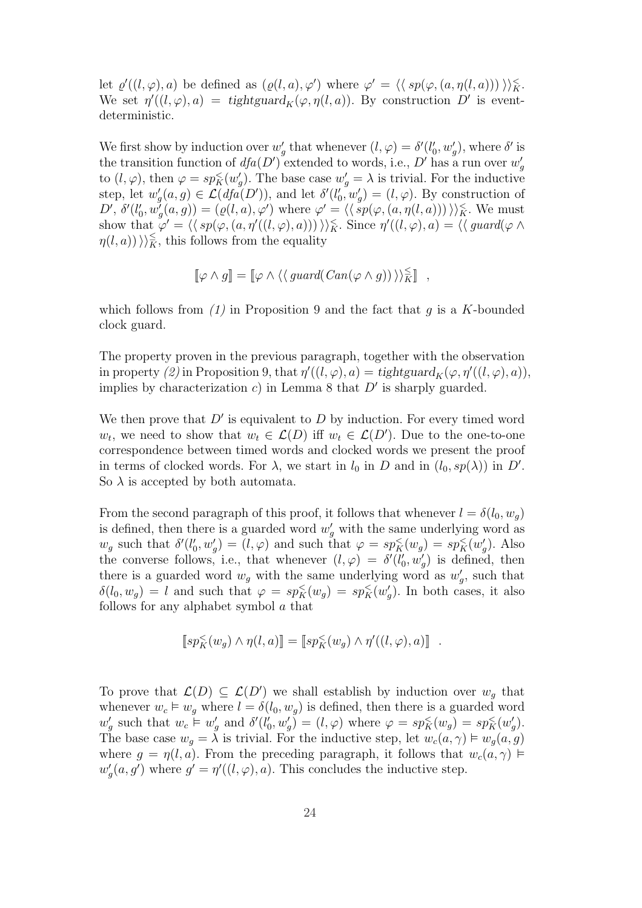let  $\varrho'((l,\varphi),a)$  be defined as  $(\varrho(l,a),\varphi')$  where  $\varphi' = \langle \langle sp(\varphi,(a,\eta(l,a))) \rangle \rangle_K^{\leq}$ . We set  $\eta'((l, \varphi), a) = \text{tightguard}_K(\varphi, \eta(l, a))$ . By construction D' is eventdeterministic.

We first show by induction over  $w'_g$  that whenever  $(l, \varphi) = \delta'(l'_0, w'_g)$ , where  $\delta'$  is the transition function of  $df_a(D')$  extended to words, i.e., D' has a run over  $w'_g$ to  $(l, \varphi)$ , then  $\varphi = sp_K^{\leq}(w_g')$ . The base case  $w_g' = \lambda$  is trivial. For the inductive step, let  $w'_g(a,g) \in \mathcal{L}(dfa(D'))$ , and let  $\delta'(l'_0, w'_g) = (l, \varphi)$ . By construction of  $D', \delta'(\ell'_0, w'_g(a, g)) = (\varrho(l, a), \varphi')$  where  $\varphi' = \langle \langle sp(\varphi, (a, \eta(l, a))) \rangle \rangle_K^{\le}$ . We must show that  $\varphi' = \langle \langle sp(\varphi, (a, \eta'((l, \varphi), a))) \rangle \rangle_K^{\leq}$ . Since  $\eta'((l, \varphi), a) = \langle \langle \text{ guard}(\varphi \land \varphi') \rangle_{\mathcal{A}}^{\leq} \rangle_{\mathcal{A}}$  $\eta(l, a) \rangle \rangle_K^{\leq}$ , this follows from the equality

$$
[\![\varphi \wedge g]\!] = [\![\varphi \wedge \langle \langle \mathit{guard}(Can(\varphi \wedge g)) \rangle \rangle \}]^{\leq}_{K} ],
$$

which follows from  $(1)$  in Proposition 9 and the fact that g is a K-bounded clock guard.

The property proven in the previous paragraph, together with the observation in property (2) in Proposition 9, that  $\eta'((l, \varphi), a) = t$ ightguard $_K(\varphi, \eta'((l, \varphi), a))$ , implies by characterization  $c$ ) in Lemma 8 that  $D'$  is sharply guarded.

We then prove that  $D'$  is equivalent to  $D$  by induction. For every timed word  $w_t$ , we need to show that  $w_t \in \mathcal{L}(D)$  iff  $w_t \in \mathcal{L}(D')$ . Due to the one-to-one correspondence between timed words and clocked words we present the proof in terms of clocked words. For  $\lambda$ , we start in  $l_0$  in D and in  $(l_0, sp(\lambda))$  in D'. So  $\lambda$  is accepted by both automata.

From the second paragraph of this proof, it follows that whenever  $l = \delta(l_0, w_q)$ is defined, then there is a guarded word  $w'_g$  with the same underlying word as  $w_g$  such that  $\delta'(l'_0, w'_g) = (l, \varphi)$  and such that  $\varphi = sp_K^{\leq}(w_g) = sp_K^{\leq}(w'_g)$ . Also the converse follows, i.e., that whenever  $(l, \varphi) = \delta'(l'_0, w'_g)$  is defined, then there is a guarded word  $w_g$  with the same underlying word as  $w'_g$ , such that  $\delta(l_0, w_g) = l$  and such that  $\varphi = sp_K^{\leq}(w_g) = sp_K^{\leq}(w'_g)$ . In both cases, it also follows for any alphabet symbol  $a$  that

$$
[\![sp_K^{\lt}(w_g) \wedge \eta(l,a)]\!] = [\![sp_K^{\lt}(w_g) \wedge \eta'((l,\varphi),a)]\!]
$$
.

To prove that  $\mathcal{L}(D) \subseteq \mathcal{L}(D')$  we shall establish by induction over  $w_g$  that whenever  $w_c \vDash w_g$  where  $l = \delta(l_0, w_g)$  is defined, then there is a guarded word  $w'_g$  such that  $w_c \vDash w'_g$  and  $\delta'(l'_0, w'_g) = (l, \varphi)$  where  $\varphi = sp_K^{\leq}(w_g) = sp_K^{\leq}(w'_g)$ . The base case  $w_g = \lambda$  is trivial. For the inductive step, let  $w_c(a, \gamma) \models w_g(a, g)$ where  $g = \eta(l, a)$ . From the preceding paragraph, it follows that  $w_c(a, \gamma) \models$  $w'_g(a, g')$  where  $g' = \eta'((l, \varphi), a)$ . This concludes the inductive step.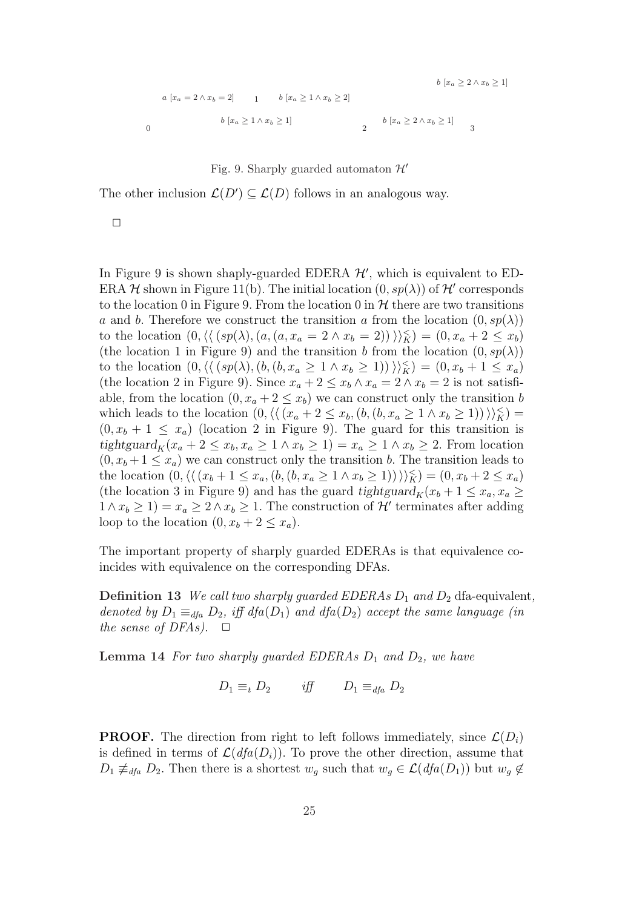$b [x_a \geq 2 \wedge x_b \geq 1]$ 

 $a [x_a = 2 \wedge x_b = 2]$   $1 \qquad b [x_a \ge 1 \wedge x_b \ge 2]$  $b [x_a \ge 1 \land x_b \ge 1]$   $b [x_a \ge 2 \land x_b \ge 1]$  3

Fig. 9. Sharply guarded automaton  $\mathcal{H}'$ 

The other inclusion  $\mathcal{L}(D') \subseteq \mathcal{L}(D)$  follows in an analogous way.

 $\Box$ 

 $\theta$ 

In Figure 9 is shown shaply-guarded EDERA  $\mathcal{H}'$ , which is equivalent to ED-ERA H shown in Figure 11(b). The initial location  $(0, sp(\lambda))$  of H' corresponds to the location 0 in Figure 9. From the location 0 in  $\mathcal{H}$  there are two transitions a and b. Therefore we construct the transition a from the location  $(0, sp(\lambda))$ to the location  $(0, \langle \langle (sp(\lambda), (a, (a, x_a = 2 \wedge x_b = 2))) \rangle \rangle_K^{\leq} ) = (0, x_a + 2 \leq x_b)$ (the location 1 in Figure 9) and the transition b from the location  $(0, sp(\lambda))$ to the location  $(0, \langle \langle (sp(\lambda), (b, (b, x_a \geq 1 \land x_b \geq 1))) \rangle \rangle_K^{\leq} ) = (0, x_b + 1 \leq x_a)$ (the location 2 in Figure 9). Since  $x_a + 2 \le x_b \wedge x_a = 2 \wedge x_b = 2$  is not satisfiable, from the location  $(0, x_a + 2 \le x_b)$  we can construct only the transition b which leads to the location  $(0, \langle (x_a + 2 \le x_b, (b, (b, x_a \ge 1 \land x_b \ge 1))) \rangle)_K^{\langle}$  $(0, x_b + 1 \leq x_a)$  (location 2 in Figure 9). The guard for this transition is tightguard<sub>K</sub> $(x_a + 2 \le x_b, x_a \ge 1 \land x_b \ge 1) = x_a \ge 1 \land x_b \ge 2$ . From location  $(0, x_b + 1 \le x_a)$  we can construct only the transition b. The transition leads to the location  $(0, \langle (x_b + 1 \le x_a, (b, (b, x_a \ge 1 \land x_b \ge 1))) \rangle \rangle_K^{\le} = (0, x_b + 2 \le x_a)$ (the location 3 in Figure 9) and has the guard tightguard<sub>K</sub> $(x_b + 1 \le x_a, x_a \ge$  $1 \wedge x_b \geq 1$  =  $x_a \geq 2 \wedge x_b \geq 1$ . The construction of  $\mathcal{H}'$  terminates after adding loop to the location  $(0, x_b + 2 \leq x_a)$ .

The important property of sharply guarded EDERAs is that equivalence coincides with equivalence on the corresponding DFAs.

**Definition 13** We call two sharply guarded EDERAs  $D_1$  and  $D_2$  dfa-equivalent, denoted by  $D_1 \equiv_{dfa} D_2$ , iff  $df_a(D_1)$  and  $df_a(D_2)$  accept the same language (in the sense of DFAs).  $\Box$ 

**Lemma 14** For two sharply guarded EDERAs  $D_1$  and  $D_2$ , we have

 $D_1 \equiv_t D_2$  iff  $D_1 \equiv_{dfa} D_2$ 

**PROOF.** The direction from right to left follows immediately, since  $\mathcal{L}(D_i)$ is defined in terms of  $\mathcal{L}(dfa(D_i))$ . To prove the other direction, assume that  $D_1 \not\equiv_{dfa} D_2$ . Then there is a shortest  $w_g$  such that  $w_g \in \mathcal{L}(dfa(D_1))$  but  $w_g \notin$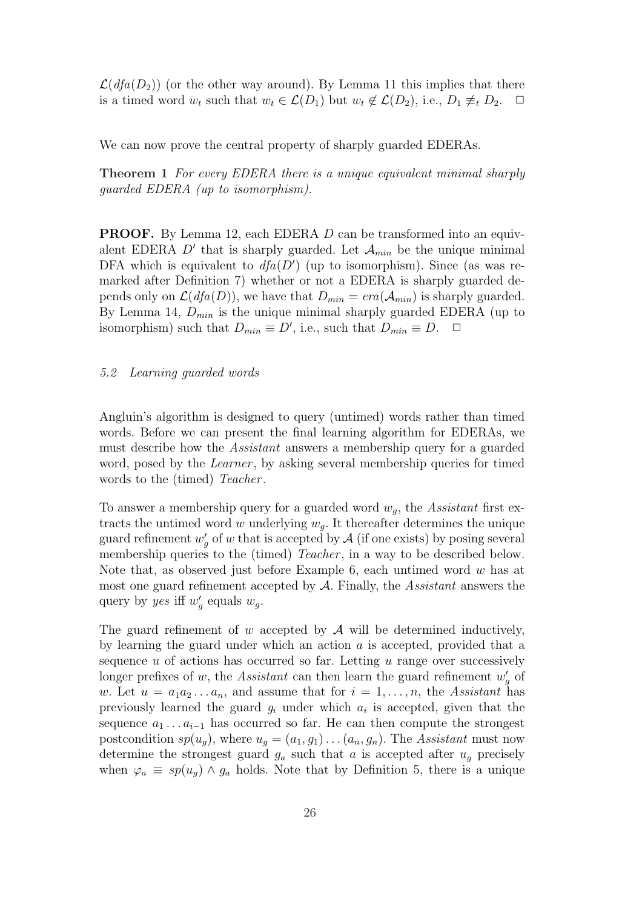$\mathcal{L}(dfa(D_2))$  (or the other way around). By Lemma 11 this implies that there is a timed word  $w_t$  such that  $w_t \in \mathcal{L}(D_1)$  but  $w_t \notin \mathcal{L}(D_2)$ , i.e.,  $D_1 \not\equiv_t D_2$ .  $\Box$ 

We can now prove the central property of sharply guarded EDERAs.

Theorem 1 For every EDERA there is a unique equivalent minimal sharply guarded EDERA (up to isomorphism).

**PROOF.** By Lemma 12, each EDERA D can be transformed into an equivalent EDERA  $D'$  that is sharply guarded. Let  $\mathcal{A}_{min}$  be the unique minimal DFA which is equivalent to  $df_a(D')$  (up to isomorphism). Since (as was remarked after Definition 7) whether or not a EDERA is sharply guarded depends only on  $\mathcal{L}(dfa(D))$ , we have that  $D_{min} = era(\mathcal{A}_{min})$  is sharply guarded. By Lemma 14,  $D_{min}$  is the unique minimal sharply guarded EDERA (up to isomorphism) such that  $D_{min} \equiv D'$ , i.e., such that  $D_{min} \equiv D$ .  $\Box$ 

### 5.2 Learning guarded words

Angluin's algorithm is designed to query (untimed) words rather than timed words. Before we can present the final learning algorithm for EDERAs, we must describe how the Assistant answers a membership query for a guarded word, posed by the *Learner*, by asking several membership queries for timed words to the (timed) *Teacher*.

To answer a membership query for a guarded word  $w_q$ , the Assistant first extracts the untimed word w underlying  $w_g$ . It thereafter determines the unique guard refinement  $w'_g$  of w that is accepted by  $\mathcal A$  (if one exists) by posing several membership queries to the (timed) *Teacher*, in a way to be described below. Note that, as observed just before Example 6, each untimed word  $w$  has at most one guard refinement accepted by  $A$ . Finally, the Assistant answers the query by yes iff  $w'_g$  equals  $w_g$ .

The guard refinement of  $w$  accepted by  $A$  will be determined inductively, by learning the guard under which an action a is accepted, provided that a sequence  $u$  of actions has occurred so far. Letting  $u$  range over successively longer prefixes of w, the Assistant can then learn the guard refinement  $w'_g$  of w. Let  $u = a_1 a_2 \ldots a_n$ , and assume that for  $i = 1, \ldots, n$ , the Assistant has previously learned the guard  $g_i$  under which  $a_i$  is accepted, given that the sequence  $a_1 \ldots a_{i-1}$  has occurred so far. He can then compute the strongest postcondition  $sp(u_q)$ , where  $u_q = (a_1, g_1) \dots (a_n, g_n)$ . The Assistant must now determine the strongest guard  $g_a$  such that a is accepted after  $u_g$  precisely when  $\varphi_a \equiv sp(u_g) \wedge g_a$  holds. Note that by Definition 5, there is a unique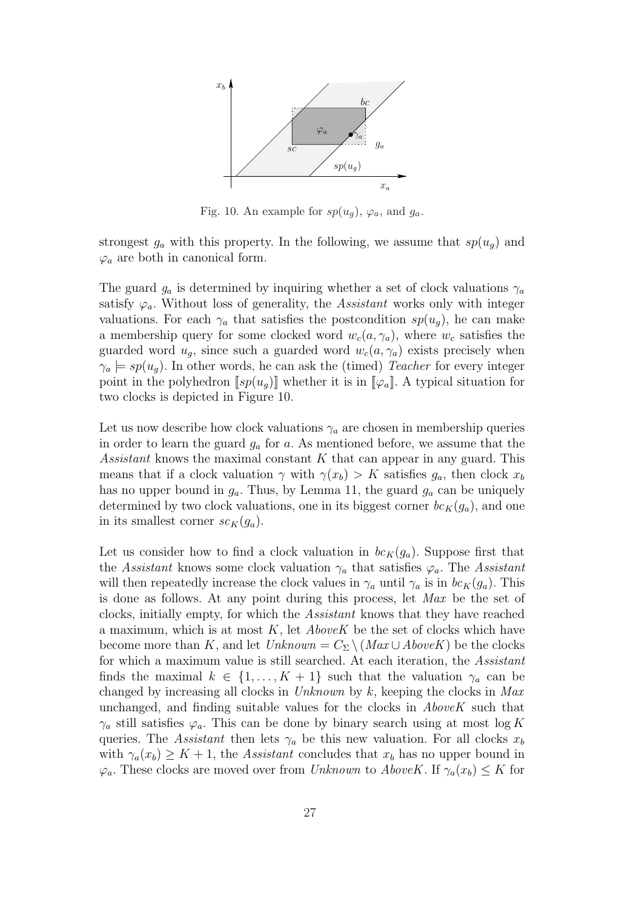

Fig. 10. An example for  $sp(u_g)$ ,  $\varphi_a$ , and  $g_a$ .

strongest  $g_a$  with this property. In the following, we assume that  $sp(u_q)$  and  $\varphi_a$  are both in canonical form.

The guard  $g_a$  is determined by inquiring whether a set of clock valuations  $\gamma_a$ satisfy  $\varphi_a$ . Without loss of generality, the *Assistant* works only with integer valuations. For each  $\gamma_a$  that satisfies the postcondition  $sp(u_a)$ , he can make a membership query for some clocked word  $w_c(a, \gamma_a)$ , where  $w_c$  satisfies the guarded word  $u_q$ , since such a guarded word  $w_c(a, \gamma_a)$  exists precisely when  $\gamma_a \models sp(u_g)$ . In other words, he can ask the (timed) Teacher for every integer point in the polyhedron  $[sp(u_g)]$  whether it is in  $[\varphi_a]$ . A typical situation for two clocks is depicted in Figure 10.

Let us now describe how clock valuations  $\gamma_a$  are chosen in membership queries in order to learn the guard  $g_a$  for a. As mentioned before, we assume that the Assistant knows the maximal constant  $K$  that can appear in any guard. This means that if a clock valuation  $\gamma$  with  $\gamma(x_b) > K$  satisfies  $g_a$ , then clock  $x_b$ has no upper bound in  $g_a$ . Thus, by Lemma 11, the guard  $g_a$  can be uniquely determined by two clock valuations, one in its biggest corner  $bc_K(g_a)$ , and one in its smallest corner  $sc_K(g_a)$ .

Let us consider how to find a clock valuation in  $bc_K(g_a)$ . Suppose first that the Assistant knows some clock valuation  $\gamma_a$  that satisfies  $\varphi_a$ . The Assistant will then repeatedly increase the clock values in  $\gamma_a$  until  $\gamma_a$  is in  $bc_K(q_a)$ . This is done as follows. At any point during this process, let Max be the set of clocks, initially empty, for which the Assistant knows that they have reached a maximum, which is at most  $K$ , let  $AboveK$  be the set of clocks which have become more than K, and let  $Unknown = C_{\Sigma} \setminus (Max \cup AboveK)$  be the clocks for which a maximum value is still searched. At each iteration, the Assistant finds the maximal  $k \in \{1, ..., K + 1\}$  such that the valuation  $\gamma_a$  can be changed by increasing all clocks in Unknown by k, keeping the clocks in Max unchanged, and finding suitable values for the clocks in AboveK such that  $\gamma_a$  still satisfies  $\varphi_a$ . This can be done by binary search using at most log K queries. The Assistant then lets  $\gamma_a$  be this new valuation. For all clocks  $x_b$ with  $\gamma_a(x_b) \geq K + 1$ , the Assistant concludes that  $x_b$  has no upper bound in  $\varphi_a$ . These clocks are moved over from Unknown to AboveK. If  $\gamma_a(x_b) \leq K$  for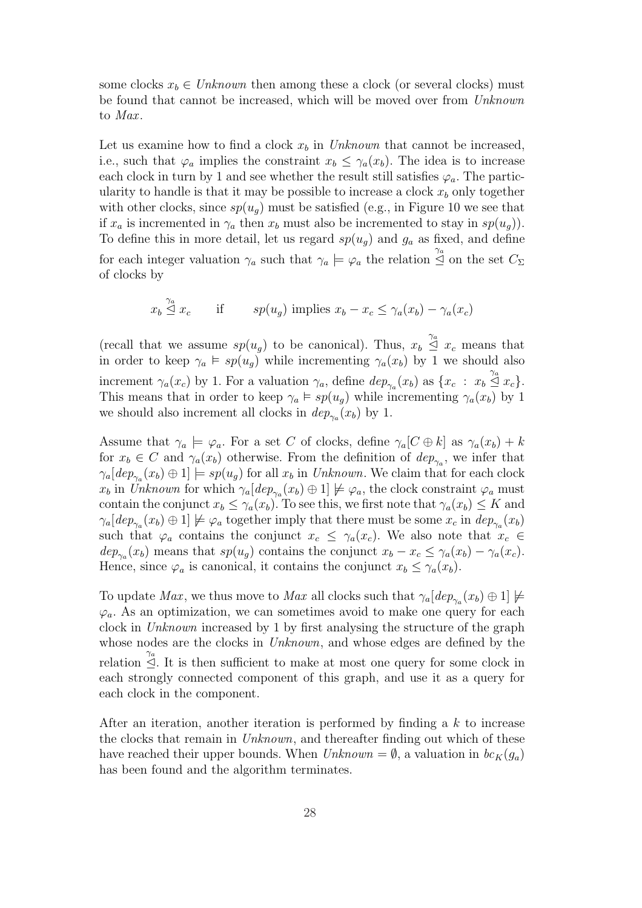some clocks  $x_b \in Unknown$  then among these a clock (or several clocks) must be found that cannot be increased, which will be moved over from Unknown to *Max*.

Let us examine how to find a clock  $x_b$  in Unknown that cannot be increased, i.e., such that  $\varphi_a$  implies the constraint  $x_b \leq \gamma_a(x_b)$ . The idea is to increase each clock in turn by 1 and see whether the result still satisfies  $\varphi_a$ . The particularity to handle is that it may be possible to increase a clock  $x<sub>b</sub>$  only together with other clocks, since  $sp(u_g)$  must be satisfied (e.g., in Figure 10 we see that if  $x_a$  is incremented in  $\gamma_a$  then  $x_b$  must also be incremented to stay in  $sp(u_g)$ . To define this in more detail, let us regard  $sp(u_q)$  and  $g_a$  as fixed, and define for each integer valuation  $\gamma_a$  such that  $\gamma_a \models \varphi_a$  the relation  $\stackrel{\gamma_a}{\leq}$  on the set  $C_{\Sigma}$ 

of clocks by

$$
x_b \stackrel{\gamma_a}{\leq} x_c
$$
 if  $sp(u_g)$  implies  $x_b - x_c \leq \gamma_a(x_b) - \gamma_a(x_c)$ 

(recall that we assume  $sp(u_g)$  to be canonical). Thus,  $x_b \stackrel{\gamma_a}{\leq} x_c$  means that in order to keep  $\gamma_a \models sp(u_g)$  while incrementing  $\gamma_a(x_b)$  by 1 we should also increment  $\gamma_a(x_c)$  by 1. For a valuation  $\gamma_a$ , define  $dep_{\gamma_a}(x_b)$  as  $\{x_c : x_b \stackrel{\gamma_a}{\leq} x_c\}.$ This means that in order to keep  $\gamma_a \models sp(u_g)$  while incrementing  $\gamma_a(x_b)$  by 1 we should also increment all clocks in  $dep_{\gamma_a}(x_b)$  by 1.

Assume that  $\gamma_a \models \varphi_a$ . For a set C of clocks, define  $\gamma_a[C \oplus k]$  as  $\gamma_a(x_b) + k$ for  $x_b \in C$  and  $\gamma_a(x_b)$  otherwise. From the definition of  $dep_{\gamma_a}$ , we infer that  $\gamma_a[dep_{\gamma_a}(x_b) \oplus 1] \models sp(u_g)$  for all  $x_b$  in Unknown. We claim that for each clock  $x_b$  in Unknown for which  $\gamma_a[dep_{\gamma_a}(x_b) \oplus 1] \not\models \varphi_a$ , the clock constraint  $\varphi_a$  must contain the conjunct  $x_b \leq \gamma_a(x_b)$ . To see this, we first note that  $\gamma_a(x_b) \leq K$  and  $\gamma_a[dep_{\gamma_a}(x_b)\oplus 1]\not\models \varphi_a$  together imply that there must be some  $x_c$  in  $dep_{\gamma_a}(x_b)$ such that  $\varphi_a$  contains the conjunct  $x_c \leq \gamma_a(x_c)$ . We also note that  $x_c \in$  $dep_{\gamma_a}(x_b)$  means that  $sp(u_g)$  contains the conjunct  $x_b - x_c \leq \gamma_a(x_b) - \gamma_a(x_c)$ . Hence, since  $\varphi_a$  is canonical, it contains the conjunct  $x_b \leq \gamma_a(x_b)$ .

To update Max, we thus move to Max all clocks such that  $\gamma_a[dep_{\gamma_a}(x_b) \oplus 1] \not\models$  $\varphi_a$ . As an optimization, we can sometimes avoid to make one query for each clock in Unknown increased by 1 by first analysing the structure of the graph whose nodes are the clocks in Unknown, and whose edges are defined by the relation  $\overline{\mathcal{L}}$ . It is then sufficient to make at most one query for some clock in each strongly connected component of this graph, and use it as a query for each clock in the component.

After an iteration, another iteration is performed by finding a  $k$  to increase the clocks that remain in Unknown, and thereafter finding out which of these have reached their upper bounds. When  $Unknown = \emptyset$ , a valuation in  $bc_K(q_a)$ has been found and the algorithm terminates.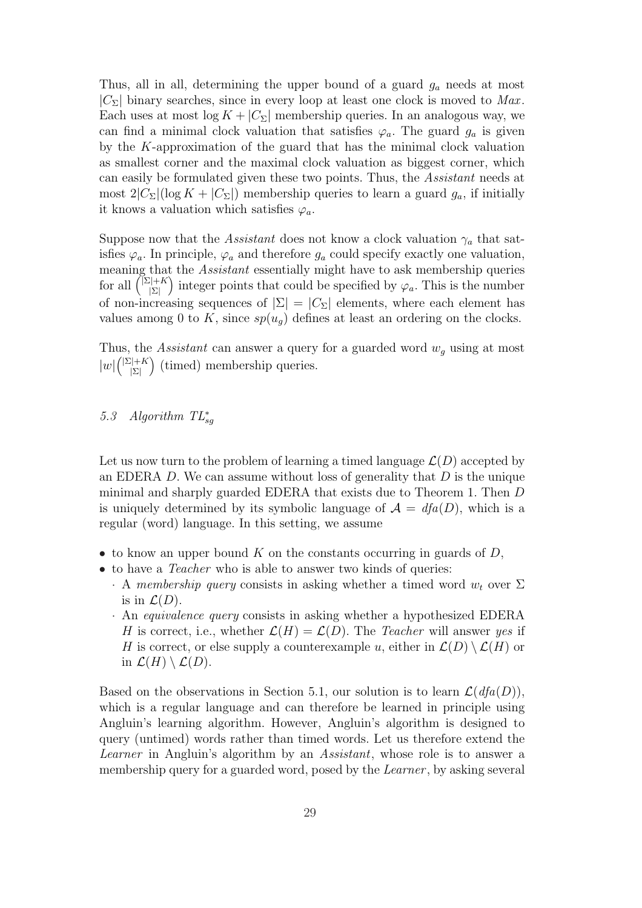Thus, all in all, determining the upper bound of a guard  $g_a$  needs at most  $|C_{\Sigma}|$  binary searches, since in every loop at least one clock is moved to Max. Each uses at most  $\log K + |C_{\Sigma}|$  membership queries. In an analogous way, we can find a minimal clock valuation that satisfies  $\varphi_a$ . The guard  $g_a$  is given by the K-approximation of the guard that has the minimal clock valuation as smallest corner and the maximal clock valuation as biggest corner, which can easily be formulated given these two points. Thus, the Assistant needs at most  $2|C_{\Sigma}|(\log K + |C_{\Sigma}|)$  membership queries to learn a guard  $g_a$ , if initially it knows a valuation which satisfies  $\varphi_a$ .

Suppose now that the Assistant does not know a clock valuation  $\gamma_a$  that satisfies  $\varphi_a$ . In principle,  $\varphi_a$  and therefore  $g_a$  could specify exactly one valuation, meaning that the *Assistant* essentially might have to ask membership queries meaning that<br>for all  $\binom{|\Sigma|+K}{|\Sigma|}$  $\left(\frac{z}{|z|}\right)$  integer points that could be specified by  $\varphi_a$ . This is the number of non-increasing sequences of  $|\Sigma| = |C_{\Sigma}|$  elements, where each element has values among 0 to K, since  $sp(u_q)$  defines at least an ordering on the clocks.

Thus, the Assistant can answer a query for a guarded word  $w_g$  using at most  $|w|^{|\Sigma|+K}_{|\Sigma|}$  $\lim_{|\Sigma|}$  (timed) membership queries.

# 5.3 Algorithm  $TL_{sg}^*$

Let us now turn to the problem of learning a timed language  $\mathcal{L}(D)$  accepted by an EDERA  $D$ . We can assume without loss of generality that  $D$  is the unique minimal and sharply guarded EDERA that exists due to Theorem 1. Then D is uniquely determined by its symbolic language of  $\mathcal{A} = df_a(D)$ , which is a regular (word) language. In this setting, we assume

- to know an upper bound  $K$  on the constants occurring in guards of  $D$ ,
- to have a *Teacher* who is able to answer two kinds of queries:
	- · A membership query consists in asking whether a timed word  $w_t$  over  $\Sigma$ is in  $\mathcal{L}(D)$ .
	- · An equivalence query consists in asking whether a hypothesized EDERA H is correct, i.e., whether  $\mathcal{L}(H) = \mathcal{L}(D)$ . The Teacher will answer yes if H is correct, or else supply a counterexample u, either in  $\mathcal{L}(D) \setminus \mathcal{L}(H)$  or in  $\mathcal{L}(H) \setminus \mathcal{L}(D)$ .

Based on the observations in Section 5.1, our solution is to learn  $\mathcal{L}(dfa(D))$ , which is a regular language and can therefore be learned in principle using Angluin's learning algorithm. However, Angluin's algorithm is designed to query (untimed) words rather than timed words. Let us therefore extend the Learner in Angluin's algorithm by an Assistant, whose role is to answer a membership query for a guarded word, posed by the *Learner*, by asking several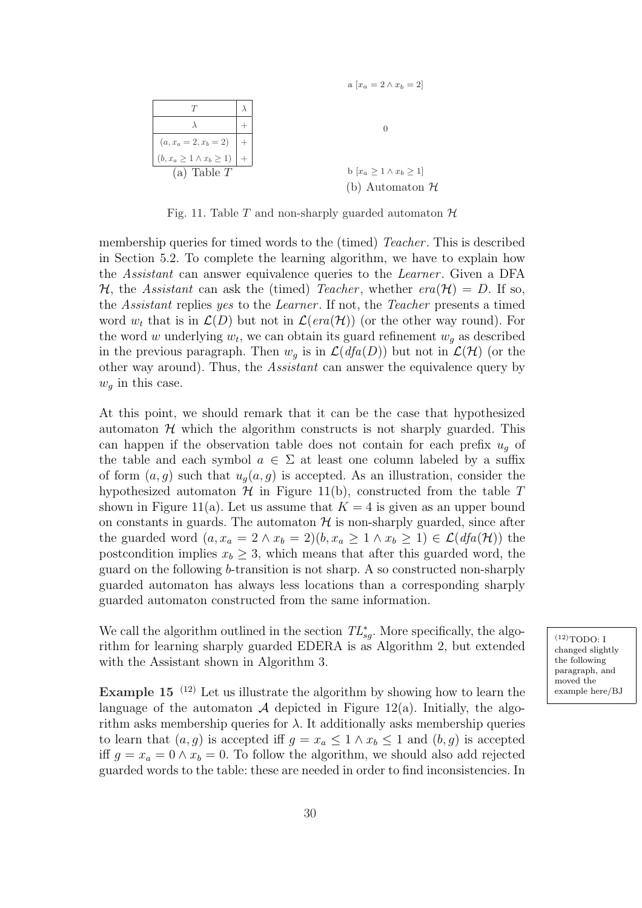|                                                                 |        | a $[x_a = 2 \wedge x_b = 2]$       |
|-----------------------------------------------------------------|--------|------------------------------------|
|                                                                 | λ      |                                    |
|                                                                 | $^{+}$ |                                    |
| $(a, x_a = 2, x_b = 2)$ +<br>$(b, x_a \ge 1 \land x_b \ge 1)$ + |        |                                    |
|                                                                 |        |                                    |
| (a) Table $T$                                                   |        | b $ x_a \geq 1 \wedge x_b \geq 1 $ |
|                                                                 |        | (b) Automaton $\mathcal H$         |

Fig. 11. Table T and non-sharply guarded automaton  $\mathcal H$ 

membership queries for timed words to the (timed) *Teacher*. This is described in Section 5.2. To complete the learning algorithm, we have to explain how the *Assistant* can answer equivalence queries to the *Learner*. Given a DFA  $H$ , the Assistant can ask the (timed) Teacher, whether era $(H) = D$ . If so, the Assistant replies yes to the Learner . If not, the Teacher presents a timed word  $w_t$  that is in  $\mathcal{L}(D)$  but not in  $\mathcal{L}(era(\mathcal{H}))$  (or the other way round). For the word w underlying  $w_t$ , we can obtain its guard refinement  $w_g$  as described in the previous paragraph. Then  $w_q$  is in  $\mathcal{L}(dfa(D))$  but not in  $\mathcal{L}(\mathcal{H})$  (or the other way around). Thus, the Assistant can answer the equivalence query by  $w_q$  in this case.

At this point, we should remark that it can be the case that hypothesized automaton  $H$  which the algorithm constructs is not sharply guarded. This can happen if the observation table does not contain for each prefix  $u<sub>q</sub>$  of the table and each symbol  $a \in \Sigma$  at least one column labeled by a suffix of form  $(a, g)$  such that  $u_q(a, g)$  is accepted. As an illustration, consider the hypothesized automaton  $\mathcal H$  in Figure 11(b), constructed from the table T shown in Figure 11(a). Let us assume that  $K = 4$  is given as an upper bound on constants in guards. The automaton  $H$  is non-sharply guarded, since after the guarded word  $(a, x_a = 2 \wedge x_b = 2)(b, x_a \ge 1 \wedge x_b \ge 1) \in \mathcal{L}(df_a(\mathcal{H}))$  the postcondition implies  $x_b \geq 3$ , which means that after this guarded word, the guard on the following b-transition is not sharp. A so constructed non-sharply guarded automaton has always less locations than a corresponding sharply guarded automaton constructed from the same information.

We call the algorithm outlined in the section  $TL_{sg}^*$ . More specifically, the algorithm for learning sharply guarded EDERA is as Algorithm 2, but extended with the Assistant shown in Algorithm 3.

Example 15  $(12)$  Let us illustrate the algorithm by showing how to learn the language of the automaton  $\mathcal A$  depicted in Figure 12(a). Initially, the algorithm asks membership queries for  $\lambda$ . It additionally asks membership queries to learn that  $(a, g)$  is accepted iff  $g = x_a \leq 1 \wedge x_b \leq 1$  and  $(b, g)$  is accepted iff  $g = x_a = 0 \wedge x_b = 0$ . To follow the algorithm, we should also add rejected guarded words to the table: these are needed in order to find inconsistencies. In

 $(12)$ TODO: I changed slightly the following paragraph, and moved the<br>example here/BJ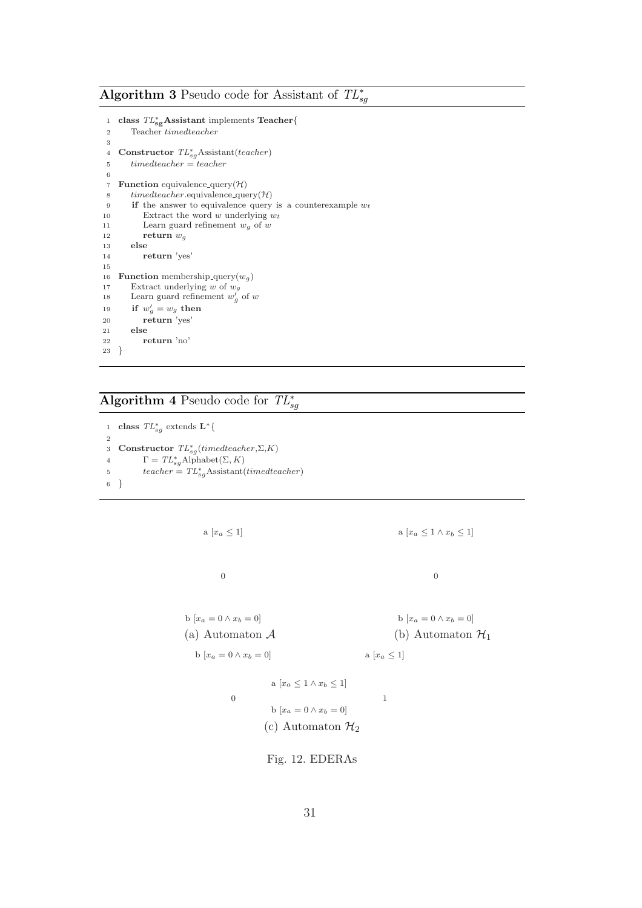# Algorithm 3 Pseudo code for Assistant of  $TL_{sg}^*$

```
1 class TL_{sg}^*Assistant implements Teacher{
2 Teacher timedteacher
3
 4 Constructor TL_{sg}^*Assistant(teacher)
5 timeq teacher = teacher6
7 Function equivalence query(\mathcal{H})8 timedteacher.equivalence_query(H)
9 if the answer to equivalence query is a counterexample w_t10 Extract the word w underlying w_t11 Learn guard refinement w_g of w<br>12 return w_greturn w_g13 else
14 return 'yes'
15
16 Function membership query(w_g)17 Extract underlying w of w_g18 Learn guard refinement w'_g of w
19 if w'_g = w_g then
20 return 'yes'
21 else
22 return 'no'
23 }
```
# Algorithm 4 Pseudo code for  $TL_{sg}^*$

```
1 class TL_{sg}^* extends \mathbf{L}^*\{2
3 Constructor TL_{sg}^*(timedteacher, \Sigma, K)4 \Gamma = TL_{sg}^* \text{Alphabet}(\Sigma, K)5 teacher = TL_{sg}^{*} \text{Assistant}(timed teacher)6 }
```
a  $[x_a \leq 1]$ 

```
0
b [x_a = 0 \wedge x_b = 0](a) Automaton A
                                                       0
                                               b [x_a = 0 \wedge x_b = 0](b) Automaton \mathcal{H}_1\sim 1
  b [x_a = 0 \land x_b = 0] a [x_a \le 1]a [x_a \leq 1 \land x_b \leq 1]b [x_a = 0 \land x_b = 0](c) Automaton \mathcal{H}_2Fig. 12. EDERAs
```
a  $[x_a \leq 1 \land x_b \leq 1]$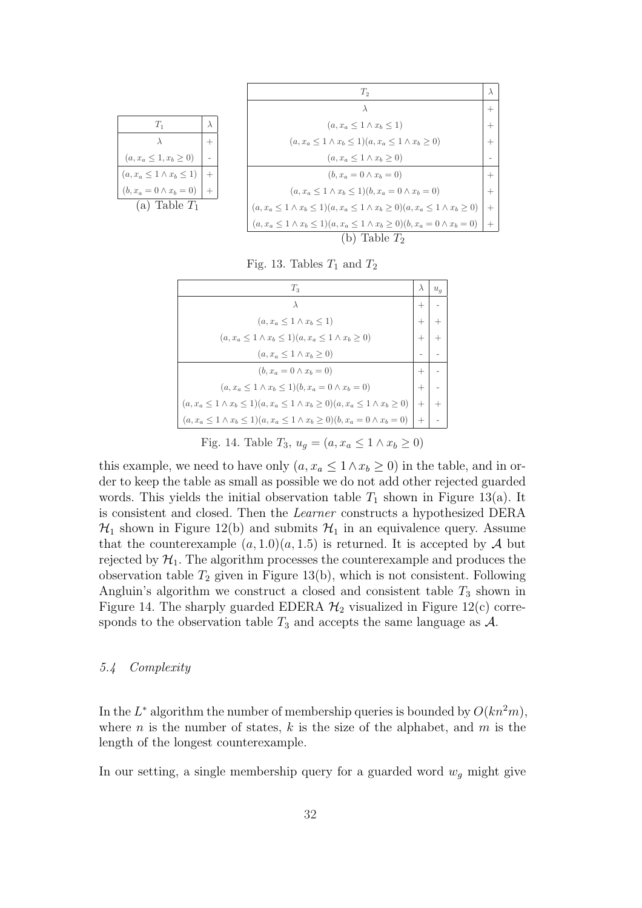

Fig. 13. Tables  $T_1$  and  $T_2$ 

| $T_3$                                                                                              |                | $u_{\alpha}$ |
|----------------------------------------------------------------------------------------------------|----------------|--------------|
| $\lambda$                                                                                          |                |              |
| $(a, x_a \leq 1 \wedge x_b \leq 1)$                                                                |                |              |
| $(a, x_a \leq 1 \land x_b \leq 1)(a, x_a \leq 1 \land x_b \geq 0)$                                 | $^+$           |              |
| $(a, x_a \leq 1 \wedge x_b \geq 0)$                                                                |                |              |
| $(b, x_a = 0 \wedge x_b = 0)$                                                                      |                |              |
| $(a, x_a \leq 1 \land x_b \leq 1)(b, x_a = 0 \land x_b = 0)$                                       | $^{+}$         |              |
| $(a, x_a \leq 1 \land x_b \leq 1)(a, x_a \leq 1 \land x_b \geq 0)(a, x_a \leq 1 \land x_b \geq 0)$ | $\overline{+}$ |              |
| $(a, x_a \leq 1 \land x_b \leq 1)(a, x_a \leq 1 \land x_b \geq 0)(b, x_a = 0 \land x_b = 0)$       |                |              |

Fig. 14. Table  $T_3$ ,  $u_q = (a, x_a \le 1 \land x_b \ge 0)$ 

this example, we need to have only  $(a, x_a \leq 1 \land x_b \geq 0)$  in the table, and in order to keep the table as small as possible we do not add other rejected guarded words. This yields the initial observation table  $T_1$  shown in Figure 13(a). It is consistent and closed. Then the Learner constructs a hypothesized DERA  $\mathcal{H}_1$  shown in Figure 12(b) and submits  $\mathcal{H}_1$  in an equivalence query. Assume that the counterexample  $(a, 1.0)(a, 1.5)$  is returned. It is accepted by A but rejected by  $\mathcal{H}_1$ . The algorithm processes the counterexample and produces the observation table  $T_2$  given in Figure 13(b), which is not consistent. Following Angluin's algorithm we construct a closed and consistent table  $T_3$  shown in Figure 14. The sharply guarded EDERA  $\mathcal{H}_2$  visualized in Figure 12(c) corresponds to the observation table  $T_3$  and accepts the same language as A.

## 5.4 Complexity

In the  $L^*$  algorithm the number of membership queries is bounded by  $O(kn^2m)$ , where *n* is the number of states,  $k$  is the size of the alphabet, and  $m$  is the length of the longest counterexample.

In our setting, a single membership query for a guarded word  $w<sub>q</sub>$  might give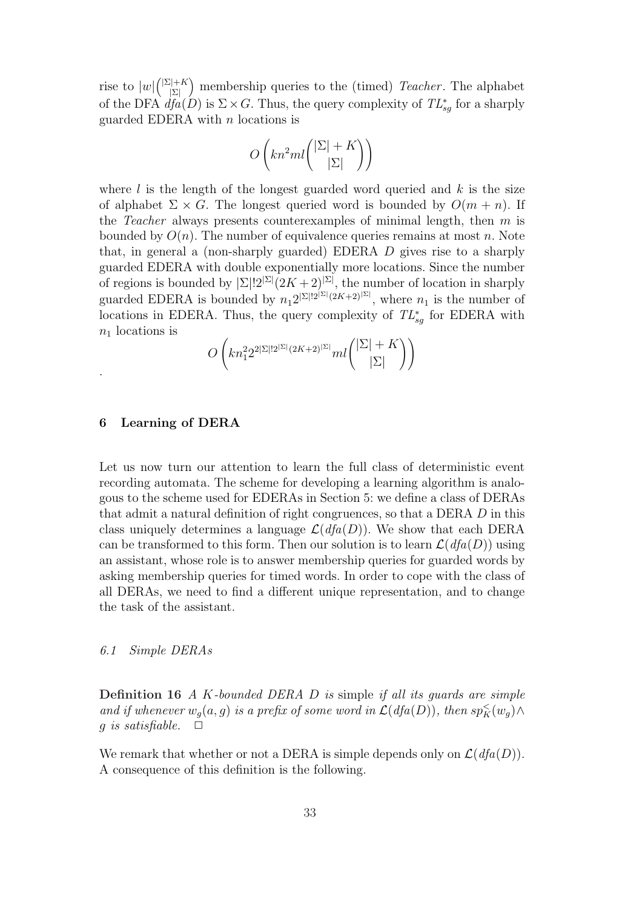rise to  $|w|$  $\sqrt{|\Sigma|+K}$ |Σ| ´ membership queries to the (timed) Teacher. The alphabet of the DFA  $dfa(D)$  is  $\Sigma \times G$ . Thus, the query complexity of  $TL_{sg}^*$  for a sharply guarded EDERA with  $n$  locations is

$$
O\left(kn^2ml\binom{|\Sigma|+K}{|\Sigma|}\right)
$$

where  $l$  is the length of the longest guarded word queried and  $k$  is the size of alphabet  $\Sigma \times G$ . The longest queried word is bounded by  $O(m + n)$ . If the Teacher always presents counterexamples of minimal length, then  $m$  is bounded by  $O(n)$ . The number of equivalence queries remains at most n. Note that, in general a (non-sharply guarded) EDERA D gives rise to a sharply guarded EDERA with double exponentially more locations. Since the number of regions is bounded by  $|\Sigma|!2^{|\Sigma|}(2K+2)^{|\Sigma|}$ , the number of location in sharply guarded EDERA is bounded by  $n_1 2^{|\Sigma| |2^{|\Sigma|} (2K+2)^{|\Sigma|}}$ , where  $n_1$  is the number of locations in EDERA. Thus, the query complexity of  $TL_{sg}^*$  for EDERA with  $n_1$  locations is  $\overline{a}$  $\sim$   $\sim$ 

$$
O\left(kn_1^2 2^{2|\Sigma|!2^{|\Sigma|}(2K+2)^{|\Sigma|}}u\right)\left(\frac{|\Sigma|+K}{|\Sigma|}\right)\right)
$$

#### 6 Learning of DERA

.

Let us now turn our attention to learn the full class of deterministic event recording automata. The scheme for developing a learning algorithm is analogous to the scheme used for EDERAs in Section 5: we define a class of DERAs that admit a natural definition of right congruences, so that a DERA D in this class uniquely determines a language  $\mathcal{L}(dfa(D))$ . We show that each DERA can be transformed to this form. Then our solution is to learn  $\mathcal{L}(dfa(D))$  using an assistant, whose role is to answer membership queries for guarded words by asking membership queries for timed words. In order to cope with the class of all DERAs, we need to find a different unique representation, and to change the task of the assistant.

#### 6.1 Simple DERAs

Definition 16 A K-bounded DERA D is simple if all its guards are simple and if whenever  $w_g(a, g)$  is a prefix of some word in  $\mathcal{L}(df_a(D))$ , then  $sp_K^{<}(w_g) \wedge$ q is satisfiable.  $\Box$ 

We remark that whether or not a DERA is simple depends only on  $\mathcal{L}(dfa(D))$ . A consequence of this definition is the following.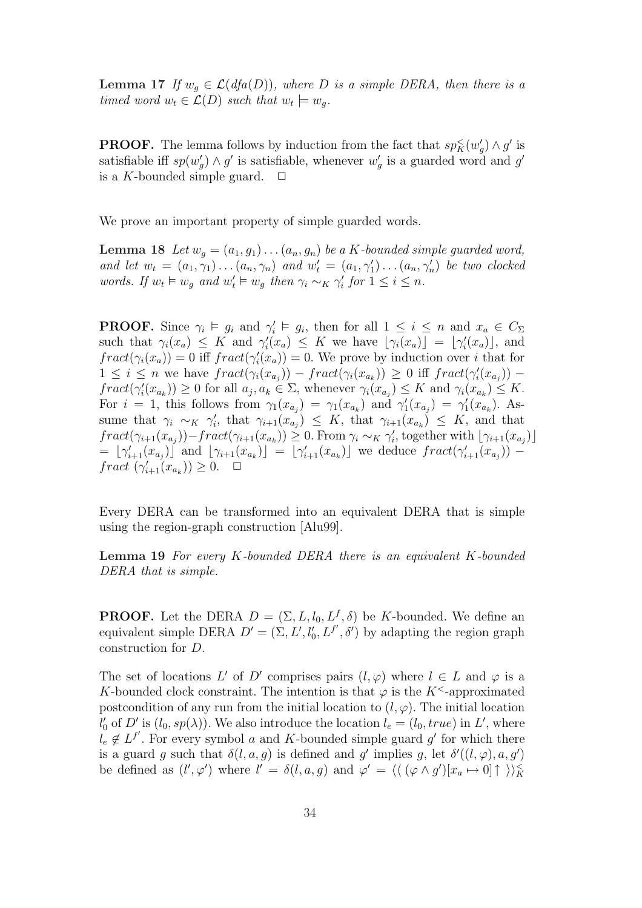**Lemma 17** If  $w_g \in \mathcal{L}(dfa(D))$ , where D is a simple DERA, then there is a timed word  $w_t \in \mathcal{L}(D)$  such that  $w_t \models w_g$ .

**PROOF.** The lemma follows by induction from the fact that  $sp_K^{\lt}(w_g') \wedge g'$  is satisfiable iff  $sp(w'_g) \wedge g'$  is satisfiable, whenever  $w'_g$  is a guarded word and g' is a K-bounded simple guard.  $\Box$ 

We prove an important property of simple guarded words.

**Lemma 18** Let  $w_g = (a_1, g_1) \dots (a_n, g_n)$  be a K-bounded simple guarded word, and let  $w_t = (a_1, \gamma_1) \dots (a_n, \gamma_n)$  and  $w'_t = (a_1, \gamma'_1) \dots (a_n, \gamma'_n)$  be two clocked words. If  $w_t \vDash w_g$  and  $w'_t \vDash w_g$  then  $\gamma_i \sim_K \gamma'_i$  for  $1 \leq i \leq n$ .

**PROOF.** Since  $\gamma_i \models g_i$  and  $\gamma'_i \models g_i$ , then for all  $1 \leq i \leq n$  and  $x_a \in C_{\Sigma}$ such that  $\gamma_i(x_a) \leq K$  and  $\gamma'_i(x_a) \leq K$  we have  $\lfloor \gamma_i(x_a) \rfloor = \lfloor \gamma'_i(x_a) \rfloor$ , and  $fract(\gamma_i(x_a)) = 0$  iff  $fract(\gamma'_i(x_a)) = 0$ . We prove by induction over *i* that for  $1 \leq i \leq n$  we have  $fract(\gamma_i(x_{a_i})) - fract(\gamma_i(x_{a_k})) \geq 0$  iff  $fract(\gamma_i'(x_{a_j}))$  $frac(\gamma_i'(x_{a_k})) \geq 0$  for all  $a_j, a_k \in \Sigma$ , whenever  $\gamma_i(x_{a_j}) \leq K$  and  $\gamma_i(x_{a_k}) \leq K$ . For  $i = 1$ , this follows from  $\gamma_1(x_{a_j}) = \gamma_1(x_{a_k})$  and  $\gamma'_1(x_{a_j}) = \gamma'_1(x_{a_k})$ . Assume that  $\gamma_i \sim_K \gamma'_i$ , that  $\gamma_{i+1}(x_{a_i}) \leq K$ , that  $\gamma_{i+1}(x_{a_k}) \leq K$ , and that  $frac(\gamma_{i+1}(x_{a_j})) - fract(\gamma_{i+1}(x_{a_k})) \geq 0.$  From  $\gamma_i \sim_K \gamma'_i$ , together with  $\lfloor \gamma_{i+1}(x_{a_j}) \rfloor$  $= [\gamma'_{i+1}(x_{a_j})]$  and  $[\gamma_{i+1}(x_{a_k})] = [\gamma'_{i+1}(x_{a_k})]$  we deduce  $fract(\gamma'_{i+1}(x_{a_j}))$  fract  $(\gamma_{i+1}'(x_{a_k})) \geq 0. \quad \Box$ 

Every DERA can be transformed into an equivalent DERA that is simple using the region-graph construction [Alu99].

Lemma 19 For every K-bounded DERA there is an equivalent K-bounded DERA that is simple.

**PROOF.** Let the DERA  $D = (\Sigma, L, l_0, L^f, \delta)$  be K-bounded. We define an equivalent simple DERA  $D' = (\Sigma, L', l'_0, L^{f'}, \delta')$  by adapting the region graph construction for D.

The set of locations L' of D' comprises pairs  $(l, \varphi)$  where  $l \in L$  and  $\varphi$  is a K-bounded clock constraint. The intention is that  $\varphi$  is the K<sup><-</sup>approximated postcondition of any run from the initial location to  $(l, \varphi)$ . The initial location  $l'_0$  of D' is  $(l_0, sp(\lambda))$ . We also introduce the location  $l_e = (l_0, true)$  in L', where  $l_e \notin L^{f'}$ . For every symbol a and K-bounded simple guard g' for which there is a guard g such that  $\delta(l, a, g)$  is defined and g' implies g, let  $\delta'((l, \varphi), a, g')$ be defined as  $(l', \varphi')$  where  $l' = \delta(l, a, g)$  and  $\varphi' = \langle (\varphi \wedge g')[x_a \mapsto 0] \uparrow \rangle \rangle_K^{\leq}$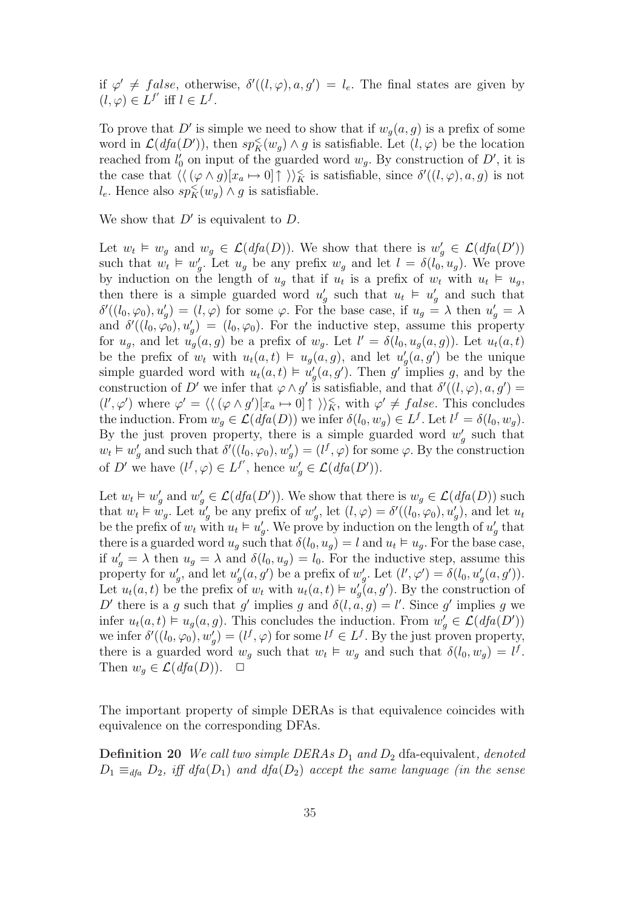if  $\varphi' \neq false$ , otherwise,  $\delta'((l, \varphi), a, g') = l_e$ . The final states are given by  $(l, \varphi) \in L^{f'}$  iff  $l \in L^{f}$ .

To prove that D' is simple we need to show that if  $w_g(a, g)$  is a prefix of some word in  $\mathcal{L}(dfa(D'))$ , then  $sp_K^{\leq}(w_g) \wedge g$  is satisfiable. Let  $(l, \varphi)$  be the location reached from  $l'_0$  on input of the guarded word  $w_g$ . By construction of  $D'$ , it is the case that  $\langle (\varphi \wedge g)[x_a \mapsto 0] \uparrow \rangle \rangle_K^{\leq}$  is satisfiable, since  $\delta'((l, \varphi), a, g)$  is not  $l_e$ . Hence also  $sp_K^<(w_g) \wedge g$  is satisfiable.

We show that  $D'$  is equivalent to  $D$ .

Let  $w_t \vDash w_g$  and  $w_g \in \mathcal{L}(df_a(D))$ . We show that there is  $w'_g \in \mathcal{L}(df_a(D'))$ such that  $w_t \vDash w'_g$ . Let  $u_g$  be any prefix  $w_g$  and let  $l = \delta(l_0, u_g)$ . We prove by induction on the length of  $u_g$  that if  $u_t$  is a prefix of  $w_t$  with  $u_t \vDash u_g$ , then there is a simple guarded word  $u'_g$  such that  $u_t \vDash u'_g$  and such that  $\delta'((l_0,\varphi_0),u'_g) = (l,\varphi)$  for some  $\varphi$ . For the base case, if  $u_g = \lambda$  then  $u'_g = \lambda$ and  $\delta'((l_0, \varphi_0), u'_g) = (l_0, \varphi_0)$ . For the inductive step, assume this property for  $u_g$ , and let  $u_g(a,g)$  be a prefix of  $w_g$ . Let  $l' = \delta(l_0, u_g(a,g))$ . Let  $u_t(a,t)$ be the prefix of  $w_t$  with  $u_t(a, t) \vDash u_g(a, g)$ , and let  $u'_g(a, g')$  be the unique simple guarded word with  $u_t(a, t) \models u'_g(a, g')$ . Then g' implies g, and by the construction of D' we infer that  $\varphi \wedge g'$  is satisfiable, and that  $\delta'((l, \varphi), a, g') =$  $(l', \varphi')$  where  $\varphi' = \langle (\varphi \wedge g')[x_a \mapsto 0] \uparrow \rangle \rangle_K^{\lt}$ , with  $\varphi' \neq false$ . This concludes the induction. From  $w_g \in \mathcal{L}(df_a(D))$  we infer  $\delta(l_0, w_g) \in L^f$ . Let  $l^f = \delta(l_0, w_g)$ . By the just proven property, there is a simple guarded word  $w'_g$  such that  $w_t \models w'_g$  and such that  $\delta'((l_0, \varphi_0), w'_g) = (l^f, \varphi)$  for some  $\varphi$ . By the construction of D' we have  $(l^f, \varphi) \in L^{f'}$ , hence  $w'_g \in \mathcal{L}(dfa(D'))$ .

Let  $w_t \models w'_g$  and  $w'_g \in \mathcal{L}(dfa(D'))$ . We show that there is  $w_g \in \mathcal{L}(dfa(D))$  such that  $w_t \models w_g$ . Let  $u'_g$  be any prefix of  $w'_g$ , let  $(l, \varphi) = \delta'((l_0, \varphi_0), u'_g)$ , and let  $u_t$ be the prefix of  $w_t$  with  $u_t \models u'_g$ . We prove by induction on the length of  $u'_g$  that there is a guarded word  $u_g$  such that  $\delta(l_0, u_g) = l$  and  $u_t \vDash u_g$ . For the base case, if  $u'_g = \lambda$  then  $u_g = \lambda$  and  $\delta(l_0, u_g) = l_0$ . For the inductive step, assume this property for  $u'_g$ , and let  $u'_g(a, g')$  be a prefix of  $w'_g$ . Let  $(l', \varphi') = \delta(l_0, u'_g(a, g'))$ . Let  $u_t(a, t)$  be the prefix of  $w_t$  with  $u_t(a, t) \models u'_g(a, g')$ . By the construction of D' there is a g such that g' implies g and  $\delta(l, a, g) = l'$ . Since g' implies g we infer  $u_t(a, t) \models u_g(a, g)$ . This concludes the induction. From  $w'_g \in \mathcal{L}(df_a(D'))$ we infer  $\delta'((l_0, \varphi_0), w'_g) = (l^f, \varphi)$  for some  $l^f \in L^f$ . By the just proven property, there is a guarded word  $w_g$  such that  $w_t \vDash w_g$  and such that  $\delta(l_0, w_g) = l^f$ . Then  $w_a \in \mathcal{L}(dfa(D))$ .  $\Box$ 

The important property of simple DERAs is that equivalence coincides with equivalence on the corresponding DFAs.

**Definition 20** We call two simple DERAs  $D_1$  and  $D_2$  dfa-equivalent, denoted  $D_1 \equiv_{dfa} D_2$ , iff  $df_a(D_1)$  and  $df_a(D_2)$  accept the same language (in the sense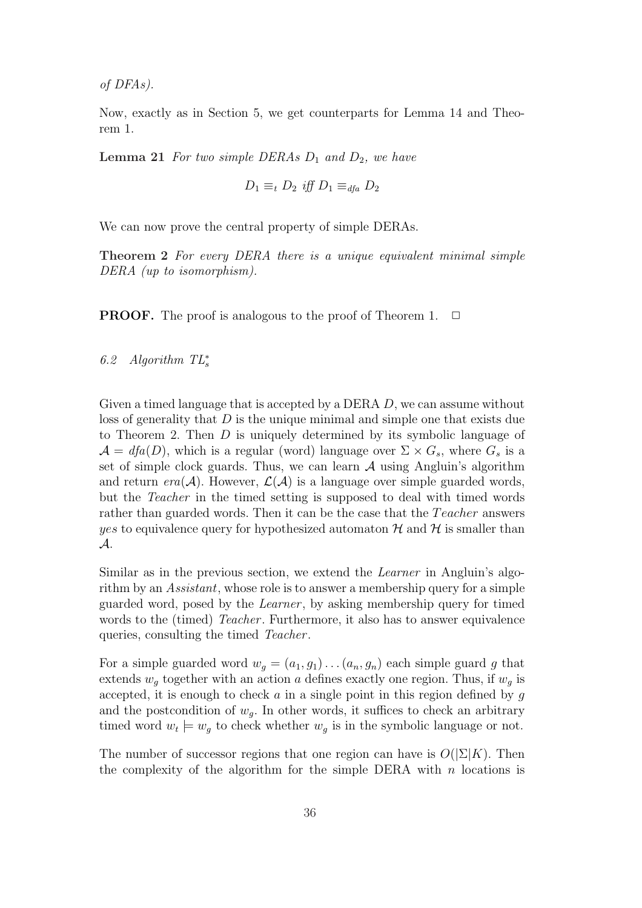of DFAs).

Now, exactly as in Section 5, we get counterparts for Lemma 14 and Theorem 1.

**Lemma 21** For two simple DERAs  $D_1$  and  $D_2$ , we have

$$
D_1 \equiv_t D_2 \text{ iff } D_1 \equiv_{dfa} D_2
$$

We can now prove the central property of simple DERAs.

Theorem 2 For every DERA there is a unique equivalent minimal simple DERA (up to isomorphism).

**PROOF.** The proof is analogous to the proof of Theorem 1.  $\Box$ 

6.2 Algorithm TL<sup>∗</sup> s

Given a timed language that is accepted by a DERA D, we can assume without loss of generality that D is the unique minimal and simple one that exists due to Theorem 2. Then D is uniquely determined by its symbolic language of  $\mathcal{A} = df_a(D)$ , which is a regular (word) language over  $\Sigma \times G_s$ , where  $G_s$  is a set of simple clock guards. Thus, we can learn  $A$  using Angluin's algorithm and return era( $A$ ). However,  $\mathcal{L}(A)$  is a language over simple guarded words, but the Teacher in the timed setting is supposed to deal with timed words rather than guarded words. Then it can be the case that the *Teacher* answers yes to equivalence query for hypothesized automaton  $\mathcal H$  and  $\mathcal H$  is smaller than A.

Similar as in the previous section, we extend the Learner in Angluin's algorithm by an Assistant, whose role is to answer a membership query for a simple guarded word, posed by the Learner , by asking membership query for timed words to the (timed) *Teacher*. Furthermore, it also has to answer equivalence queries, consulting the timed *Teacher*.

For a simple guarded word  $w_g = (a_1, g_1) \dots (a_n, g_n)$  each simple guard g that extends  $w_q$  together with an action a defines exactly one region. Thus, if  $w_q$  is accepted, it is enough to check  $\alpha$  in a single point in this region defined by  $\alpha$ and the postcondition of  $w_g$ . In other words, it suffices to check an arbitrary timed word  $w_t \models w_g$  to check whether  $w_g$  is in the symbolic language or not.

The number of successor regions that one region can have is  $O(|\Sigma|K)$ . Then the complexity of the algorithm for the simple DERA with  $n$  locations is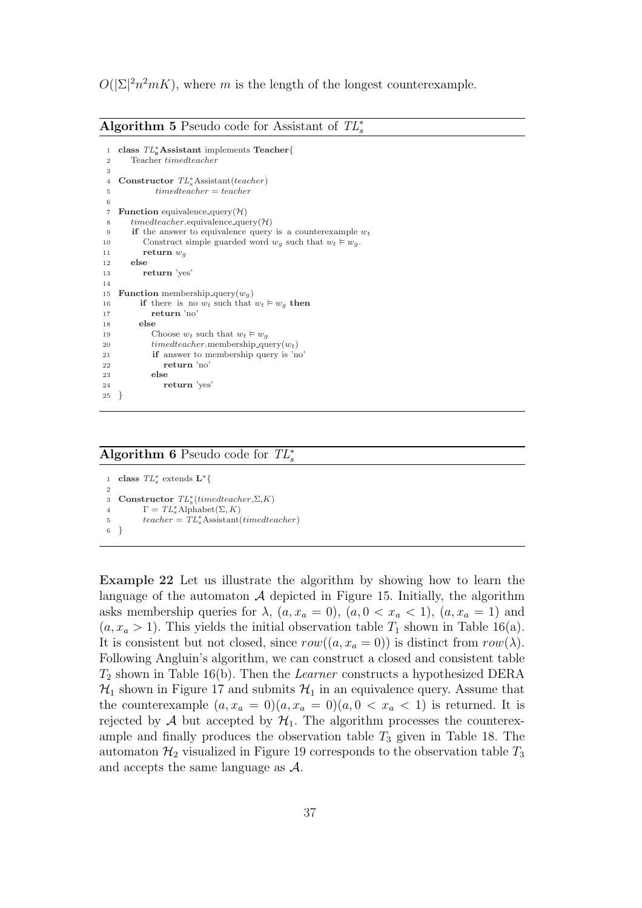$O(|\Sigma|^2 n^2 mK)$ , where m is the length of the longest counterexample.

# Algorithm 5 Pseudo code for Assistant of  $TL_s^*$

```
1 class TL_s^*Assistant implements Teacher\{2 Teacher timedteacher
3
 4 Constructor TL_s^*Assistant(teacher)
5 timeq teacher = teacher6
7 Function equivalence query(\mathcal{H})8 timedteacher.\nequivalence\_\neq^(\mathcal{H})9 if the answer to equivalence query is a counterexample w_t<br>10 Construct simple guarded word w_a such that w_t \vDash w_a.
         Construct simple guarded word w_q such that w_t \vDash w_q.
11 return w_g12 else
13 return 'yes'
14
15 Function membership query(w_q)16 if there is no w_t such that w_t \vDash w_g then
17 return 'no'
18 else
19 Choose w_t such that w_t \vDash w_g20 timedteacher.membership_query(w_t)21 if answer to membership query is 'no'
22 return \ln 223 else
24 return 'yes'
25 }
```
# Algorithm 6 Pseudo code for  $TL_s^*$

```
1 class TL_s^* extends \mathbf{L}^*\{2
3 Constructor TL_s^*(timedteacher, \Sigma, K)4 \Gamma = TL_s^*Alphabet(\Sigma, K)t_5 teacher = TL_s^*Assistant(timedteacher)
6 }
```
Example 22 Let us illustrate the algorithm by showing how to learn the language of the automaton  $A$  depicted in Figure 15. Initially, the algorithm asks membership queries for  $\lambda$ ,  $(a, x_a = 0)$ ,  $(a, 0 < x_a < 1)$ ,  $(a, x_a = 1)$  and  $(a, x_a > 1)$ . This yields the initial observation table  $T_1$  shown in Table 16(a). It is consistent but not closed, since  $row((a, x_a = 0))$  is distinct from  $row(\lambda)$ . Following Angluin's algorithm, we can construct a closed and consistent table  $T_2$  shown in Table 16(b). Then the *Learner* constructs a hypothesized DERA  $\mathcal{H}_1$  shown in Figure 17 and submits  $\mathcal{H}_1$  in an equivalence query. Assume that the counterexample  $(a, x_a = 0)(a, x_a = 0)(a, 0 < x_a < 1)$  is returned. It is rejected by A but accepted by  $\mathcal{H}_1$ . The algorithm processes the counterexample and finally produces the observation table  $T_3$  given in Table 18. The automaton  $\mathcal{H}_2$  visualized in Figure 19 corresponds to the observation table  $T_3$ and accepts the same language as A.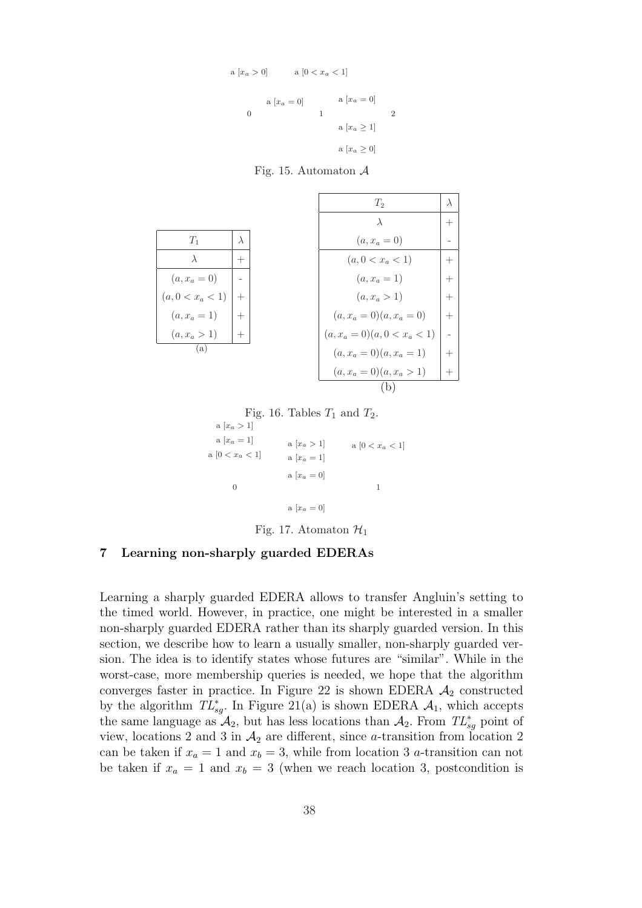a  $[x_a > 0]$  a  $[0 < x_a < 1]$ 

$$
a [x_a = 0] \qquad a [x_a = 0]
$$
  
0  

$$
1
$$
  

$$
a [x_a \ge 1]
$$
  

$$
a [x_a \ge 0]
$$

Fig. 15. Automaton  $A$ 

|                    |           | T <sub>2</sub>                 | $\lambda$          |
|--------------------|-----------|--------------------------------|--------------------|
|                    |           | $\lambda$                      | $^{+}$             |
| $T_1$              | $\lambda$ | $(a, x_a = 0)$                 |                    |
| $\lambda$          | $^{+}$    | $(a, 0 < x_a < 1)$             | $^{+}$             |
| $(a, x_a = 0)$     |           | $(a, x_a = 1)$                 | $^{+}$             |
| $(a, 0 < x_a < 1)$ | $^{+}$    | $(a, x_a > 1)$                 | $^{+}$             |
| $(a, x_a = 1)$     | $^{+}$    | $(a, x_a = 0)(a, x_a = 0)$     | $\hspace{0.1mm} +$ |
| $(a, x_a > 1)$     |           | $(a, x_a = 0)(a, 0 < x_a < 1)$ |                    |
| (a)                |           | $(a, x_a = 0)(a, x_a = 1)$     | $^{+}$             |
|                    |           | $(a, x_a = 0)(a, x_a > 1)$     | $\hspace{0.1mm} +$ |
|                    |           |                                |                    |

Fig. 16. Tables  $T_1$  and  $T_2$ .  $\begin{array}{ccc} 0 & & 1 \end{array}$ a  $[0 < x_a < 1]$ a  $\left[x_a = 1\right]$ a  $[x_a > 1]$ a  $[x_a = 0]$ a  $[x_a = 0]$ a  $[x_a = 1]$ a  $[x_a > 1]$  a  $[0 < x_a < 1]$ 

Fig. 17. Atomaton  $\mathcal{H}_1$ 

### 7 Learning non-sharply guarded EDERAs

Learning a sharply guarded EDERA allows to transfer Angluin's setting to the timed world. However, in practice, one might be interested in a smaller non-sharply guarded EDERA rather than its sharply guarded version. In this section, we describe how to learn a usually smaller, non-sharply guarded version. The idea is to identify states whose futures are "similar". While in the worst-case, more membership queries is needed, we hope that the algorithm converges faster in practice. In Figure 22 is shown EDERA  $A_2$  constructed by the algorithm  $TL_{sg}^*$ . In Figure 21(a) is shown EDERA  $\mathcal{A}_1$ , which accepts the same language as  $\mathcal{A}_2$ , but has less locations than  $\mathcal{A}_2$ . From  $TL_{sg}^*$  point of view, locations 2 and 3 in  $\mathcal{A}_2$  are different, since a-transition from location 2 can be taken if  $x_a = 1$  and  $x_b = 3$ , while from location 3 a-transition can not be taken if  $x_a = 1$  and  $x_b = 3$  (when we reach location 3, postcondition is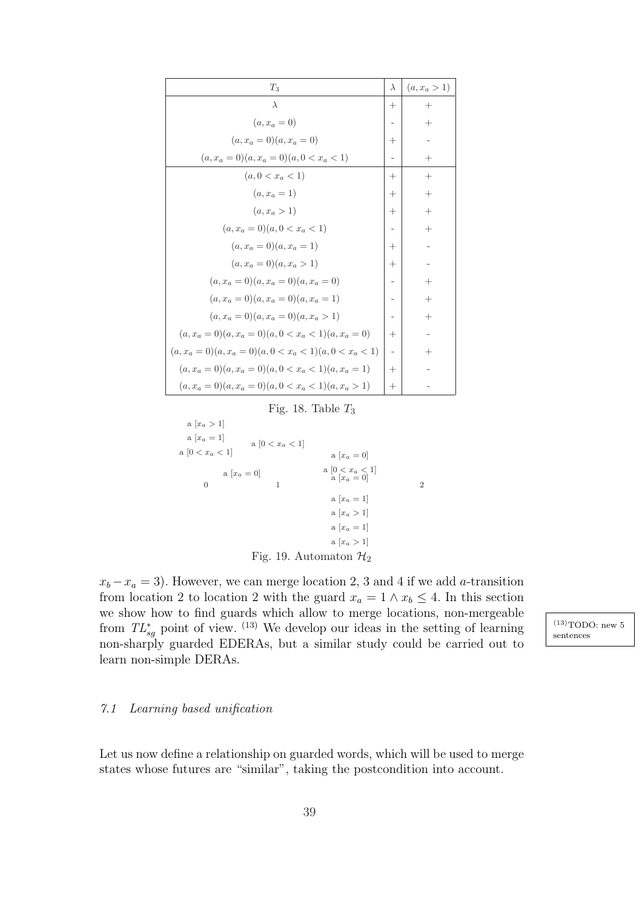| $T_3$                                                      | $\lambda$ | $(a, x_a > 1)$ |
|------------------------------------------------------------|-----------|----------------|
| $\lambda$                                                  | $^+$      | $^{+}$         |
| $(a, x_a = 0)$                                             |           | $^+$           |
| $(a, x_a = 0)(a, x_a = 0)$                                 | $\! +$    |                |
| $(a, x_a = 0)(a, x_a = 0)(a, 0 < x_a < 1)$                 |           | $^{+}$         |
| $(a, 0 < x_a < 1)$                                         | $\! +$    | $^{+}$         |
| $(a, x_a = 1)$                                             | $^{+}$    | $^{+}$         |
| $(a, x_{\alpha} > 1)$                                      | $^{+}$    | $^+$           |
| $(a, x_a = 0)(a, 0 < x_a < 1)$                             |           | $^+$           |
| $(a, x_a = 0)(a, x_a = 1)$                                 | $^{+}$    |                |
| $(a, x_a = 0)(a, x_a > 1)$                                 | $^{+}$    |                |
| $(a, x_a = 0)(a, x_a = 0)(a, x_a = 0)$                     |           | $^{+}$         |
| $(a, x_a = 0)(a, x_a = 0)(a, x_a = 1)$                     |           | $^{+}$         |
| $(a, x_a = 0)(a, x_a = 0)(a, x_a > 1)$                     |           | $^{+}$         |
| $(a, x_a = 0)(a, x_a = 0)(a, 0 < x_a < 1)(a, x_a = 0)$     | $\! +$    |                |
| $(a, x_a = 0)(a, x_a = 0)(a, 0 < x_a < 1)(a, 0 < x_a < 1)$ |           | $^+$           |
| $(a, x_a = 0)(a, x_a = 0)(a, 0 < x_a < 1)(a, x_a = 1)$     | $\! +$    |                |
| $(a, x_a = 0)(a, x_a = 0)(a, 0 < x_a < 1)(a, x_a > 1)$     | $^+$      |                |

### Fig. 18. Table  $T_3$

0 1 2 a [0 < x<sup>a</sup> < 1] a [x<sup>a</sup> = 1] a [x<sup>a</sup> > 1] a [0 < x<sup>a</sup> < 1] a [x<sup>a</sup> = 0] a [x<sup>a</sup> = 0] a [x<sup>a</sup> = 1] a [x<sup>a</sup> > 1] a [x<sup>a</sup> = 0] a [0 < x<sup>a</sup> < 1] a [x<sup>a</sup> = 1] a [x<sup>a</sup> > 1] Fig. 19. Automaton H<sup>2</sup>

 $x_b - x_a = 3$ ). However, we can merge location 2, 3 and 4 if we add a-transition from location 2 to location 2 with the guard  $x_a = 1 \wedge x_b \leq 4$ . In this section we show how to find guards which allow to merge locations, non-mergeable from  $TL_{sg}^*$  point of view. <sup>(13)</sup> We develop our ideas in the setting of learning  $\left| \begin{array}{c} {}^{(13)}TODO: \text{ new 5} \\ \text{sentences} \end{array} \right|$ non-sharply guarded EDERAs, but a similar study could be carried out to learn non-simple DERAs.

sentences

### 7.1 Learning based unification

Let us now define a relationship on guarded words, which will be used to merge states whose futures are "similar", taking the postcondition into account.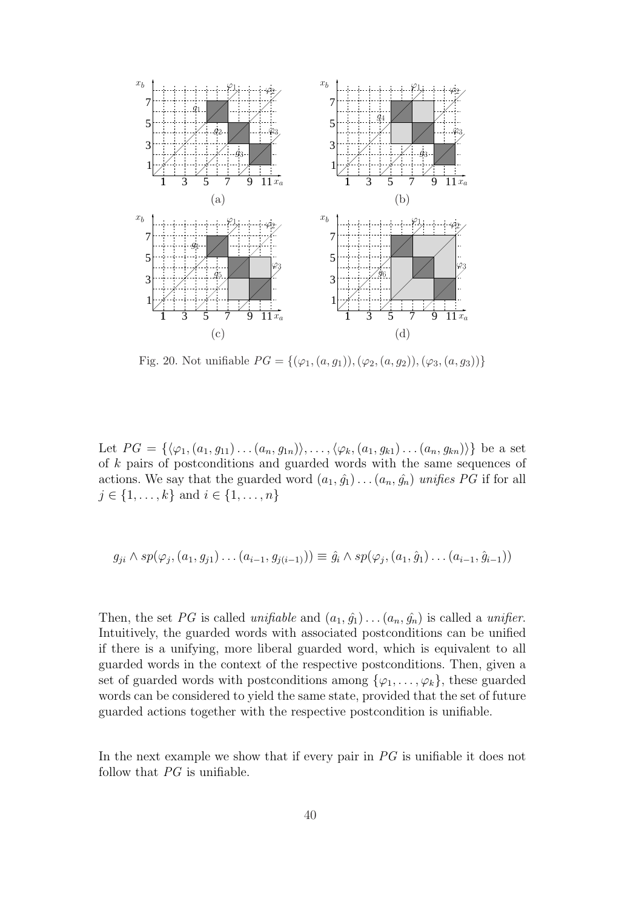

Fig. 20. Not unifiable  $PG = \{(\varphi_1, (a, g_1)), (\varphi_2, (a, g_2)), (\varphi_3, (a, g_3))\}$ 

Let  $PG = {\langle \varphi_1, (a_1, g_{11}), \ldots, (a_n, g_{1n}) \rangle, \ldots, \langle \varphi_k, (a_1, g_{k1}), \ldots, (a_n, g_{kn}) \rangle}$  be a set of k pairs of postconditions and guarded words with the same sequences of actions. We say that the guarded word  $(a_1, \hat{g}_1) \dots (a_n, \hat{g}_n)$  unifies PG if for all  $j \in \{1, ..., k\}$  and  $i \in \{1, ..., n\}$ 

$$
g_{ji} \wedge sp(\varphi_j, (a_1, g_{j1}) \dots (a_{i-1}, g_{j(i-1)})) \equiv \hat{g}_i \wedge sp(\varphi_j, (a_1, \hat{g}_1) \dots (a_{i-1}, \hat{g}_{i-1}))
$$

Then, the set PG is called unifiable and  $(a_1, \hat{g}_1) \dots (a_n, \hat{g}_n)$  is called a unifier. Intuitively, the guarded words with associated postconditions can be unified if there is a unifying, more liberal guarded word, which is equivalent to all guarded words in the context of the respective postconditions. Then, given a set of guarded words with postconditions among  $\{\varphi_1, \ldots, \varphi_k\}$ , these guarded words can be considered to yield the same state, provided that the set of future guarded actions together with the respective postcondition is unifiable.

In the next example we show that if every pair in  $PG$  is unifiable it does not follow that  $PG$  is unifiable.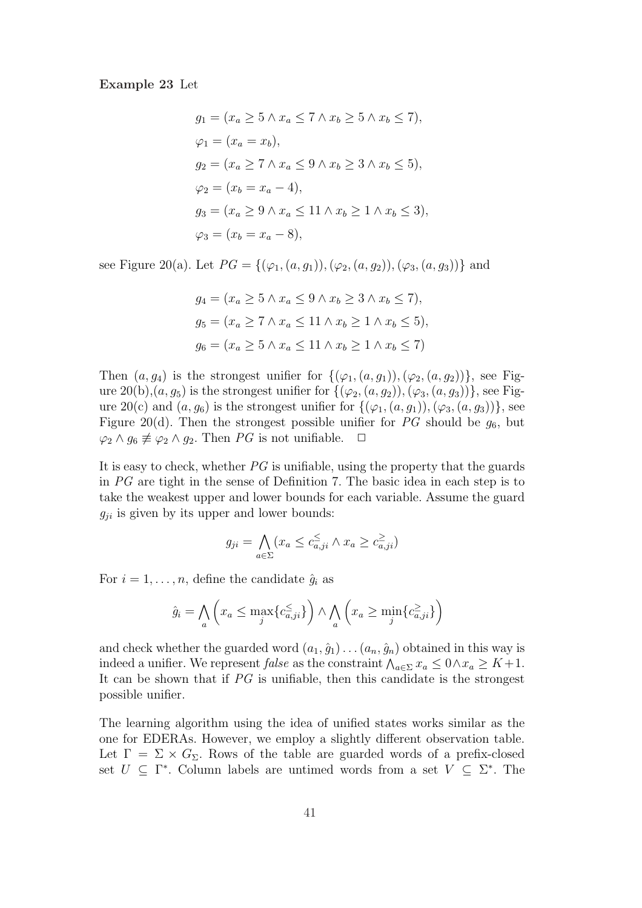#### Example 23 Let

$$
g_1 = (x_a \ge 5 \land x_a \le 7 \land x_b \ge 5 \land x_b \le 7),
$$
  
\n
$$
\varphi_1 = (x_a = x_b),
$$
  
\n
$$
g_2 = (x_a \ge 7 \land x_a \le 9 \land x_b \ge 3 \land x_b \le 5),
$$
  
\n
$$
\varphi_2 = (x_b = x_a - 4),
$$
  
\n
$$
g_3 = (x_a \ge 9 \land x_a \le 11 \land x_b \ge 1 \land x_b \le 3),
$$
  
\n
$$
\varphi_3 = (x_b = x_a - 8),
$$

see Figure 20(a). Let  $PG = \{(\varphi_1, (a, g_1)), (\varphi_2, (a, g_2)), (\varphi_3, (a, g_3))\}$  and

$$
g_4 = (x_a \ge 5 \land x_a \le 9 \land x_b \ge 3 \land x_b \le 7),
$$
  
\n
$$
g_5 = (x_a \ge 7 \land x_a \le 11 \land x_b \ge 1 \land x_b \le 5),
$$
  
\n
$$
g_6 = (x_a \ge 5 \land x_a \le 11 \land x_b \ge 1 \land x_b \le 7)
$$

Then  $(a, g_4)$  is the strongest unifier for  $\{(\varphi_1, (a, g_1)),(\varphi_2, (a, g_2))\}$ , see Figure 20(b), $(a, g_5)$  is the strongest unifier for  $\{(\varphi_2, (a, g_2)),(\varphi_3, (a, g_3))\}$ , see Figure 20(c) and  $(a, g_6)$  is the strongest unifier for  $\{(\varphi_1, (a, g_1)), (\varphi_3, (a, g_3))\}$ , see Figure 20(d). Then the strongest possible unifier for  $PG$  should be  $g_6$ , but  $\varphi_2 \wedge g_6 \not\equiv \varphi_2 \wedge g_2$ . Then PG is not unifiable.  $\Box$ 

It is easy to check, whether  $PG$  is unifiable, using the property that the guards in PG are tight in the sense of Definition 7. The basic idea in each step is to take the weakest upper and lower bounds for each variable. Assume the guard  $g_{ji}$  is given by its upper and lower bounds:

$$
g_{ji} = \bigwedge_{a \in \Sigma} (x_a \le c_{a,ji}^{\le} \land x_a \ge c_{a,ji}^{\ge})
$$

For  $i = 1, \ldots, n$ , define the candidate  $\hat{g}_i$  as

$$
\hat{g}_i = \bigwedge_a \left( x_a \le \max_j \{ c_{a,ji}^{\le} \} \right) \wedge \bigwedge_a \left( x_a \ge \min_j \{ c_{a,ji}^{\ge} \} \right)
$$

and check whether the guarded word  $(a_1, \hat{g}_1) \dots (a_n, \hat{g}_n)$  obtained in this way is indeed a unifier. We represent *false* as the constraint  $\bigwedge_{a \in \Sigma} x_a \leq 0 \wedge x_a \geq K+1$ . It can be shown that if  $PG$  is unifiable, then this candidate is the strongest possible unifier.

The learning algorithm using the idea of unified states works similar as the one for EDERAs. However, we employ a slightly different observation table. Let  $\Gamma = \Sigma \times G_{\Sigma}$ . Rows of the table are guarded words of a prefix-closed set  $U \subseteq \Gamma^*$ . Column labels are untimed words from a set  $V \subseteq \Sigma^*$ . The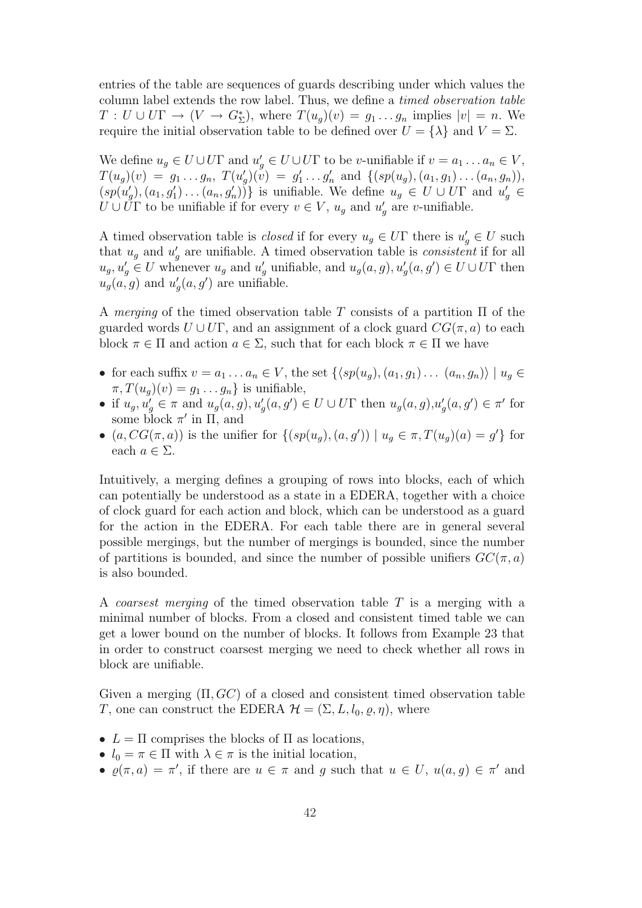entries of the table are sequences of guards describing under which values the column label extends the row label. Thus, we define a timed observation table  $T: U \cup U\Gamma \to (V \to G_{\Sigma}^*)$ , where  $T(u_g)(v) = g_1 \dots g_n$  implies  $|v| = n$ . We require the initial observation table to be defined over  $U = \{\lambda\}$  and  $V = \Sigma$ .

We define  $u_g \in U \cup U\Gamma$  and  $u'_g \in U \cup U\Gamma$  to be v-unifiable if  $v = a_1 \dots a_n \in V$ ,  $T(u_g)(v) = g_1 \dots g_n, T(u'_g)(v) = g'_1 \dots g'_n$  and  $\{(sp(u_g), (a_1, g_1) \dots (a_n, g_n)),$  $(sp(u'_g), (a_1, g'_1) \dots (a_n, g'_n))$  is unifiable. We define  $u_g \in U \cup U\Gamma$  and  $u'_g \in$  $U \cup \tilde{U} \Gamma$  to be unifiable if for every  $v \in V$ ,  $u_g$  and  $u'_g$  are v-unifiable.

A timed observation table is *closed* if for every  $u_g \in U\Gamma$  there is  $u'_g \in U$  such that  $u_g$  and  $u'_g$  are unifiable. A timed observation table is *consistent* if for all  $u_g, u'_g \in U$  whenever  $u_g$  and  $u'_g$  unifiable, and  $u_g(a, g), u'_g(a, g') \in U \cup U\Gamma$  then  $u_g(a, g)$  and  $u'_g(a, g')$  are unifiable.

A merging of the timed observation table T consists of a partition  $\Pi$  of the guarded words  $U \cup U\Gamma$ , and an assignment of a clock guard  $CG(\pi, a)$  to each block  $\pi \in \Pi$  and action  $a \in \Sigma$ , such that for each block  $\pi \in \Pi$  we have

- for each suffix  $v = a_1 \ldots a_n \in V$ , the set  $\{\langle sp(u_q), (a_1, g_1) \ldots (a_n, g_n) \rangle \mid u_q \in$  $\pi, T(u_q)(v) = g_1 \dots g_n$  is unifiable,
- if  $u_g, u'_g \in \pi$  and  $u_g(a, g), u'_g(a, g') \in U \cup U\Gamma$  then  $u_g(a, g), u'_g(a, g') \in \pi'$  for some block  $\pi'$  in  $\Pi$ , and
- $(a, CG(\pi, a))$  is the unifier for  $\{(sp(u_g), (a, g')) \mid u_g \in \pi, T(u_g)(a) = g'\}\)$  for each  $a \in \Sigma$ .

Intuitively, a merging defines a grouping of rows into blocks, each of which can potentially be understood as a state in a EDERA, together with a choice of clock guard for each action and block, which can be understood as a guard for the action in the EDERA. For each table there are in general several possible mergings, but the number of mergings is bounded, since the number of partitions is bounded, and since the number of possible unifiers  $GC(\pi, a)$ is also bounded.

A coarsest merging of the timed observation table T is a merging with a minimal number of blocks. From a closed and consistent timed table we can get a lower bound on the number of blocks. It follows from Example 23 that in order to construct coarsest merging we need to check whether all rows in block are unifiable.

Given a merging  $(\Pi, GC)$  of a closed and consistent timed observation table T, one can construct the EDERA  $\mathcal{H} = (\Sigma, L, l_0, \rho, \eta)$ , where

- $L = \Pi$  comprises the blocks of  $\Pi$  as locations,
- $l_0 = \pi \in \Pi$  with  $\lambda \in \pi$  is the initial location,
- $\rho(\pi, a) = \pi'$ , if there are  $u \in \pi$  and g such that  $u \in U$ ,  $u(a, g) \in \pi'$  and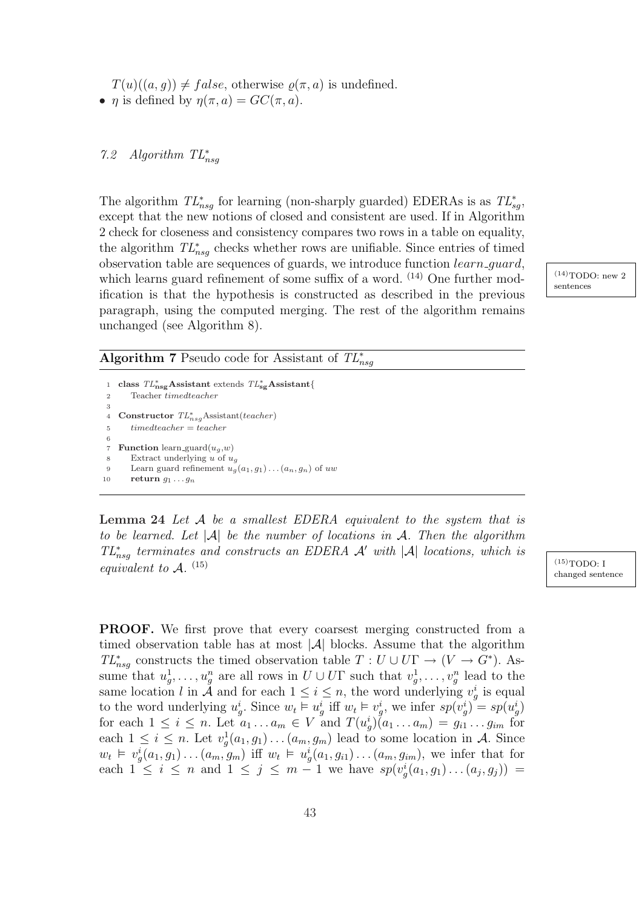$T(u)((a, g)) \neq false$ , otherwise  $\varrho(\pi, a)$  is undefined.

•  $\eta$  is defined by  $\eta(\pi, a) = GC(\pi, a)$ .

# 7.2 Algorithm  $TL_{nsg}^*$

The algorithm  $TL_{nsg}^*$  for learning (non-sharply guarded) EDERAs is as  $TL_{sg}^*$ , except that the new notions of closed and consistent are used. If in Algorithm 2 check for closeness and consistency compares two rows in a table on equality, the algorithm  $TL_{nsg}^*$  checks whether rows are unifiable. Since entries of timed observation table are sequences of guards, we introduce function learn guard, which learns guard refinement of some suffix of a word.  $(14)$  One further mod-  $(14)$ TODO: new 2 ification is that the hypothesis is constructed as described in the previous paragraph, using the computed merging. The rest of the algorithm remains unchanged (see Algorithm 8).

sentences

Algorithm 7 Pseudo code for Assistant of  $TL_{nsg}^*$ 

```
1 class TL_{\text{ng}}^*Assistant extends TL_{\text{sg}}^*Assistant{
2 Teacher timedteacher
3
 4 Constructor TL_{nsg}^*Assistant(teacher)
5 time detector = teacher6
7 Function learn_guard(u_a, w)8 Extract underlying u of u_g9 Learn guard refinement u_q(a_1, g_1) \dots (a_n, g_n) of uw
10 return g_1 \ldots g_n
```
**Lemma 24** Let  $A$  be a smallest EDERA equivalent to the system that is to be learned. Let  $|\mathcal{A}|$  be the number of locations in  $\mathcal{A}$ . Then the algorithm  $TL_{nsg}^{*}$  terminates and constructs an EDERA A' with |A| locations, which is equivalent to  $A$ .  $(15)$ (15)  $(15)$ 

changed sentence

PROOF. We first prove that every coarsest merging constructed from a timed observation table has at most  $|\mathcal{A}|$  blocks. Assume that the algorithm  $TL_{nsg}^*$  constructs the timed observation table  $T: U \cup U\Gamma \to (V \to G^*)$ . Assume that  $u_g^1, \ldots, u_g^n$  are all rows in  $U \cup U\Gamma$  such that  $v_g^1, \ldots, v_g^n$  lead to the same location l in  $\tilde{A}$  and for each  $1 \leq i \leq n$ , the word underlying  $v_g^i$  is equal to the word underlying  $u_g^i$ . Since  $w_t \models u_g^i$  iff  $w_t \models v_g^i$ , we infer  $sp(v_g^i) = sp(u_g^i)$ for each  $1 \leq i \leq n$ . Let  $a_1 \ldots a_m \in V$  and  $T(u_g^i)(a_1 \ldots a_m) = g_{i_1} \ldots g_{i_m}$  for each  $1 \leq i \leq n$ . Let  $v_g^1(a_1, g_1) \ldots (a_m, g_m)$  lead to some location in A. Since  $w_t \models v_g^i(a_1, g_1) \dots (a_m, g_m)$  iff  $w_t \models u_g^i(a_1, g_{i1}) \dots (a_m, g_{im})$ , we infer that for each  $1 \leq i \leq n$  and  $1 \leq j \leq m-1$  we have  $sp(v_g^i(a_1, g_1) \dots (a_j, g_j)) =$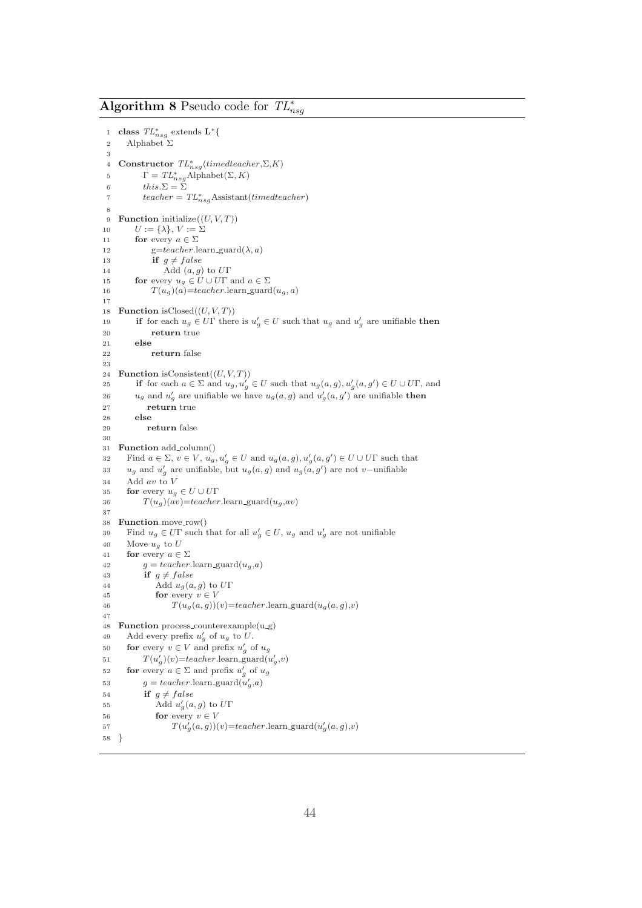Algorithm 8 Pseudo code for  $TL_{nsg}^*$ 

```
1 class TL_{nsg}^* extends \mathbf{L}^*\{2 Alphabet Σ
 3
 4 Constructor TL_{nsg}^*(timedteacher, \Sigma, K)
 5 \Gamma = TL_{nsg}^{*}Alphabet(\Sigma, K)6 this.\Sigma = \overline{\Sigma}t_1 teacher = TL_{nsg}^*Assistant(timedteacher)
 8
9 Function initialize((U, V, T))10 U := {\lambda}, V := \Sigma11 for every a \in \Sigma12 g=teacher.learn_guard(\lambda, a)
13 if g \neq false14 Add (a, g) to U\Gamma15 for every u_g \in U \cup U\Gamma and a \in \Sigma16 T(u_q)(a) = teacher.length.
17
18 Function isClosed((U, V, T))19 if for each u_g \in U\Gamma there is u'_g \in U such that u_g and u'_g are unifiable then
20 return true
21 else
22 return false
23
24 Function is Consistent ((U, V, T))25 if for each a \in \Sigma and u_g, u'_g \in U such that u_g(a, g), u'_g(a, g') \in U \cup U\Gamma, and
26 u_g and u'_g are unifiable we have u_g(a,g) and u'_g(a,g') are unifiable then
27 return true
28 else
29 return false
30
31 Function add column()
32 Find a \in \Sigma, v \in V, u_g, u'_g \in U and u_g(a, g), u'_g(a, g') \in U \cup U\Gamma such that
33 u<sub>g</sub> and u'<sub>g</sub> are unifiable, but u_g(a,g) and u_g(a,g') are not v-unifiable
34 Add av to V
35 for every u_g \in U \cup U\Gamma36 T(u_g)(av) = teacher.learn_guard(u_g, av)37
38 Function move row()
39 Find u_g \in U\Gamma such that for all u'_g \in U, u_g and u'_g are not unifiable
40 Move u_q to U
41 for every a \in \Sigma42 g = teacher.learn_guard(u_g, a)43 if q \neq false44 Add u_g(a, g) to U\Gamma45 for every v \in V46 T(u_g(a, g))(v) = teacher.learn_guard(u_g(a, g), v)47
48 Function process_counterexample(u_g)
49 Add every prefix u'_g of u_g to \overline{U}.
50 for every v \in V and prefix u'_g of u_g51 T(u'_g)(v) = teacher.learn_guard(u'_g,v)52 for every a \in \Sigma and prefix u'_g of u_g53 g = teacher.learn_guard(u'_g, a)54 if g \neq false55 Add u'_g(a,g) to U\Gamma56 for every v \in V57 T(u'_g(a,g))(v) = teacher.learn_guard(u'_g(a,g),v)58 }
```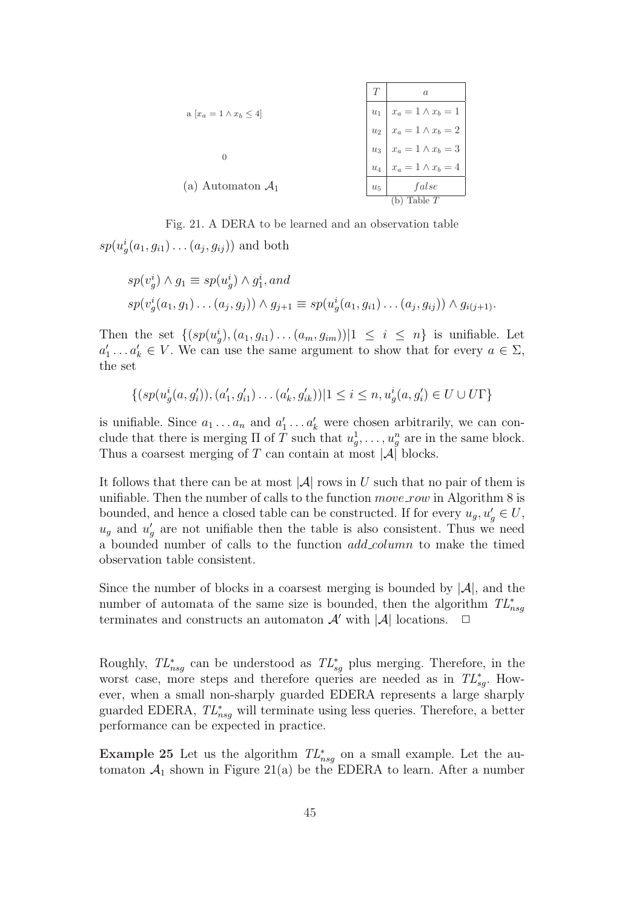|                                 |         | $\overline{a}$                                                                                                                                                                          |
|---------------------------------|---------|-----------------------------------------------------------------------------------------------------------------------------------------------------------------------------------------|
| a $[x_a = 1 \wedge x_b \leq 4]$ |         | $\begin{array}{ c c } \hline u_1 & x_a = 1 \wedge x_b = 1 \\ \hline u_2 & x_a = 1 \wedge x_b = 2 \\ u_3 & x_a = 1 \wedge x_b = 3 \\ u_4 & x_a = 1 \wedge x_b = 4 \\ \hline \end{array}$ |
|                                 |         |                                                                                                                                                                                         |
|                                 |         |                                                                                                                                                                                         |
|                                 |         |                                                                                                                                                                                         |
| (a) Automaton $\mathcal{A}_1$   | $u_{5}$ | $-$ false                                                                                                                                                                               |
|                                 |         | Table T                                                                                                                                                                                 |

Fig. 21. A DERA to be learned and an observation table  $sp(u_g^i(a_1, g_{i1}) \dots (a_j, g_{ij}))$  and both

$$
sp(v_g^i) \wedge g_1 \equiv sp(u_g^i) \wedge g_1^i, and
$$
  

$$
sp(v_g^i(a_1, g_1) \dots (a_j, g_j)) \wedge g_{j+1} \equiv sp(u_g^i(a_1, g_{i1}) \dots (a_j, g_{ij})) \wedge g_{i(j+1)}.
$$

Then the set  $\{(sp(u_g^i), (a_1, g_{i1}), \ldots (a_m, g_{im})) | 1 \leq i \leq n\}$  is unifiable. Let  $a'_1 \dots a'_k \in V$ . We can use the same argument to show that for every  $a \in \Sigma$ , the set

$$
\{(sp(u_g^i(a, g_i')), (a_1', g_{i1}') \dots (a_k', g_{ik}')) | 1 \le i \le n, u_g^i(a, g_i') \in U \cup U\Gamma\}
$$

is unifiable. Since  $a_1 \ldots a_n$  and  $a'_1 \ldots a'_k$  were chosen arbitrarily, we can conclude that there is merging  $\Pi$  of T such that  $u_g^1, \ldots, u_g^n$  are in the same block. Thus a coarsest merging of  $T$  can contain at most  $|\mathcal{A}|$  blocks.

It follows that there can be at most  $|\mathcal{A}|$  rows in U such that no pair of them is unifiable. Then the number of calls to the function  $move_{row}$  in Algorithm 8 is bounded, and hence a closed table can be constructed. If for every  $u_g, u'_g \in U$ ,  $u_g$  and  $u'_g$  are not unifiable then the table is also consistent. Thus we need a bounded number of calls to the function add\_column to make the timed observation table consistent.

Since the number of blocks in a coarsest merging is bounded by  $|\mathcal{A}|$ , and the number of automata of the same size is bounded, then the algorithm  $TL_{nsg}^*$ terminates and constructs an automaton  $\mathcal{A}'$  with  $|\mathcal{A}|$  locations.  $\Box$ 

Roughly,  $TL_{nsg}^*$  can be understood as  $TL_{sg}^*$  plus merging. Therefore, in the worst case, more steps and therefore queries are needed as in  $TL_{sg}^*$ . However, when a small non-sharply guarded EDERA represents a large sharply guarded EDERA,  $TL_{nsg}^*$  will terminate using less queries. Therefore, a better performance can be expected in practice.

Example 25 Let us the algorithm  $TL_{nsg}^*$  on a small example. Let the automaton  $A_1$  shown in Figure 21(a) be the EDERA to learn. After a number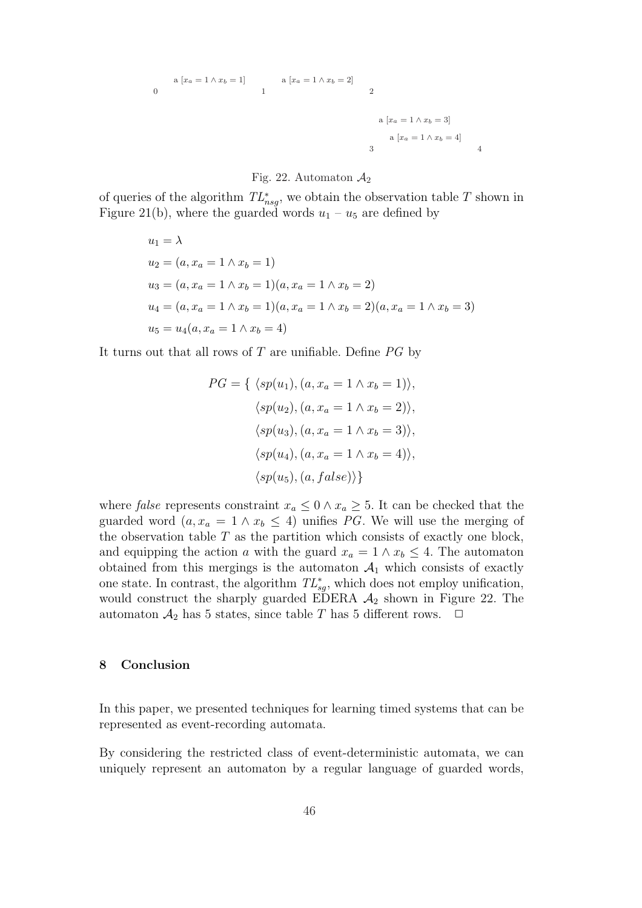a 
$$
[x_a = 1 \land x_b = 1]
$$
  
\na  $[x_a = 1 \land x_b = 2]$   
\n  
\na  $[x_a = 1 \land x_b = 3]$   
\na  $[x_a = 1 \land x_b = 3]$   
\n  
\n  
\n3  
\n4

#### Fig. 22. Automaton  $A_2$

of queries of the algorithm  $TL_{nsg}^*$ , we obtain the observation table T shown in Figure 21(b), where the guarded words  $u_1 - u_5$  are defined by

$$
u_1 = \lambda
$$
  
\n
$$
u_2 = (a, x_a = 1 \land x_b = 1)
$$
  
\n
$$
u_3 = (a, x_a = 1 \land x_b = 1)(a, x_a = 1 \land x_b = 2)
$$
  
\n
$$
u_4 = (a, x_a = 1 \land x_b = 1)(a, x_a = 1 \land x_b = 2)(a, x_a = 1 \land x_b = 3)
$$
  
\n
$$
u_5 = u_4(a, x_a = 1 \land x_b = 4)
$$

It turns out that all rows of  $T$  are unifiable. Define  $PG$  by

$$
PG = \{ \langle sp(u_1), (a, x_a = 1 \land x_b = 1) \rangle,
$$
  

$$
\langle sp(u_2), (a, x_a = 1 \land x_b = 2) \rangle,
$$
  

$$
\langle sp(u_3), (a, x_a = 1 \land x_b = 3) \rangle,
$$
  

$$
\langle sp(u_4), (a, x_a = 1 \land x_b = 4) \rangle,
$$
  

$$
\langle sp(u_5), (a, false) \rangle \}
$$

where *false* represents constraint  $x_a \leq 0 \land x_a \geq 5$ . It can be checked that the guarded word  $(a, x_a = 1 \wedge x_b \leq 4)$  unifies PG. We will use the merging of the observation table  $T$  as the partition which consists of exactly one block, and equipping the action a with the guard  $x_a = 1 \wedge x_b \leq 4$ . The automaton obtained from this mergings is the automaton  $A_1$  which consists of exactly one state. In contrast, the algorithm  $TL_{sg}^*$ , which does not employ unification, would construct the sharply guarded EDERA  $A_2$  shown in Figure 22. The automaton  $\mathcal{A}_2$  has 5 states, since table T has 5 different rows.  $\Box$ 

### 8 Conclusion

In this paper, we presented techniques for learning timed systems that can be represented as event-recording automata.

By considering the restricted class of event-deterministic automata, we can uniquely represent an automaton by a regular language of guarded words,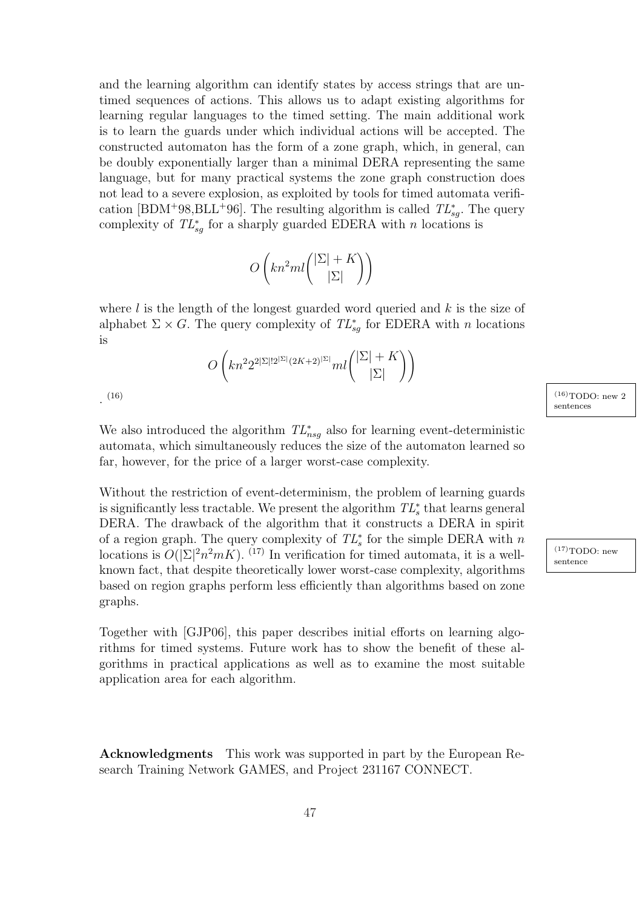and the learning algorithm can identify states by access strings that are untimed sequences of actions. This allows us to adapt existing algorithms for learning regular languages to the timed setting. The main additional work is to learn the guards under which individual actions will be accepted. The constructed automaton has the form of a zone graph, which, in general, can be doubly exponentially larger than a minimal DERA representing the same language, but for many practical systems the zone graph construction does not lead to a severe explosion, as exploited by tools for timed automata verification [BDM<sup>+</sup>98,BLL<sup>+</sup>96]. The resulting algorithm is called  $TL_{sg}^*$ . The query complexity of  $TL_{sg}^*$  for a sharply guarded EDERA with n locations is

$$
O\left(kn^2ml\binom{|\Sigma|+K}{|\Sigma|}\right)
$$

where  $l$  is the length of the longest guarded word queried and  $k$  is the size of alphabet  $\Sigma \times G$ . The query complexity of  $TL_{sg}^*$  for EDERA with n locations is  $\overline{a}$ !!!!

$$
O\left(kn^22^{2|\Sigma|!2^{|\Sigma|}(2K+2)^{|\Sigma|}}ml\binom{|\Sigma|+K}{|\Sigma|}\right)
$$

.

We also introduced the algorithm  $TL_{nsg}^*$  also for learning event-deterministic automata, which simultaneously reduces the size of the automaton learned so far, however, for the price of a larger worst-case complexity.

Without the restriction of event-determinism, the problem of learning guards is significantly less tractable. We present the algorithm  $TL^*_s$  that learns general DERA. The drawback of the algorithm that it constructs a DERA in spirit of a region graph. The query complexity of  $TL_s^*$  for the simple DERA with n locations is  $O(|\Sigma|^2 n^2 mK)$ . (17) In verification for timed automata, it is a wellknown fact, that despite theoretically lower worst-case complexity, algorithms based on region graphs perform less efficiently than algorithms based on zone graphs.

Together with [GJP06], this paper describes initial efforts on learning algorithms for timed systems. Future work has to show the benefit of these algorithms in practical applications as well as to examine the most suitable application area for each algorithm.

Acknowledgments This work was supported in part by the European Research Training Network GAMES, and Project 231167 CONNECT.

 $(16)$ TODO: new 2 sentences

sentence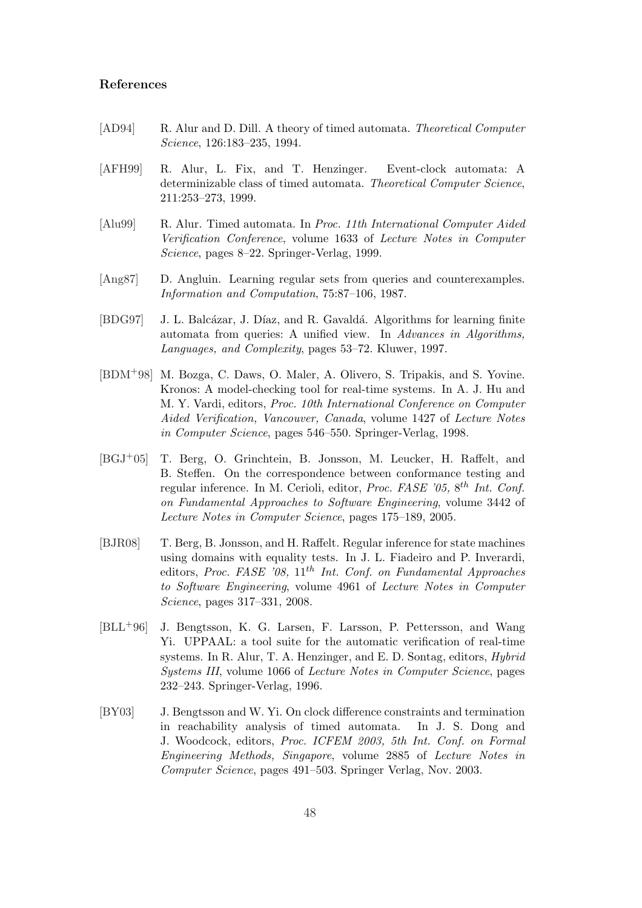#### References

- [AD94] R. Alur and D. Dill. A theory of timed automata. Theoretical Computer Science, 126:183–235, 1994.
- [AFH99] R. Alur, L. Fix, and T. Henzinger. Event-clock automata: A determinizable class of timed automata. Theoretical Computer Science, 211:253–273, 1999.
- [Alu99] R. Alur. Timed automata. In Proc. 11th International Computer Aided Verification Conference, volume 1633 of Lecture Notes in Computer Science, pages 8–22. Springer-Verlag, 1999.
- [Ang87] D. Angluin. Learning regular sets from queries and counterexamples. Information and Computation, 75:87–106, 1987.
- [BDG97] J. L. Balcázar, J. Díaz, and R. Gavaldá. Algorithms for learning finite automata from queries: A unified view. In Advances in Algorithms, Languages, and Complexity, pages 53–72. Kluwer, 1997.
- [BDM+98] M. Bozga, C. Daws, O. Maler, A. Olivero, S. Tripakis, and S. Yovine. Kronos: A model-checking tool for real-time systems. In A. J. Hu and M. Y. Vardi, editors, Proc. 10th International Conference on Computer Aided Verification, Vancouver, Canada, volume 1427 of Lecture Notes in Computer Science, pages 546–550. Springer-Verlag, 1998.
- [BGJ+05] T. Berg, O. Grinchtein, B. Jonsson, M. Leucker, H. Raffelt, and B. Steffen. On the correspondence between conformance testing and regular inference. In M. Cerioli, editor, Proc. FASE '05, 8<sup>th</sup> Int. Conf. on Fundamental Approaches to Software Engineering, volume 3442 of Lecture Notes in Computer Science, pages 175–189, 2005.
- [BJR08] T. Berg, B. Jonsson, and H. Raffelt. Regular inference for state machines using domains with equality tests. In J. L. Fiadeiro and P. Inverardi, editors, Proc. FASE '08,  $11^{th}$  Int. Conf. on Fundamental Approaches to Software Engineering, volume 4961 of Lecture Notes in Computer Science, pages 317–331, 2008.
- [BLL+96] J. Bengtsson, K. G. Larsen, F. Larsson, P. Pettersson, and Wang Yi. UPPAAL: a tool suite for the automatic verification of real-time systems. In R. Alur, T. A. Henzinger, and E. D. Sontag, editors, Hybrid Systems III, volume 1066 of Lecture Notes in Computer Science, pages 232–243. Springer-Verlag, 1996.
- [BY03] J. Bengtsson and W. Yi. On clock difference constraints and termination in reachability analysis of timed automata. In J. S. Dong and J. Woodcock, editors, Proc. ICFEM 2003, 5th Int. Conf. on Formal Engineering Methods, Singapore, volume 2885 of Lecture Notes in Computer Science, pages 491–503. Springer Verlag, Nov. 2003.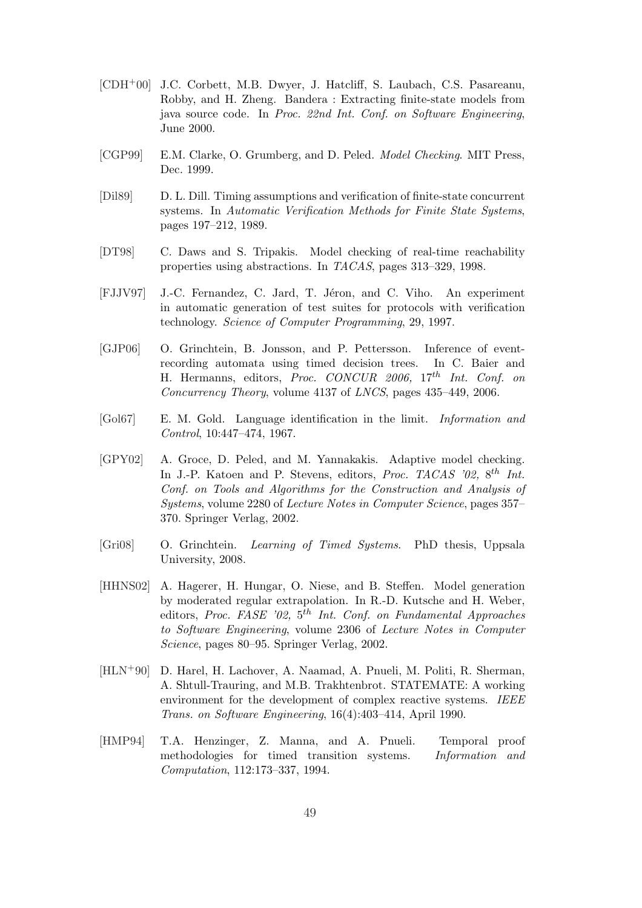- [CDH+00] J.C. Corbett, M.B. Dwyer, J. Hatcliff, S. Laubach, C.S. Pasareanu, Robby, and H. Zheng. Bandera : Extracting finite-state models from java source code. In Proc. 22nd Int. Conf. on Software Engineering, June 2000.
- [CGP99] E.M. Clarke, O. Grumberg, and D. Peled. Model Checking. MIT Press, Dec. 1999.
- [Dil89] D. L. Dill. Timing assumptions and verification of finite-state concurrent systems. In Automatic Verification Methods for Finite State Systems, pages 197–212, 1989.
- [DT98] C. Daws and S. Tripakis. Model checking of real-time reachability properties using abstractions. In TACAS, pages 313–329, 1998.
- [FJJV97] J.-C. Fernandez, C. Jard, T. Jéron, and C. Viho. An experiment in automatic generation of test suites for protocols with verification technology. Science of Computer Programming, 29, 1997.
- [GJP06] O. Grinchtein, B. Jonsson, and P. Pettersson. Inference of eventrecording automata using timed decision trees. In C. Baier and H. Hermanns, editors, Proc. CONCUR 2006,  $17<sup>th</sup>$  Int. Conf. on Concurrency Theory, volume 4137 of LNCS, pages 435–449, 2006.
- [Gol67] E. M. Gold. Language identification in the limit. Information and Control, 10:447–474, 1967.
- [GPY02] A. Groce, D. Peled, and M. Yannakakis. Adaptive model checking. In J.-P. Katoen and P. Stevens, editors, Proc. TACAS '02, 8<sup>th</sup> Int. Conf. on Tools and Algorithms for the Construction and Analysis of Systems, volume 2280 of Lecture Notes in Computer Science, pages 357– 370. Springer Verlag, 2002.
- [Gri08] O. Grinchtein. Learning of Timed Systems. PhD thesis, Uppsala University, 2008.
- [HHNS02] A. Hagerer, H. Hungar, O. Niese, and B. Steffen. Model generation by moderated regular extrapolation. In R.-D. Kutsche and H. Weber, editors, Proc. FASE '02,  $5^{th}$  Int. Conf. on Fundamental Approaches to Software Engineering, volume 2306 of Lecture Notes in Computer Science, pages 80–95. Springer Verlag, 2002.
- [HLN+90] D. Harel, H. Lachover, A. Naamad, A. Pnueli, M. Politi, R. Sherman, A. Shtull-Trauring, and M.B. Trakhtenbrot. STATEMATE: A working environment for the development of complex reactive systems. IEEE Trans. on Software Engineering, 16(4):403–414, April 1990.
- [HMP94] T.A. Henzinger, Z. Manna, and A. Pnueli. Temporal proof methodologies for timed transition systems. Information and Computation, 112:173–337, 1994.